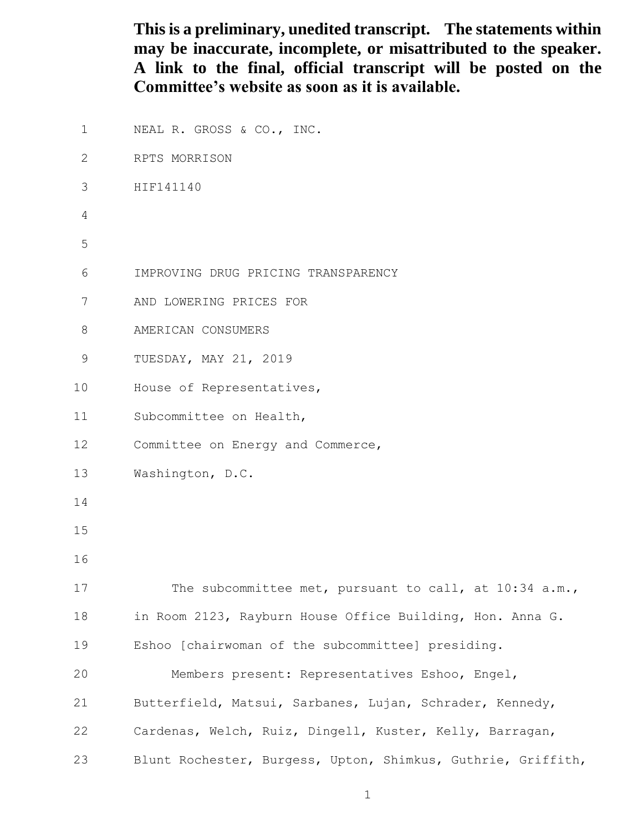| $\mathbf{1}$ | NEAL R. GROSS & CO., INC.                                    |
|--------------|--------------------------------------------------------------|
| 2            | RPTS MORRISON                                                |
| 3            | HIF141140                                                    |
| 4            |                                                              |
| 5            |                                                              |
| 6            | IMPROVING DRUG PRICING TRANSPARENCY                          |
| 7            | AND LOWERING PRICES FOR                                      |
| 8            | AMERICAN CONSUMERS                                           |
| $\mathsf 9$  | TUESDAY, MAY 21, 2019                                        |
| 10           | House of Representatives,                                    |
| 11           | Subcommittee on Health,                                      |
| 12           | Committee on Energy and Commerce,                            |
| 13           | Washington, D.C.                                             |
| 14           |                                                              |
| 15           |                                                              |
| 16           |                                                              |
| 17           | The subcommittee met, pursuant to call, at $10:34$ a.m.,     |
| 18           | in Room 2123, Rayburn House Office Building, Hon. Anna G.    |
| 19           | Eshoo [chairwoman of the subcommittee] presiding.            |
| 20           | Members present: Representatives Eshoo, Engel,               |
| 21           | Butterfield, Matsui, Sarbanes, Lujan, Schrader, Kennedy,     |
| 22           | Cardenas, Welch, Ruiz, Dingell, Kuster, Kelly, Barragan,     |
| 23           | Blunt Rochester, Burgess, Upton, Shimkus, Guthrie, Griffith, |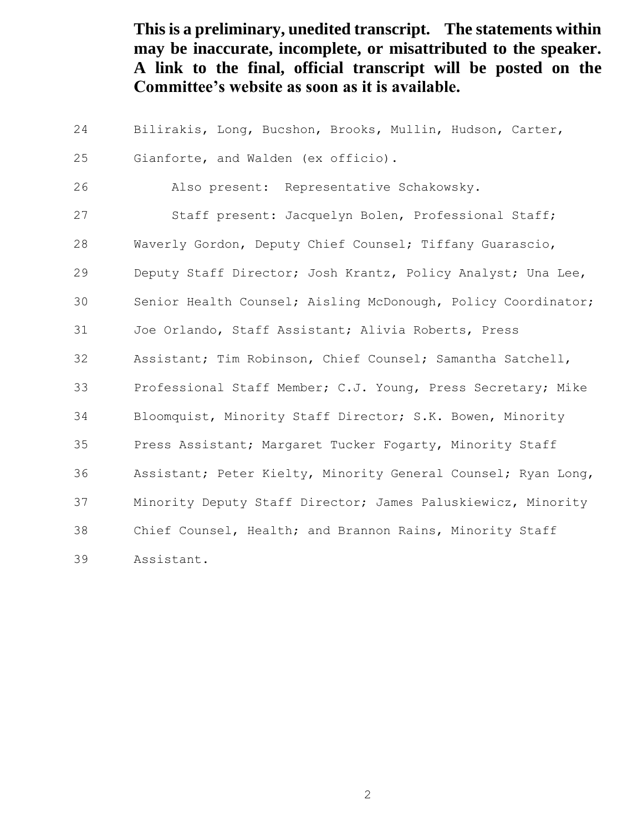Bilirakis, Long, Bucshon, Brooks, Mullin, Hudson, Carter,

Gianforte, and Walden (ex officio).

Also present: Representative Schakowsky.

 Staff present: Jacquelyn Bolen, Professional Staff; Waverly Gordon, Deputy Chief Counsel; Tiffany Guarascio, Deputy Staff Director; Josh Krantz, Policy Analyst; Una Lee, Senior Health Counsel; Aisling McDonough, Policy Coordinator; Joe Orlando, Staff Assistant; Alivia Roberts, Press Assistant; Tim Robinson, Chief Counsel; Samantha Satchell, Professional Staff Member; C.J. Young, Press Secretary; Mike Bloomquist, Minority Staff Director; S.K. Bowen, Minority Press Assistant; Margaret Tucker Fogarty, Minority Staff Assistant; Peter Kielty, Minority General Counsel; Ryan Long, Minority Deputy Staff Director; James Paluskiewicz, Minority Chief Counsel, Health; and Brannon Rains, Minority Staff Assistant.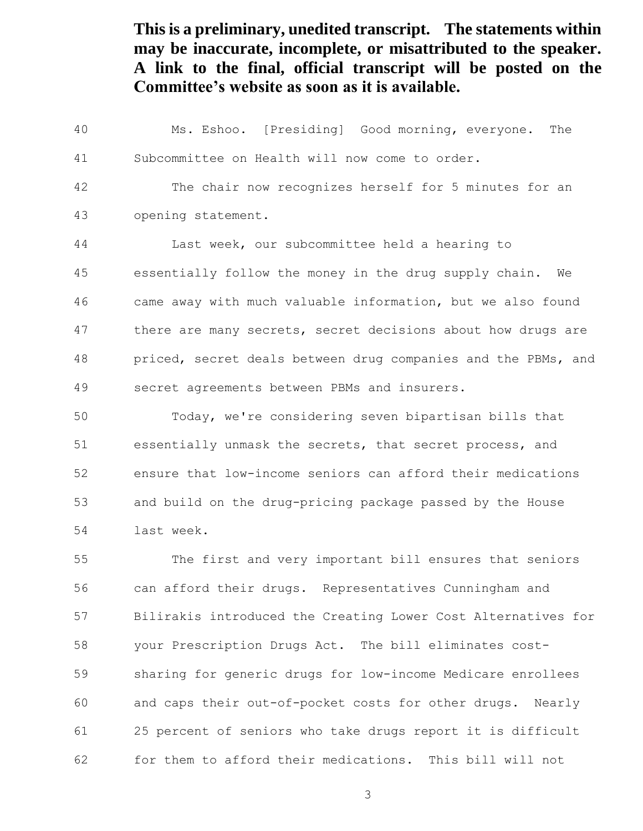Ms. Eshoo. [Presiding] Good morning, everyone. The Subcommittee on Health will now come to order. The chair now recognizes herself for 5 minutes for an opening statement. Last week, our subcommittee held a hearing to essentially follow the money in the drug supply chain. We came away with much valuable information, but we also found there are many secrets, secret decisions about how drugs are priced, secret deals between drug companies and the PBMs, and secret agreements between PBMs and insurers.

 Today, we're considering seven bipartisan bills that essentially unmask the secrets, that secret process, and ensure that low-income seniors can afford their medications and build on the drug-pricing package passed by the House last week.

 The first and very important bill ensures that seniors can afford their drugs. Representatives Cunningham and Bilirakis introduced the Creating Lower Cost Alternatives for your Prescription Drugs Act. The bill eliminates cost- sharing for generic drugs for low-income Medicare enrollees and caps their out-of-pocket costs for other drugs. Nearly 25 percent of seniors who take drugs report it is difficult for them to afford their medications. This bill will not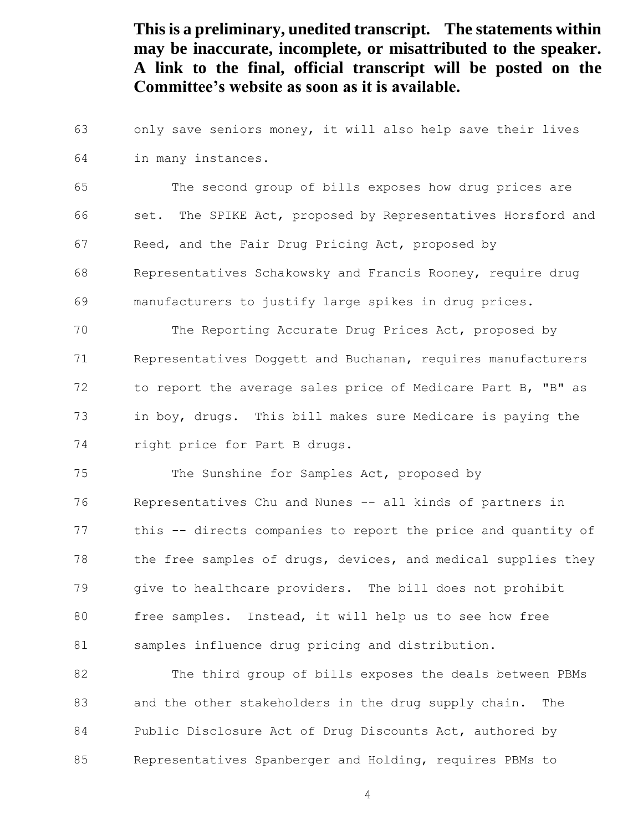only save seniors money, it will also help save their lives in many instances. The second group of bills exposes how drug prices are 66 set. The SPIKE Act, proposed by Representatives Horsford and Reed, and the Fair Drug Pricing Act, proposed by Representatives Schakowsky and Francis Rooney, require drug manufacturers to justify large spikes in drug prices. The Reporting Accurate Drug Prices Act, proposed by Representatives Doggett and Buchanan, requires manufacturers to report the average sales price of Medicare Part B, "B" as in boy, drugs. This bill makes sure Medicare is paying the right price for Part B drugs. The Sunshine for Samples Act, proposed by Representatives Chu and Nunes -- all kinds of partners in this -- directs companies to report the price and quantity of 78 the free samples of drugs, devices, and medical supplies they

 give to healthcare providers. The bill does not prohibit free samples. Instead, it will help us to see how free 81 samples influence drug pricing and distribution.

 The third group of bills exposes the deals between PBMs and the other stakeholders in the drug supply chain. The Public Disclosure Act of Drug Discounts Act, authored by Representatives Spanberger and Holding, requires PBMs to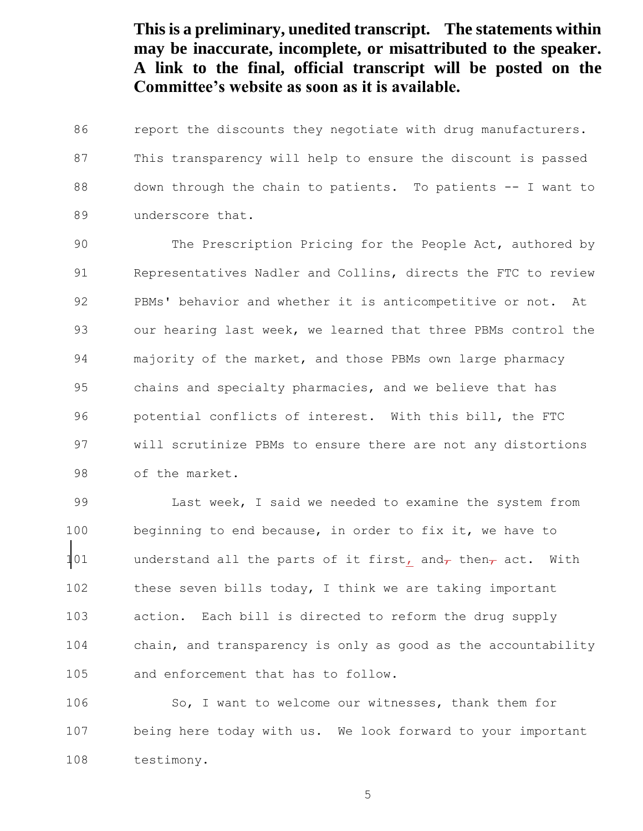86 report the discounts they negotiate with drug manufacturers. This transparency will help to ensure the discount is passed down through the chain to patients. To patients -- I want to underscore that.

 The Prescription Pricing for the People Act, authored by Representatives Nadler and Collins, directs the FTC to review PBMs' behavior and whether it is anticompetitive or not. At our hearing last week, we learned that three PBMs control the majority of the market, and those PBMs own large pharmacy chains and specialty pharmacies, and we believe that has potential conflicts of interest. With this bill, the FTC will scrutinize PBMs to ensure there are not any distortions of the market.

 Last week, I said we needed to examine the system from beginning to end because, in order to fix it, we have to 101 understand all the parts of it first, and<sub> $\tau$ </sub> then $\tau$  act. With these seven bills today, I think we are taking important action. Each bill is directed to reform the drug supply chain, and transparency is only as good as the accountability and enforcement that has to follow.

 So, I want to welcome our witnesses, thank them for being here today with us. We look forward to your important testimony.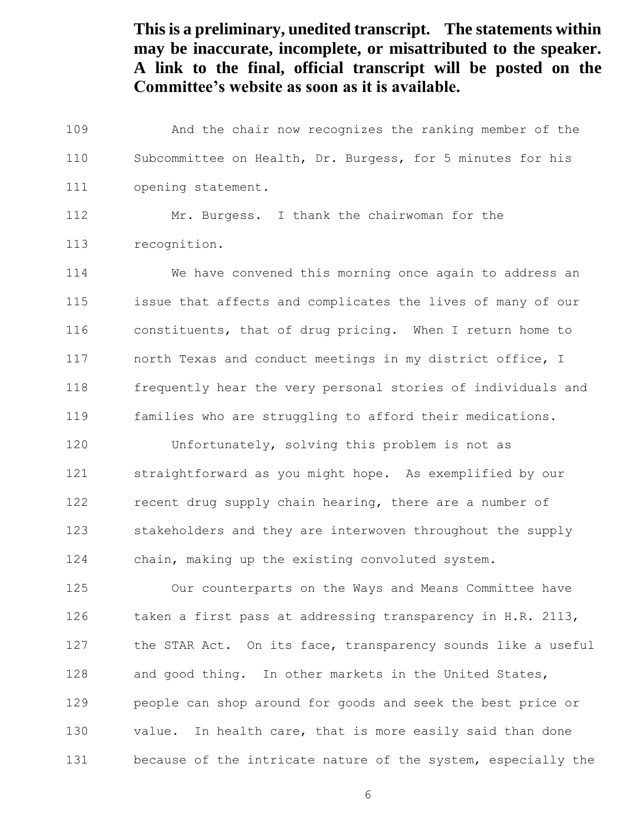And the chair now recognizes the ranking member of the Subcommittee on Health, Dr. Burgess, for 5 minutes for his opening statement.

 Mr. Burgess. I thank the chairwoman for the recognition.

 We have convened this morning once again to address an issue that affects and complicates the lives of many of our constituents, that of drug pricing. When I return home to north Texas and conduct meetings in my district office, I frequently hear the very personal stories of individuals and families who are struggling to afford their medications.

120 Unfortunately, solving this problem is not as straightforward as you might hope. As exemplified by our recent drug supply chain hearing, there are a number of stakeholders and they are interwoven throughout the supply chain, making up the existing convoluted system.

 Our counterparts on the Ways and Means Committee have taken a first pass at addressing transparency in H.R. 2113, the STAR Act. On its face, transparency sounds like a useful and good thing. In other markets in the United States, people can shop around for goods and seek the best price or value. In health care, that is more easily said than done because of the intricate nature of the system, especially the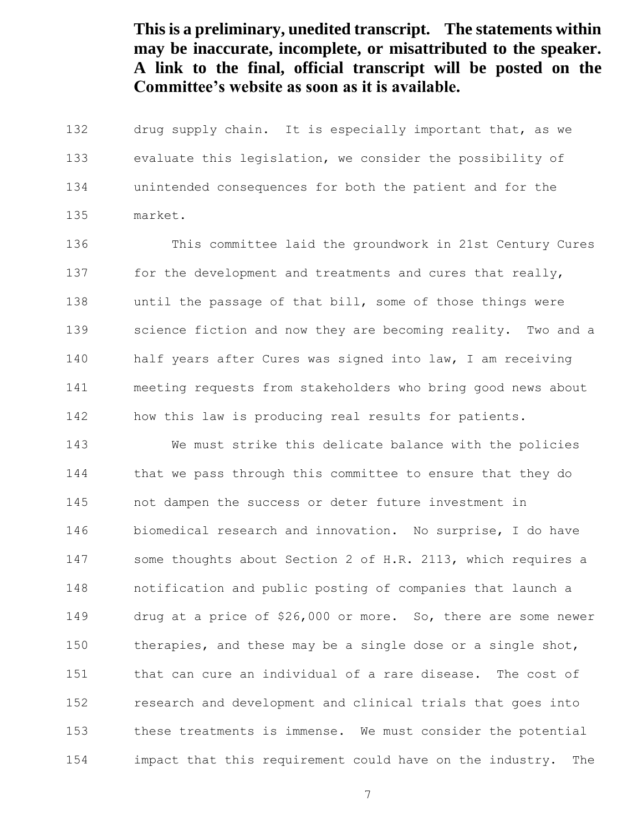132 drug supply chain. It is especially important that, as we evaluate this legislation, we consider the possibility of unintended consequences for both the patient and for the market.

 This committee laid the groundwork in 21st Century Cures 137 for the development and treatments and cures that really, until the passage of that bill, some of those things were science fiction and now they are becoming reality. Two and a half years after Cures was signed into law, I am receiving meeting requests from stakeholders who bring good news about how this law is producing real results for patients.

 We must strike this delicate balance with the policies that we pass through this committee to ensure that they do not dampen the success or deter future investment in biomedical research and innovation. No surprise, I do have some thoughts about Section 2 of H.R. 2113, which requires a notification and public posting of companies that launch a drug at a price of \$26,000 or more. So, there are some newer therapies, and these may be a single dose or a single shot, that can cure an individual of a rare disease. The cost of research and development and clinical trials that goes into these treatments is immense. We must consider the potential impact that this requirement could have on the industry. The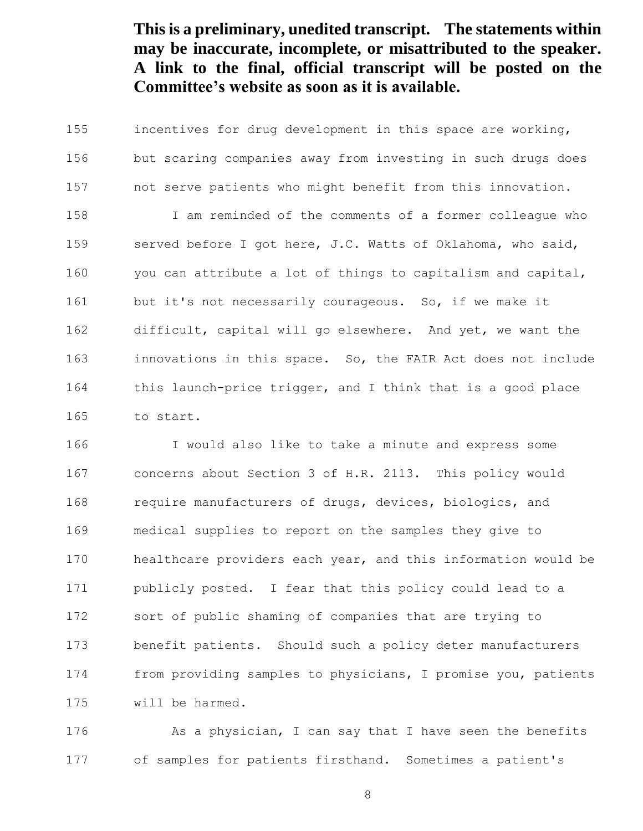incentives for drug development in this space are working, but scaring companies away from investing in such drugs does not serve patients who might benefit from this innovation. I am reminded of the comments of a former colleague who served before I got here, J.C. Watts of Oklahoma, who said, you can attribute a lot of things to capitalism and capital, 161 but it's not necessarily courageous. So, if we make it difficult, capital will go elsewhere. And yet, we want the innovations in this space. So, the FAIR Act does not include this launch-price trigger, and I think that is a good place to start.

 I would also like to take a minute and express some concerns about Section 3 of H.R. 2113. This policy would require manufacturers of drugs, devices, biologics, and medical supplies to report on the samples they give to healthcare providers each year, and this information would be publicly posted. I fear that this policy could lead to a sort of public shaming of companies that are trying to benefit patients. Should such a policy deter manufacturers from providing samples to physicians, I promise you, patients will be harmed.

 As a physician, I can say that I have seen the benefits of samples for patients firsthand. Sometimes a patient's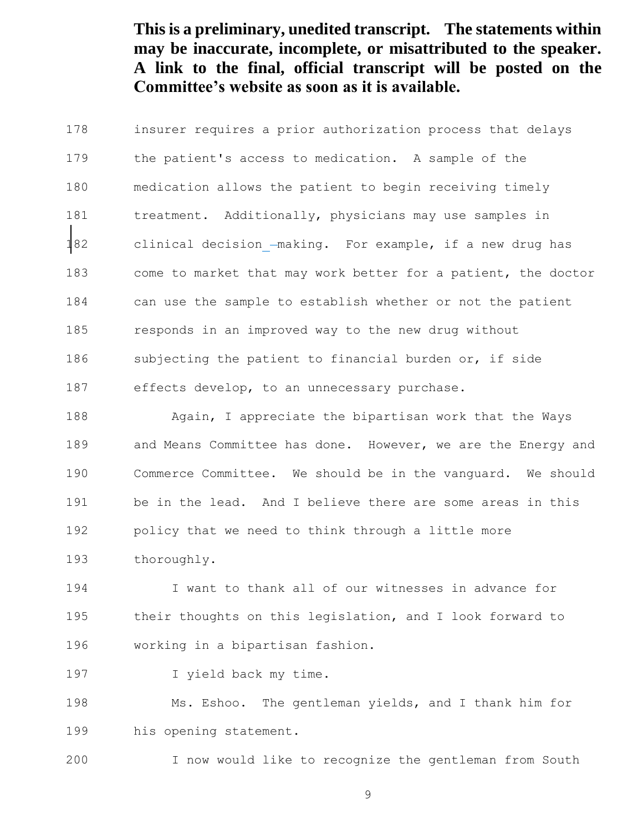insurer requires a prior authorization process that delays the patient's access to medication. A sample of the medication allows the patient to begin receiving timely treatment. Additionally, physicians may use samples in clinical decision making. For example, if a new drug has come to market that may work better for a patient, the doctor can use the sample to establish whether or not the patient responds in an improved way to the new drug without subjecting the patient to financial burden or, if side effects develop, to an unnecessary purchase.

 Again, I appreciate the bipartisan work that the Ways 189 and Means Committee has done. However, we are the Energy and Commerce Committee. We should be in the vanguard. We should be in the lead. And I believe there are some areas in this policy that we need to think through a little more

thoroughly.

 I want to thank all of our witnesses in advance for their thoughts on this legislation, and I look forward to working in a bipartisan fashion.

197 I yield back my time.

 Ms. Eshoo. The gentleman yields, and I thank him for his opening statement.

I now would like to recognize the gentleman from South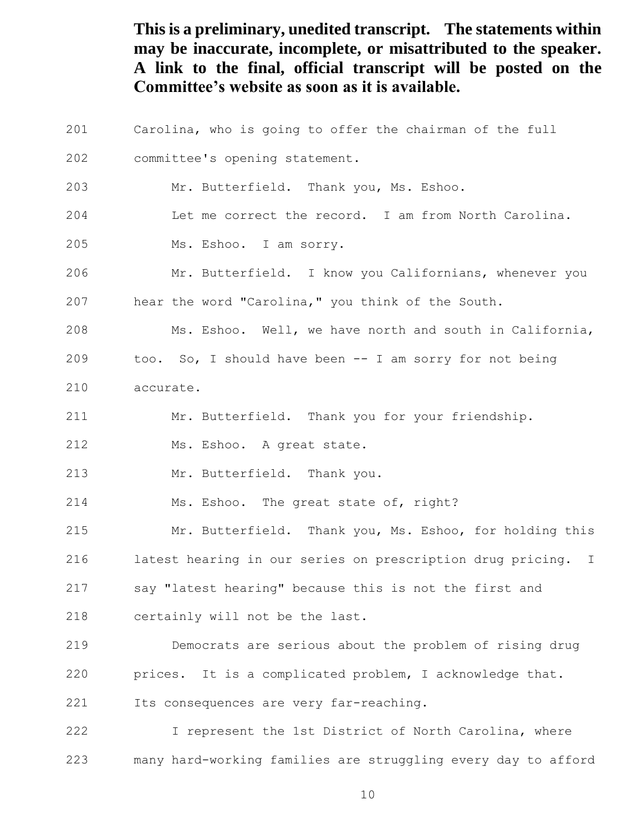Carolina, who is going to offer the chairman of the full committee's opening statement. Mr. Butterfield. Thank you, Ms. Eshoo. Let me correct the record. I am from North Carolina. Ms. Eshoo. I am sorry. Mr. Butterfield. I know you Californians, whenever you hear the word "Carolina," you think of the South. Ms. Eshoo. Well, we have north and south in California, too. So, I should have been -- I am sorry for not being accurate. Mr. Butterfield. Thank you for your friendship. Ms. Eshoo. A great state. Mr. Butterfield. Thank you. Ms. Eshoo. The great state of, right? Mr. Butterfield. Thank you, Ms. Eshoo, for holding this latest hearing in our series on prescription drug pricing. I say "latest hearing" because this is not the first and certainly will not be the last. Democrats are serious about the problem of rising drug prices. It is a complicated problem, I acknowledge that. Its consequences are very far-reaching. I represent the 1st District of North Carolina, where many hard-working families are struggling every day to afford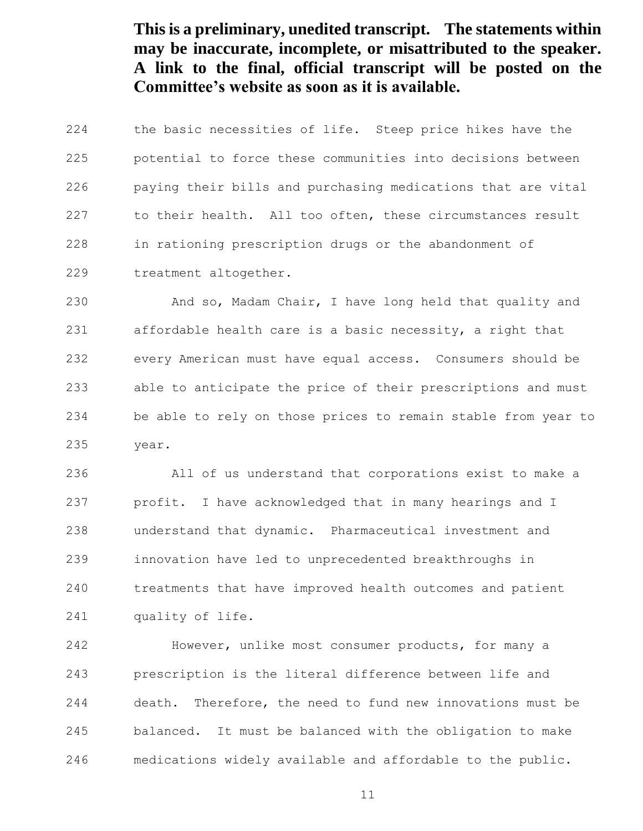the basic necessities of life. Steep price hikes have the potential to force these communities into decisions between paying their bills and purchasing medications that are vital to their health. All too often, these circumstances result in rationing prescription drugs or the abandonment of treatment altogether.

 And so, Madam Chair, I have long held that quality and affordable health care is a basic necessity, a right that every American must have equal access. Consumers should be able to anticipate the price of their prescriptions and must be able to rely on those prices to remain stable from year to year.

 All of us understand that corporations exist to make a profit. I have acknowledged that in many hearings and I understand that dynamic. Pharmaceutical investment and innovation have led to unprecedented breakthroughs in treatments that have improved health outcomes and patient quality of life.

 However, unlike most consumer products, for many a prescription is the literal difference between life and death. Therefore, the need to fund new innovations must be balanced. It must be balanced with the obligation to make medications widely available and affordable to the public.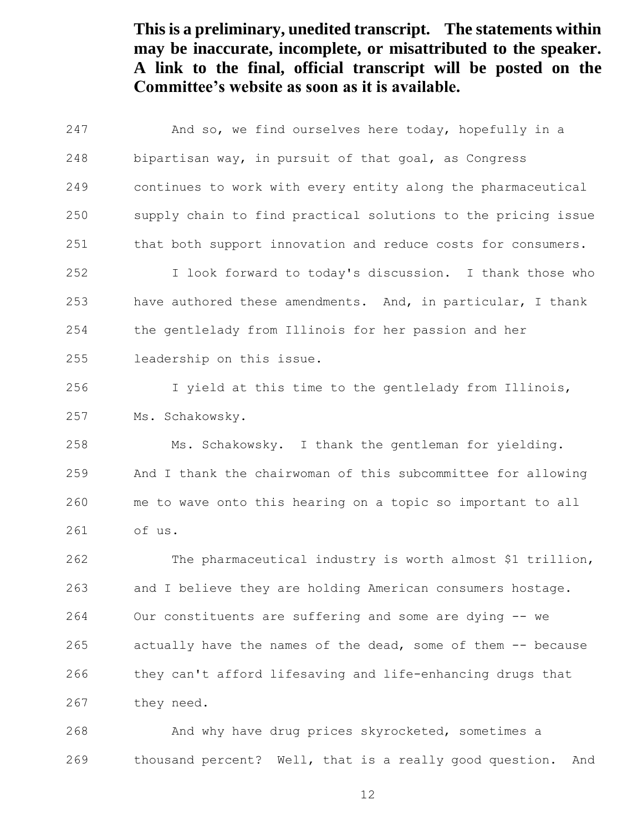And so, we find ourselves here today, hopefully in a bipartisan way, in pursuit of that goal, as Congress continues to work with every entity along the pharmaceutical supply chain to find practical solutions to the pricing issue that both support innovation and reduce costs for consumers. I look forward to today's discussion. I thank those who have authored these amendments. And, in particular, I thank the gentlelady from Illinois for her passion and her leadership on this issue. I yield at this time to the gentlelady from Illinois, Ms. Schakowsky. Ms. Schakowsky. I thank the gentleman for yielding. And I thank the chairwoman of this subcommittee for allowing me to wave onto this hearing on a topic so important to all of us. The pharmaceutical industry is worth almost \$1 trillion, and I believe they are holding American consumers hostage. Our constituents are suffering and some are dying -- we actually have the names of the dead, some of them -- because they can't afford lifesaving and life-enhancing drugs that they need.

 And why have drug prices skyrocketed, sometimes a thousand percent? Well, that is a really good question. And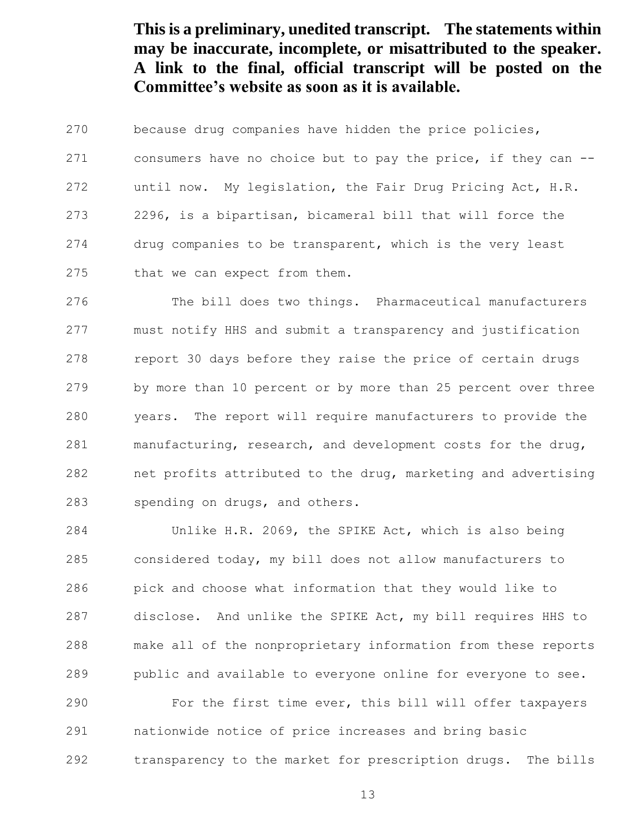because drug companies have hidden the price policies, consumers have no choice but to pay the price, if they can -- until now. My legislation, the Fair Drug Pricing Act, H.R. 2296, is a bipartisan, bicameral bill that will force the drug companies to be transparent, which is the very least that we can expect from them.

 The bill does two things. Pharmaceutical manufacturers must notify HHS and submit a transparency and justification report 30 days before they raise the price of certain drugs by more than 10 percent or by more than 25 percent over three years. The report will require manufacturers to provide the manufacturing, research, and development costs for the drug, net profits attributed to the drug, marketing and advertising spending on drugs, and others.

 Unlike H.R. 2069, the SPIKE Act, which is also being considered today, my bill does not allow manufacturers to pick and choose what information that they would like to disclose. And unlike the SPIKE Act, my bill requires HHS to make all of the nonproprietary information from these reports public and available to everyone online for everyone to see. For the first time ever, this bill will offer taxpayers nationwide notice of price increases and bring basic transparency to the market for prescription drugs. The bills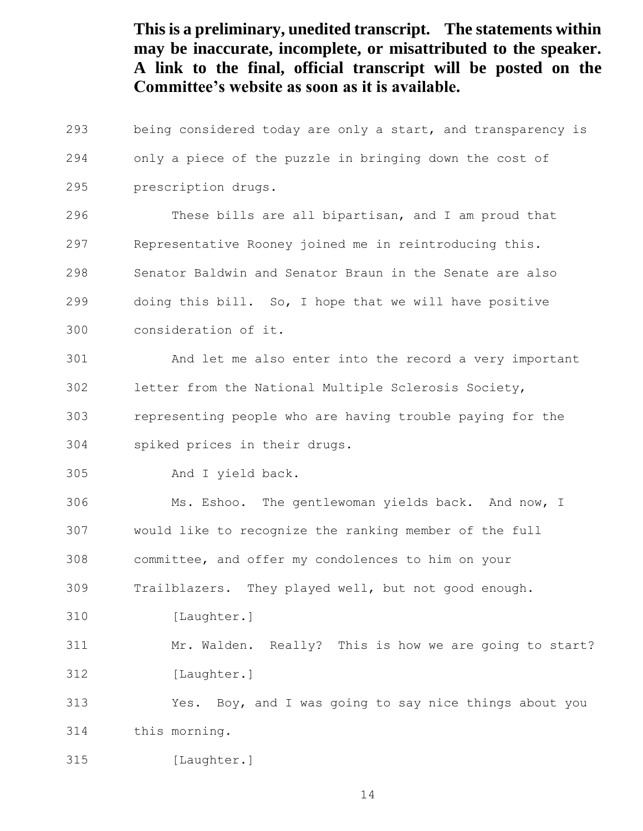being considered today are only a start, and transparency is only a piece of the puzzle in bringing down the cost of prescription drugs. These bills are all bipartisan, and I am proud that Representative Rooney joined me in reintroducing this. Senator Baldwin and Senator Braun in the Senate are also doing this bill. So, I hope that we will have positive consideration of it. And let me also enter into the record a very important letter from the National Multiple Sclerosis Society, representing people who are having trouble paying for the spiked prices in their drugs. And I yield back. Ms. Eshoo. The gentlewoman yields back. And now, I would like to recognize the ranking member of the full committee, and offer my condolences to him on your Trailblazers. They played well, but not good enough. [Laughter.] Mr. Walden. Really? This is how we are going to start? [Laughter.] Yes. Boy, and I was going to say nice things about you this morning. [Laughter.]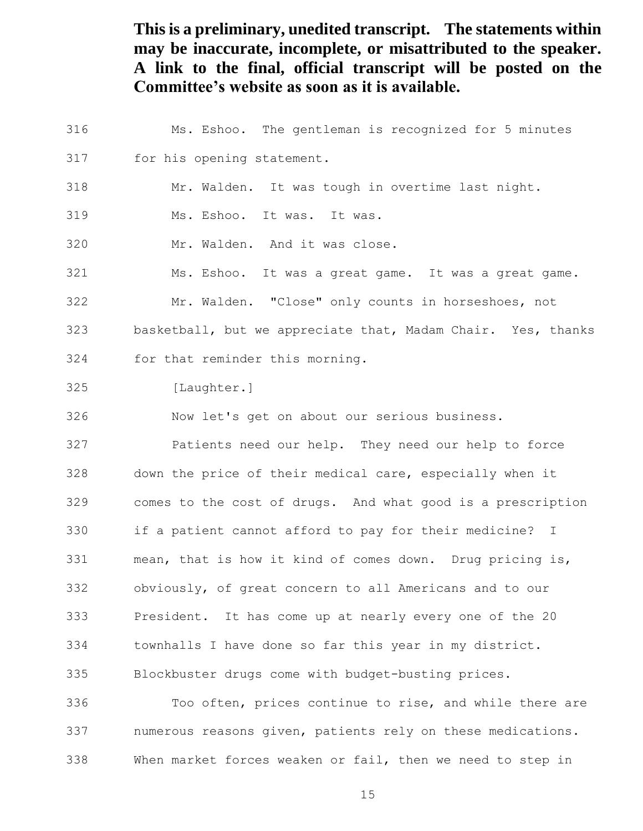Ms. Eshoo. The gentleman is recognized for 5 minutes for his opening statement. Mr. Walden. It was tough in overtime last night. Ms. Eshoo. It was. It was. Mr. Walden. And it was close. Ms. Eshoo. It was a great game. It was a great game. Mr. Walden. "Close" only counts in horseshoes, not basketball, but we appreciate that, Madam Chair. Yes, thanks for that reminder this morning. [Laughter.] Now let's get on about our serious business. Patients need our help. They need our help to force down the price of their medical care, especially when it comes to the cost of drugs. And what good is a prescription if a patient cannot afford to pay for their medicine? I mean, that is how it kind of comes down. Drug pricing is, obviously, of great concern to all Americans and to our President. It has come up at nearly every one of the 20 townhalls I have done so far this year in my district. Blockbuster drugs come with budget-busting prices. Too often, prices continue to rise, and while there are numerous reasons given, patients rely on these medications. When market forces weaken or fail, then we need to step in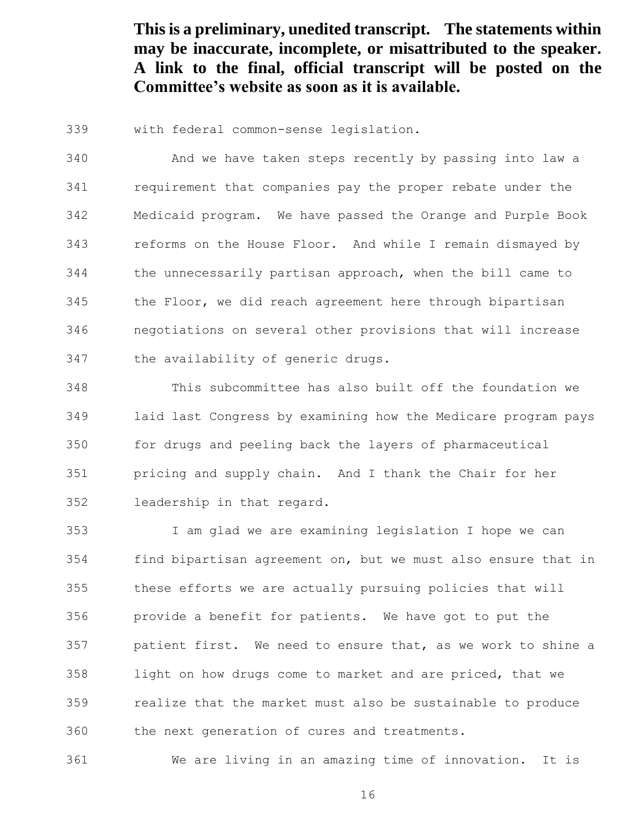with federal common-sense legislation.

 And we have taken steps recently by passing into law a requirement that companies pay the proper rebate under the Medicaid program. We have passed the Orange and Purple Book reforms on the House Floor. And while I remain dismayed by the unnecessarily partisan approach, when the bill came to the Floor, we did reach agreement here through bipartisan negotiations on several other provisions that will increase the availability of generic drugs.

 This subcommittee has also built off the foundation we laid last Congress by examining how the Medicare program pays for drugs and peeling back the layers of pharmaceutical pricing and supply chain. And I thank the Chair for her leadership in that regard.

 I am glad we are examining legislation I hope we can find bipartisan agreement on, but we must also ensure that in these efforts we are actually pursuing policies that will provide a benefit for patients. We have got to put the patient first. We need to ensure that, as we work to shine a light on how drugs come to market and are priced, that we realize that the market must also be sustainable to produce the next generation of cures and treatments.

We are living in an amazing time of innovation. It is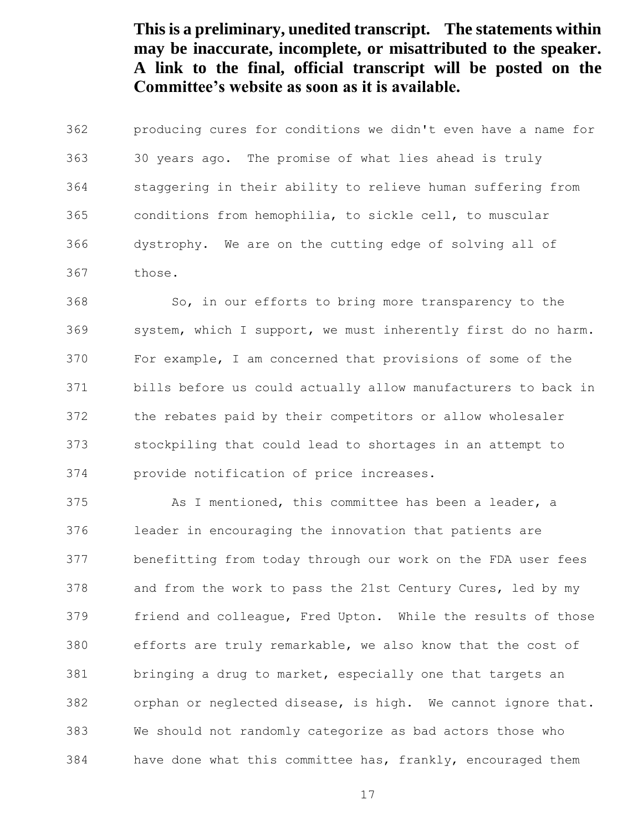producing cures for conditions we didn't even have a name for 30 years ago. The promise of what lies ahead is truly staggering in their ability to relieve human suffering from conditions from hemophilia, to sickle cell, to muscular dystrophy. We are on the cutting edge of solving all of those.

 So, in our efforts to bring more transparency to the system, which I support, we must inherently first do no harm. For example, I am concerned that provisions of some of the bills before us could actually allow manufacturers to back in the rebates paid by their competitors or allow wholesaler stockpiling that could lead to shortages in an attempt to provide notification of price increases.

 As I mentioned, this committee has been a leader, a leader in encouraging the innovation that patients are benefitting from today through our work on the FDA user fees and from the work to pass the 21st Century Cures, led by my friend and colleague, Fred Upton. While the results of those efforts are truly remarkable, we also know that the cost of bringing a drug to market, especially one that targets an orphan or neglected disease, is high. We cannot ignore that. We should not randomly categorize as bad actors those who have done what this committee has, frankly, encouraged them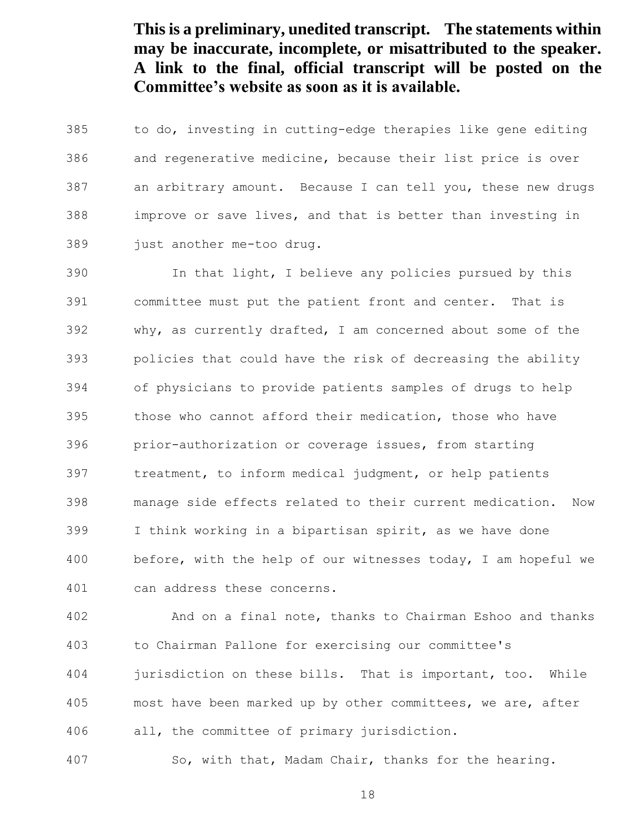to do, investing in cutting-edge therapies like gene editing and regenerative medicine, because their list price is over an arbitrary amount. Because I can tell you, these new drugs improve or save lives, and that is better than investing in just another me-too drug.

 In that light, I believe any policies pursued by this committee must put the patient front and center. That is why, as currently drafted, I am concerned about some of the policies that could have the risk of decreasing the ability of physicians to provide patients samples of drugs to help those who cannot afford their medication, those who have prior-authorization or coverage issues, from starting treatment, to inform medical judgment, or help patients manage side effects related to their current medication. Now I think working in a bipartisan spirit, as we have done before, with the help of our witnesses today, I am hopeful we can address these concerns.

 And on a final note, thanks to Chairman Eshoo and thanks to Chairman Pallone for exercising our committee's jurisdiction on these bills. That is important, too. While most have been marked up by other committees, we are, after all, the committee of primary jurisdiction.

So, with that, Madam Chair, thanks for the hearing.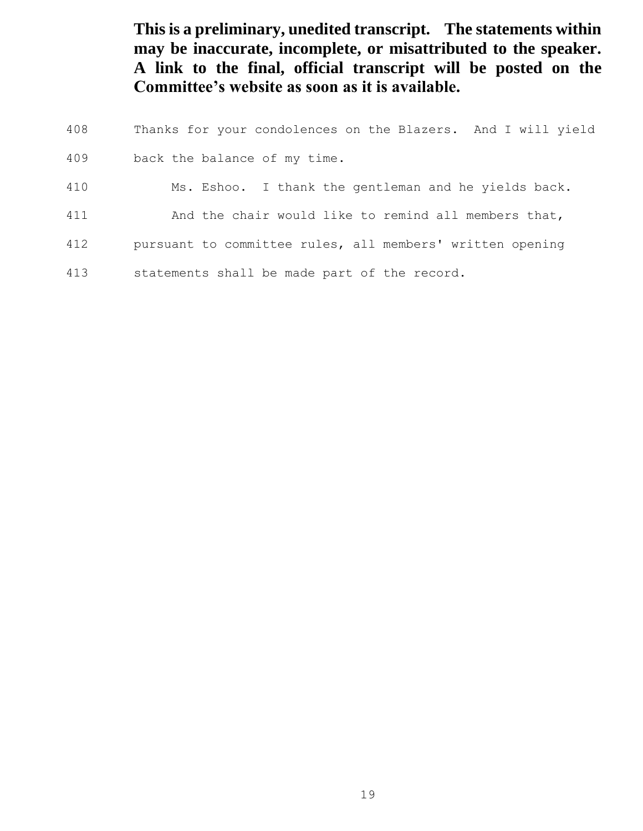Thanks for your condolences on the Blazers. And I will yield back the balance of my time. Ms. Eshoo. I thank the gentleman and he yields back. And the chair would like to remind all members that, pursuant to committee rules, all members' written opening statements shall be made part of the record.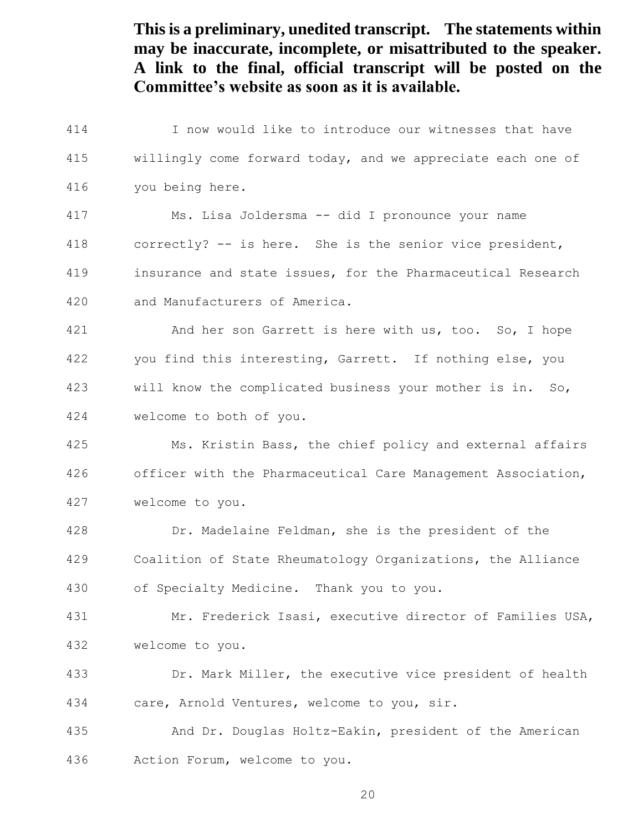I now would like to introduce our witnesses that have willingly come forward today, and we appreciate each one of you being here. Ms. Lisa Joldersma -- did I pronounce your name correctly? -- is here. She is the senior vice president, insurance and state issues, for the Pharmaceutical Research and Manufacturers of America. And her son Garrett is here with us, too. So, I hope 422 you find this interesting, Garrett. If nothing else, you will know the complicated business your mother is in. So, welcome to both of you. Ms. Kristin Bass, the chief policy and external affairs officer with the Pharmaceutical Care Management Association, welcome to you. Dr. Madelaine Feldman, she is the president of the Coalition of State Rheumatology Organizations, the Alliance of Specialty Medicine. Thank you to you. Mr. Frederick Isasi, executive director of Families USA, welcome to you. Dr. Mark Miller, the executive vice president of health care, Arnold Ventures, welcome to you, sir. And Dr. Douglas Holtz-Eakin, president of the American Action Forum, welcome to you.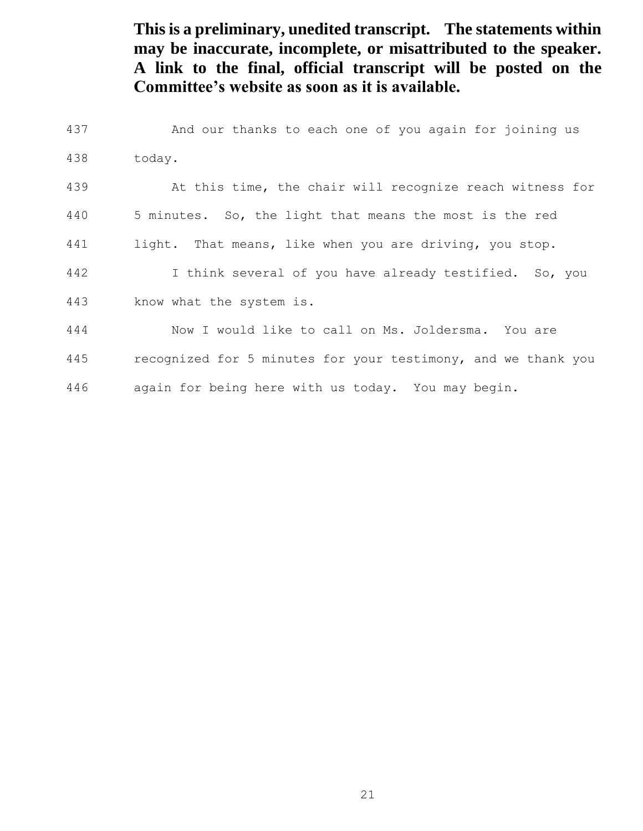| 437 | And our thanks to each one of you again for joining us        |
|-----|---------------------------------------------------------------|
| 438 | today.                                                        |
| 439 | At this time, the chair will recognize reach witness for      |
| 440 | 5 minutes. So, the light that means the most is the red       |
| 441 | light. That means, like when you are driving, you stop.       |
| 442 | I think several of you have already testified. So, you        |
| 443 | know what the system is.                                      |
| 444 | Now I would like to call on Ms. Joldersma. You are            |
| 445 | recognized for 5 minutes for your testimony, and we thank you |
| 446 | again for being here with us today. You may begin.            |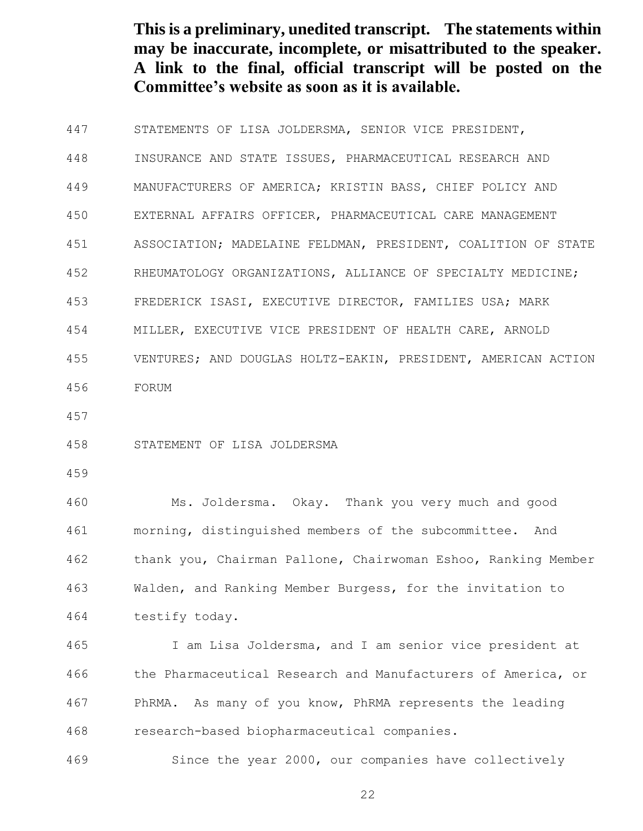STATEMENTS OF LISA JOLDERSMA, SENIOR VICE PRESIDENT, INSURANCE AND STATE ISSUES, PHARMACEUTICAL RESEARCH AND MANUFACTURERS OF AMERICA; KRISTIN BASS, CHIEF POLICY AND EXTERNAL AFFAIRS OFFICER, PHARMACEUTICAL CARE MANAGEMENT ASSOCIATION; MADELAINE FELDMAN, PRESIDENT, COALITION OF STATE RHEUMATOLOGY ORGANIZATIONS, ALLIANCE OF SPECIALTY MEDICINE; FREDERICK ISASI, EXECUTIVE DIRECTOR, FAMILIES USA; MARK MILLER, EXECUTIVE VICE PRESIDENT OF HEALTH CARE, ARNOLD VENTURES; AND DOUGLAS HOLTZ-EAKIN, PRESIDENT, AMERICAN ACTION FORUM

STATEMENT OF LISA JOLDERSMA

 Ms. Joldersma. Okay. Thank you very much and good morning, distinguished members of the subcommittee. And thank you, Chairman Pallone, Chairwoman Eshoo, Ranking Member Walden, and Ranking Member Burgess, for the invitation to testify today.

 I am Lisa Joldersma, and I am senior vice president at the Pharmaceutical Research and Manufacturers of America, or PhRMA. As many of you know, PhRMA represents the leading research-based biopharmaceutical companies.

Since the year 2000, our companies have collectively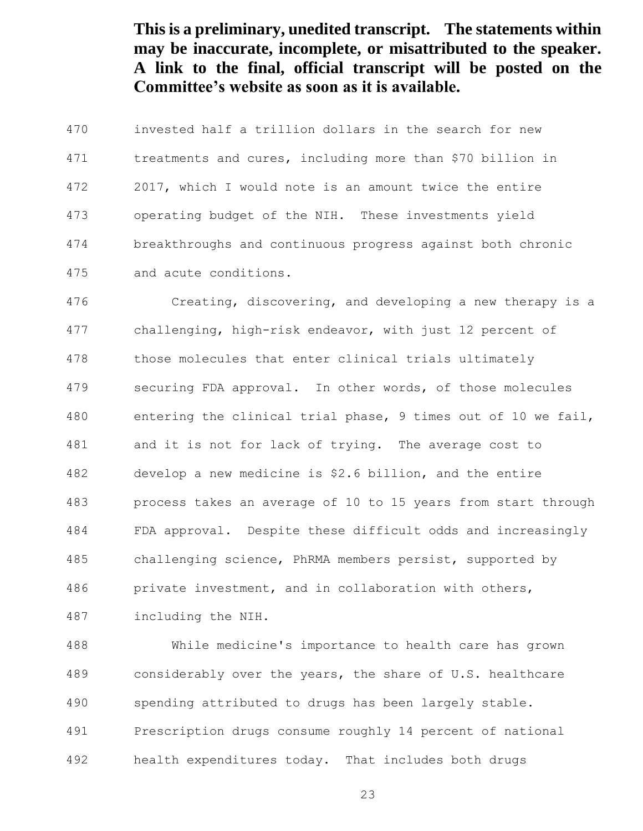invested half a trillion dollars in the search for new treatments and cures, including more than \$70 billion in 2017, which I would note is an amount twice the entire operating budget of the NIH. These investments yield breakthroughs and continuous progress against both chronic and acute conditions.

 Creating, discovering, and developing a new therapy is a challenging, high-risk endeavor, with just 12 percent of those molecules that enter clinical trials ultimately securing FDA approval. In other words, of those molecules entering the clinical trial phase, 9 times out of 10 we fail, and it is not for lack of trying. The average cost to develop a new medicine is \$2.6 billion, and the entire process takes an average of 10 to 15 years from start through FDA approval. Despite these difficult odds and increasingly challenging science, PhRMA members persist, supported by private investment, and in collaboration with others, including the NIH.

 While medicine's importance to health care has grown considerably over the years, the share of U.S. healthcare spending attributed to drugs has been largely stable. Prescription drugs consume roughly 14 percent of national health expenditures today. That includes both drugs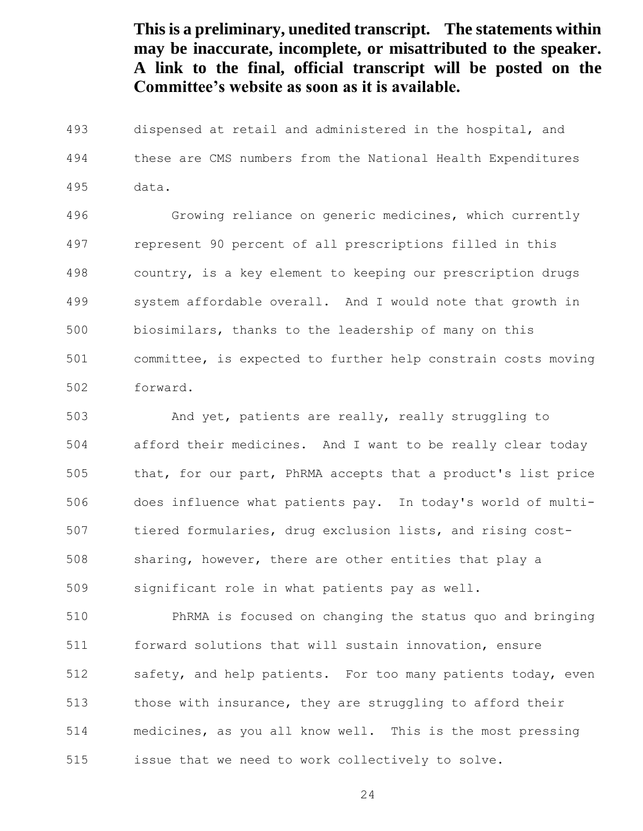dispensed at retail and administered in the hospital, and these are CMS numbers from the National Health Expenditures data.

 Growing reliance on generic medicines, which currently represent 90 percent of all prescriptions filled in this country, is a key element to keeping our prescription drugs system affordable overall. And I would note that growth in biosimilars, thanks to the leadership of many on this committee, is expected to further help constrain costs moving forward.

 And yet, patients are really, really struggling to afford their medicines. And I want to be really clear today that, for our part, PhRMA accepts that a product's list price does influence what patients pay. In today's world of multi- tiered formularies, drug exclusion lists, and rising cost- sharing, however, there are other entities that play a significant role in what patients pay as well.

 PhRMA is focused on changing the status quo and bringing forward solutions that will sustain innovation, ensure safety, and help patients. For too many patients today, even those with insurance, they are struggling to afford their medicines, as you all know well. This is the most pressing issue that we need to work collectively to solve.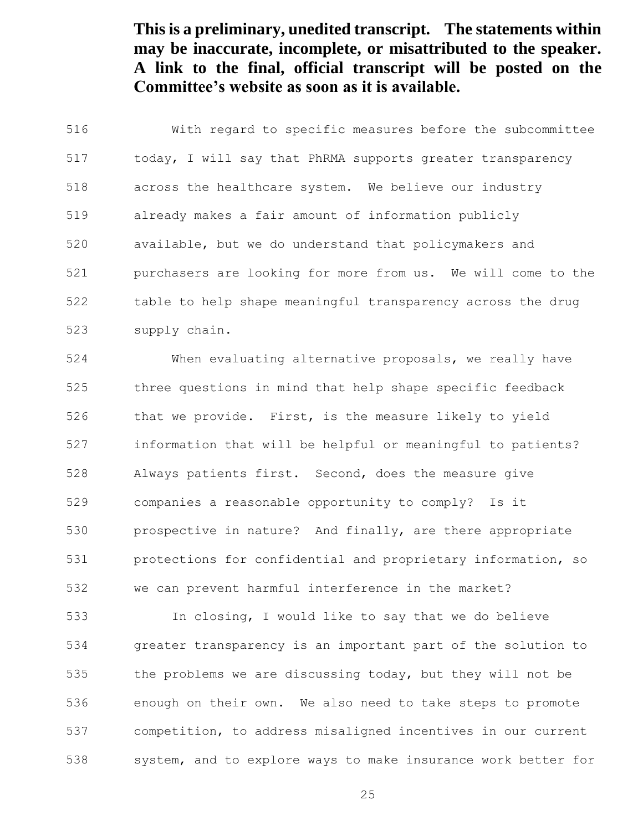With regard to specific measures before the subcommittee today, I will say that PhRMA supports greater transparency across the healthcare system. We believe our industry already makes a fair amount of information publicly available, but we do understand that policymakers and purchasers are looking for more from us. We will come to the table to help shape meaningful transparency across the drug supply chain.

 When evaluating alternative proposals, we really have three questions in mind that help shape specific feedback that we provide. First, is the measure likely to yield information that will be helpful or meaningful to patients? Always patients first. Second, does the measure give companies a reasonable opportunity to comply? Is it prospective in nature? And finally, are there appropriate protections for confidential and proprietary information, so we can prevent harmful interference in the market?

 In closing, I would like to say that we do believe greater transparency is an important part of the solution to the problems we are discussing today, but they will not be enough on their own. We also need to take steps to promote competition, to address misaligned incentives in our current system, and to explore ways to make insurance work better for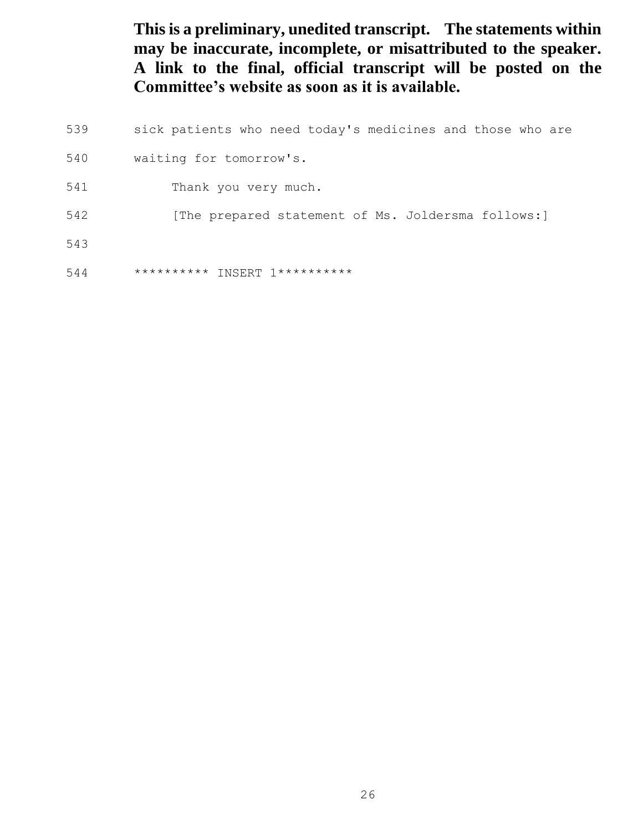sick patients who need today's medicines and those who are waiting for tomorrow's. Thank you very much. [The prepared statement of Ms. Joldersma follows:] 543 544 \*\*\*\*\*\*\*\*\*\* INSERT 1\*\*\*\*\*\*\*\*\*\*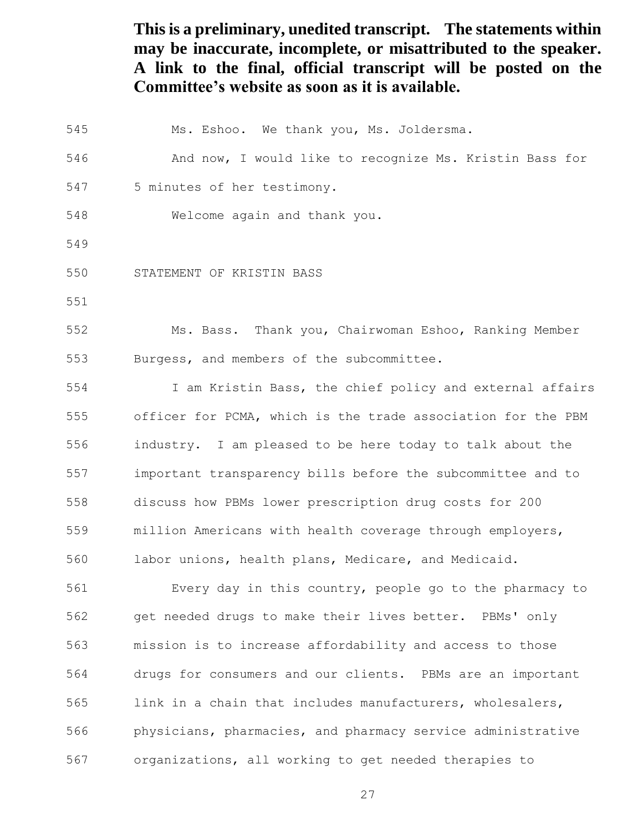Ms. Eshoo. We thank you, Ms. Joldersma. And now, I would like to recognize Ms. Kristin Bass for 5 minutes of her testimony. Welcome again and thank you. STATEMENT OF KRISTIN BASS Ms. Bass. Thank you, Chairwoman Eshoo, Ranking Member Burgess, and members of the subcommittee. I am Kristin Bass, the chief policy and external affairs officer for PCMA, which is the trade association for the PBM industry. I am pleased to be here today to talk about the important transparency bills before the subcommittee and to discuss how PBMs lower prescription drug costs for 200 million Americans with health coverage through employers, labor unions, health plans, Medicare, and Medicaid. Every day in this country, people go to the pharmacy to get needed drugs to make their lives better. PBMs' only mission is to increase affordability and access to those drugs for consumers and our clients. PBMs are an important link in a chain that includes manufacturers, wholesalers, physicians, pharmacies, and pharmacy service administrative organizations, all working to get needed therapies to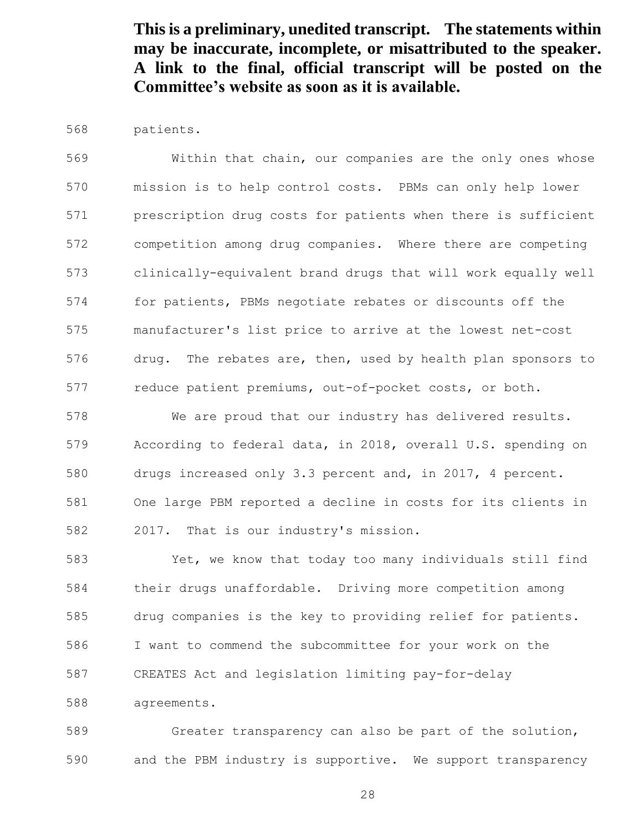patients.

 Within that chain, our companies are the only ones whose mission is to help control costs. PBMs can only help lower prescription drug costs for patients when there is sufficient competition among drug companies. Where there are competing clinically-equivalent brand drugs that will work equally well for patients, PBMs negotiate rebates or discounts off the manufacturer's list price to arrive at the lowest net-cost drug. The rebates are, then, used by health plan sponsors to reduce patient premiums, out-of-pocket costs, or both. We are proud that our industry has delivered results.

 According to federal data, in 2018, overall U.S. spending on drugs increased only 3.3 percent and, in 2017, 4 percent. One large PBM reported a decline in costs for its clients in 2017. That is our industry's mission.

 Yet, we know that today too many individuals still find their drugs unaffordable. Driving more competition among drug companies is the key to providing relief for patients. I want to commend the subcommittee for your work on the CREATES Act and legislation limiting pay-for-delay

agreements.

 Greater transparency can also be part of the solution, and the PBM industry is supportive. We support transparency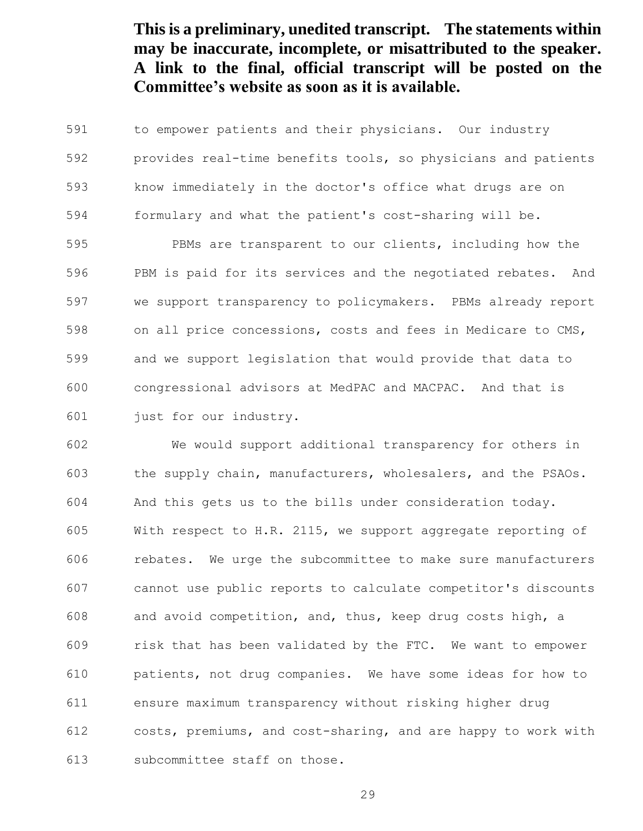to empower patients and their physicians. Our industry provides real-time benefits tools, so physicians and patients know immediately in the doctor's office what drugs are on formulary and what the patient's cost-sharing will be.

 PBMs are transparent to our clients, including how the PBM is paid for its services and the negotiated rebates. And we support transparency to policymakers. PBMs already report on all price concessions, costs and fees in Medicare to CMS, and we support legislation that would provide that data to congressional advisors at MedPAC and MACPAC. And that is just for our industry.

 We would support additional transparency for others in the supply chain, manufacturers, wholesalers, and the PSAOs. And this gets us to the bills under consideration today. With respect to H.R. 2115, we support aggregate reporting of rebates. We urge the subcommittee to make sure manufacturers cannot use public reports to calculate competitor's discounts and avoid competition, and, thus, keep drug costs high, a risk that has been validated by the FTC. We want to empower patients, not drug companies. We have some ideas for how to ensure maximum transparency without risking higher drug costs, premiums, and cost-sharing, and are happy to work with subcommittee staff on those.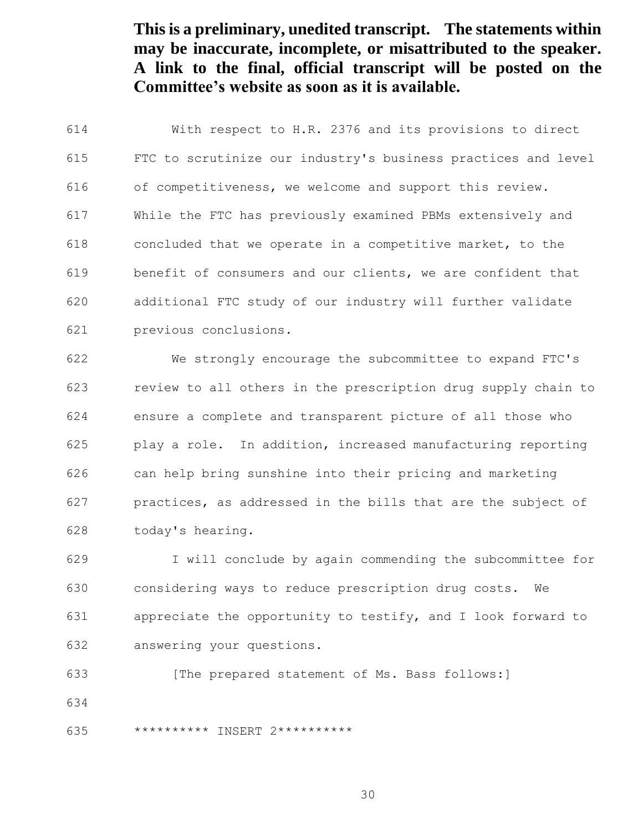With respect to H.R. 2376 and its provisions to direct FTC to scrutinize our industry's business practices and level of competitiveness, we welcome and support this review. While the FTC has previously examined PBMs extensively and concluded that we operate in a competitive market, to the benefit of consumers and our clients, we are confident that additional FTC study of our industry will further validate previous conclusions.

 We strongly encourage the subcommittee to expand FTC's review to all others in the prescription drug supply chain to ensure a complete and transparent picture of all those who play a role. In addition, increased manufacturing reporting can help bring sunshine into their pricing and marketing practices, as addressed in the bills that are the subject of today's hearing.

 I will conclude by again commending the subcommittee for considering ways to reduce prescription drug costs. We appreciate the opportunity to testify, and I look forward to answering your questions.

633 [The prepared statement of Ms. Bass follows: 

\*\*\*\*\*\*\*\*\*\* INSERT 2\*\*\*\*\*\*\*\*\*\*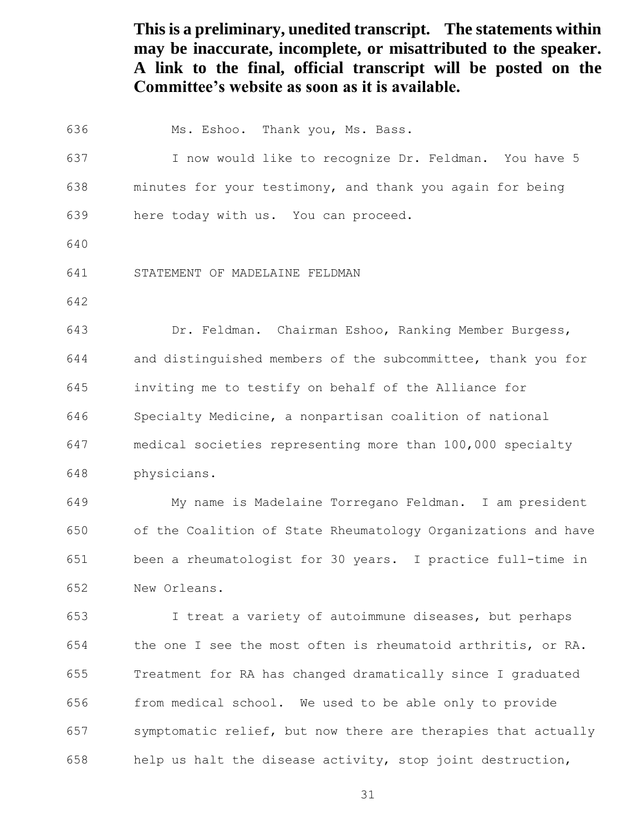Ms. Eshoo. Thank you, Ms. Bass. I now would like to recognize Dr. Feldman. You have 5 minutes for your testimony, and thank you again for being here today with us. You can proceed. STATEMENT OF MADELAINE FELDMAN Dr. Feldman. Chairman Eshoo, Ranking Member Burgess, and distinguished members of the subcommittee, thank you for inviting me to testify on behalf of the Alliance for Specialty Medicine, a nonpartisan coalition of national medical societies representing more than 100,000 specialty physicians. My name is Madelaine Torregano Feldman. I am president of the Coalition of State Rheumatology Organizations and have been a rheumatologist for 30 years. I practice full-time in New Orleans.

 I treat a variety of autoimmune diseases, but perhaps the one I see the most often is rheumatoid arthritis, or RA. Treatment for RA has changed dramatically since I graduated from medical school. We used to be able only to provide symptomatic relief, but now there are therapies that actually help us halt the disease activity, stop joint destruction,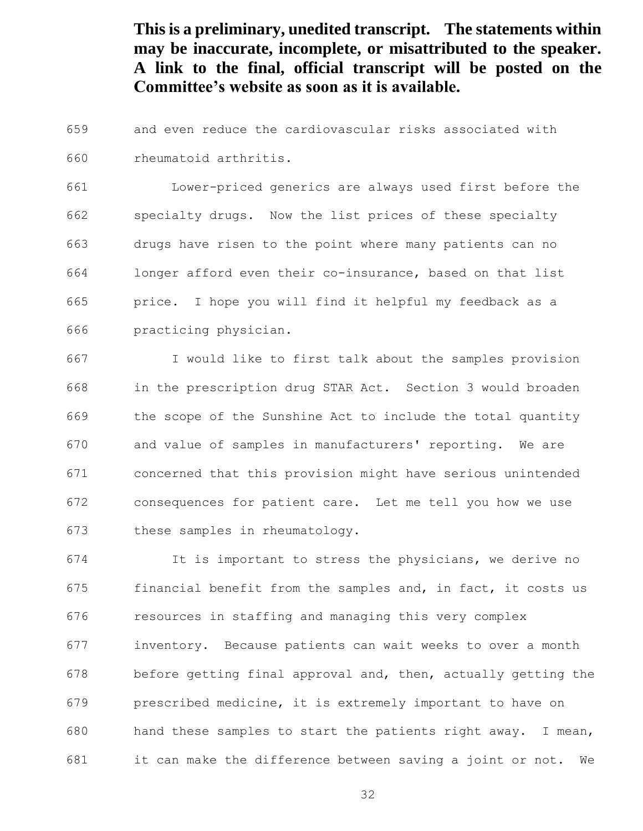and even reduce the cardiovascular risks associated with

rheumatoid arthritis.

 Lower-priced generics are always used first before the specialty drugs. Now the list prices of these specialty drugs have risen to the point where many patients can no longer afford even their co-insurance, based on that list price. I hope you will find it helpful my feedback as a practicing physician.

 I would like to first talk about the samples provision in the prescription drug STAR Act. Section 3 would broaden the scope of the Sunshine Act to include the total quantity and value of samples in manufacturers' reporting. We are concerned that this provision might have serious unintended consequences for patient care. Let me tell you how we use these samples in rheumatology.

 It is important to stress the physicians, we derive no financial benefit from the samples and, in fact, it costs us resources in staffing and managing this very complex inventory. Because patients can wait weeks to over a month before getting final approval and, then, actually getting the prescribed medicine, it is extremely important to have on hand these samples to start the patients right away. I mean, it can make the difference between saving a joint or not. We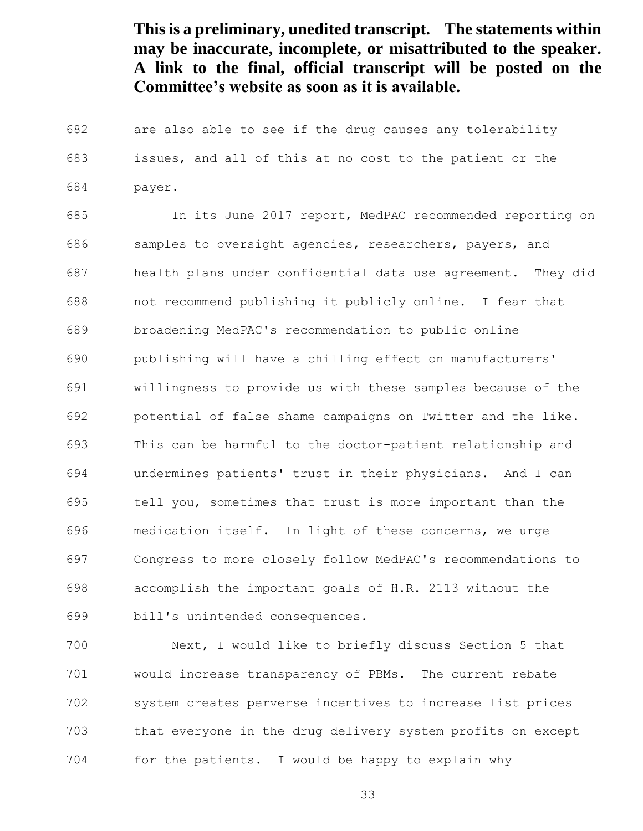are also able to see if the drug causes any tolerability issues, and all of this at no cost to the patient or the payer.

 In its June 2017 report, MedPAC recommended reporting on 686 samples to oversight agencies, researchers, payers, and health plans under confidential data use agreement. They did not recommend publishing it publicly online. I fear that broadening MedPAC's recommendation to public online publishing will have a chilling effect on manufacturers' willingness to provide us with these samples because of the potential of false shame campaigns on Twitter and the like. This can be harmful to the doctor-patient relationship and undermines patients' trust in their physicians. And I can tell you, sometimes that trust is more important than the medication itself. In light of these concerns, we urge Congress to more closely follow MedPAC's recommendations to accomplish the important goals of H.R. 2113 without the bill's unintended consequences.

 Next, I would like to briefly discuss Section 5 that would increase transparency of PBMs. The current rebate system creates perverse incentives to increase list prices that everyone in the drug delivery system profits on except for the patients. I would be happy to explain why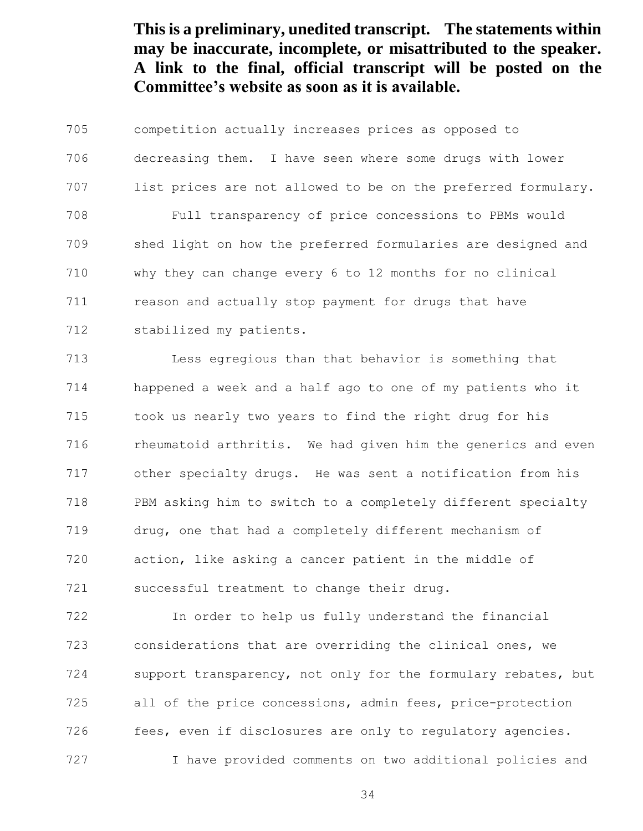competition actually increases prices as opposed to decreasing them. I have seen where some drugs with lower list prices are not allowed to be on the preferred formulary. Full transparency of price concessions to PBMs would shed light on how the preferred formularies are designed and why they can change every 6 to 12 months for no clinical 711 reason and actually stop payment for drugs that have stabilized my patients.

 Less egregious than that behavior is something that happened a week and a half ago to one of my patients who it took us nearly two years to find the right drug for his 716 rheumatoid arthritis. We had given him the generics and even other specialty drugs. He was sent a notification from his PBM asking him to switch to a completely different specialty drug, one that had a completely different mechanism of action, like asking a cancer patient in the middle of successful treatment to change their drug.

 In order to help us fully understand the financial considerations that are overriding the clinical ones, we support transparency, not only for the formulary rebates, but all of the price concessions, admin fees, price-protection 726 fees, even if disclosures are only to regulatory agencies. I have provided comments on two additional policies and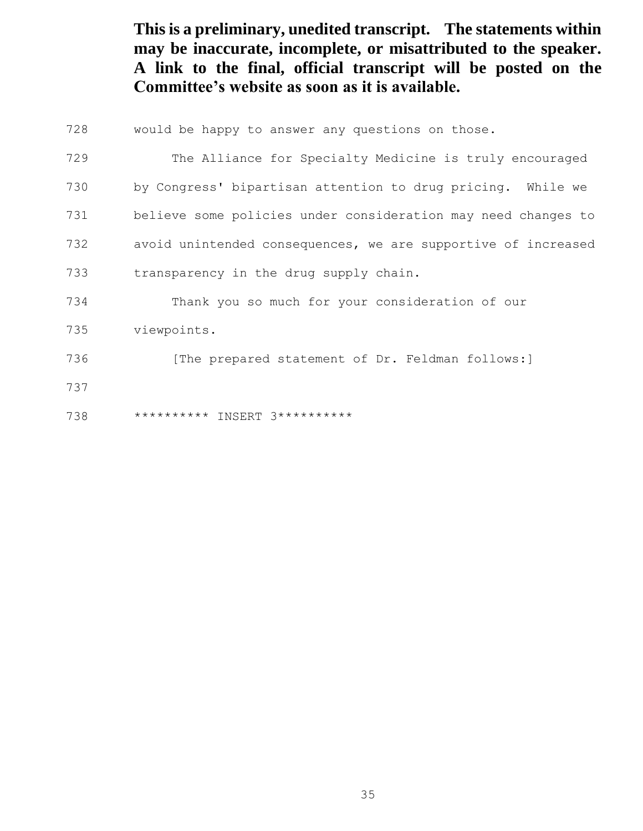| 728 | would be happy to answer any questions on those.              |
|-----|---------------------------------------------------------------|
| 729 | The Alliance for Specialty Medicine is truly encouraged       |
| 730 | by Congress' bipartisan attention to drug pricing. While we   |
| 731 | believe some policies under consideration may need changes to |
| 732 | avoid unintended consequences, we are supportive of increased |
| 733 | transparency in the drug supply chain.                        |
| 734 | Thank you so much for your consideration of our               |
| 735 | viewpoints.                                                   |
| 736 | [The prepared statement of Dr. Feldman follows:]              |
| 737 |                                                               |
| 738 | ********** INSERT 3**********                                 |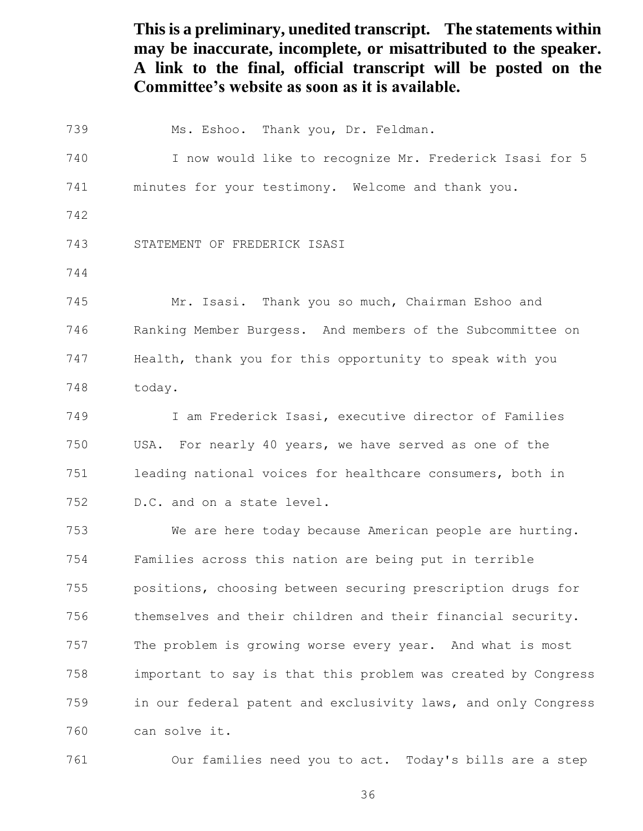Ms. Eshoo. Thank you, Dr. Feldman. I now would like to recognize Mr. Frederick Isasi for 5 minutes for your testimony. Welcome and thank you. STATEMENT OF FREDERICK ISASI Mr. Isasi. Thank you so much, Chairman Eshoo and Ranking Member Burgess. And members of the Subcommittee on Health, thank you for this opportunity to speak with you today. I am Frederick Isasi, executive director of Families USA. For nearly 40 years, we have served as one of the leading national voices for healthcare consumers, both in D.C. and on a state level. We are here today because American people are hurting. Families across this nation are being put in terrible positions, choosing between securing prescription drugs for themselves and their children and their financial security. The problem is growing worse every year. And what is most important to say is that this problem was created by Congress in our federal patent and exclusivity laws, and only Congress can solve it. Our families need you to act. Today's bills are a step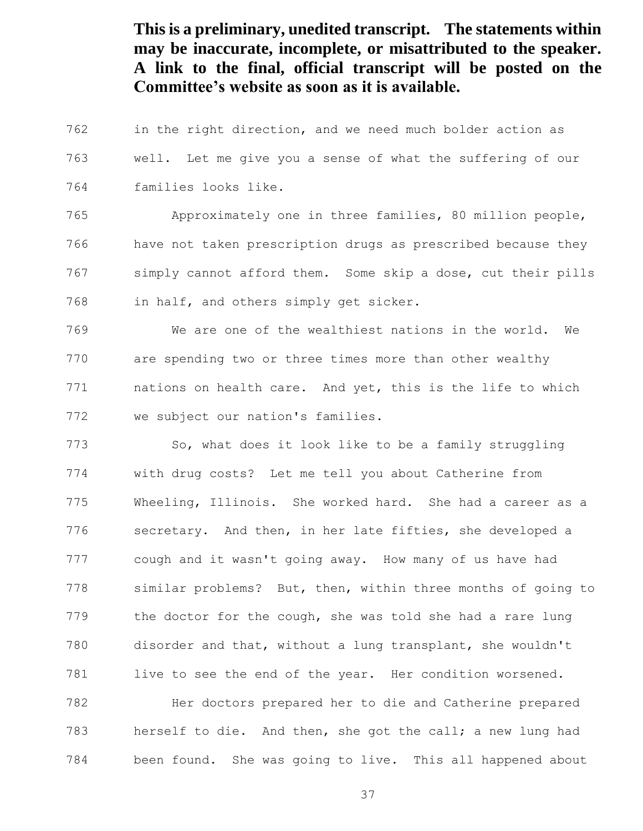in the right direction, and we need much bolder action as well. Let me give you a sense of what the suffering of our families looks like.

 Approximately one in three families, 80 million people, have not taken prescription drugs as prescribed because they simply cannot afford them. Some skip a dose, cut their pills in half, and others simply get sicker.

 We are one of the wealthiest nations in the world. We are spending two or three times more than other wealthy nations on health care. And yet, this is the life to which we subject our nation's families.

 So, what does it look like to be a family struggling with drug costs? Let me tell you about Catherine from Wheeling, Illinois. She worked hard. She had a career as a secretary. And then, in her late fifties, she developed a cough and it wasn't going away. How many of us have had similar problems? But, then, within three months of going to the doctor for the cough, she was told she had a rare lung disorder and that, without a lung transplant, she wouldn't live to see the end of the year. Her condition worsened. Her doctors prepared her to die and Catherine prepared

 herself to die. And then, she got the call; a new lung had been found. She was going to live. This all happened about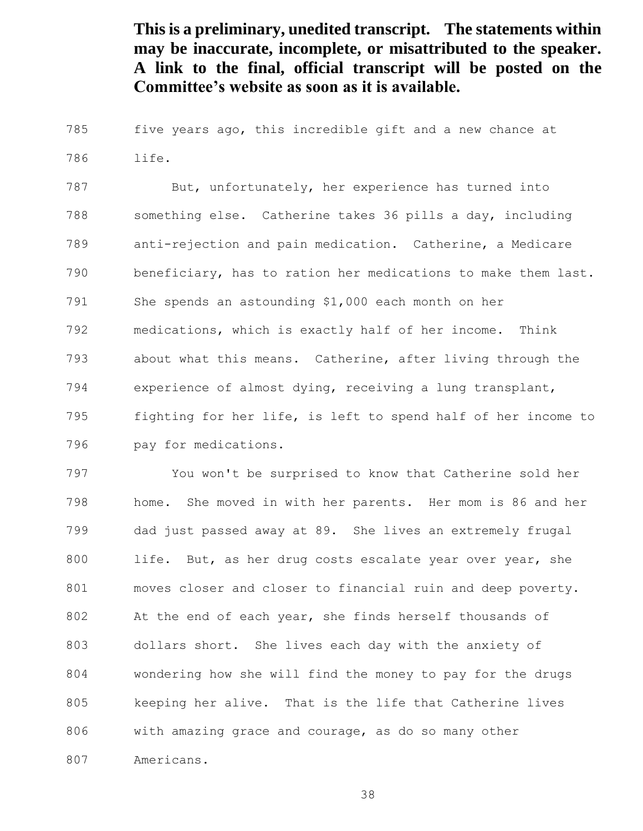five years ago, this incredible gift and a new chance at

life.

 But, unfortunately, her experience has turned into something else. Catherine takes 36 pills a day, including anti-rejection and pain medication. Catherine, a Medicare beneficiary, has to ration her medications to make them last. She spends an astounding \$1,000 each month on her medications, which is exactly half of her income. Think about what this means. Catherine, after living through the experience of almost dying, receiving a lung transplant, fighting for her life, is left to spend half of her income to pay for medications.

 You won't be surprised to know that Catherine sold her home. She moved in with her parents. Her mom is 86 and her dad just passed away at 89. She lives an extremely frugal 800 life. But, as her drug costs escalate year over year, she moves closer and closer to financial ruin and deep poverty. At the end of each year, she finds herself thousands of dollars short. She lives each day with the anxiety of wondering how she will find the money to pay for the drugs keeping her alive. That is the life that Catherine lives with amazing grace and courage, as do so many other Americans.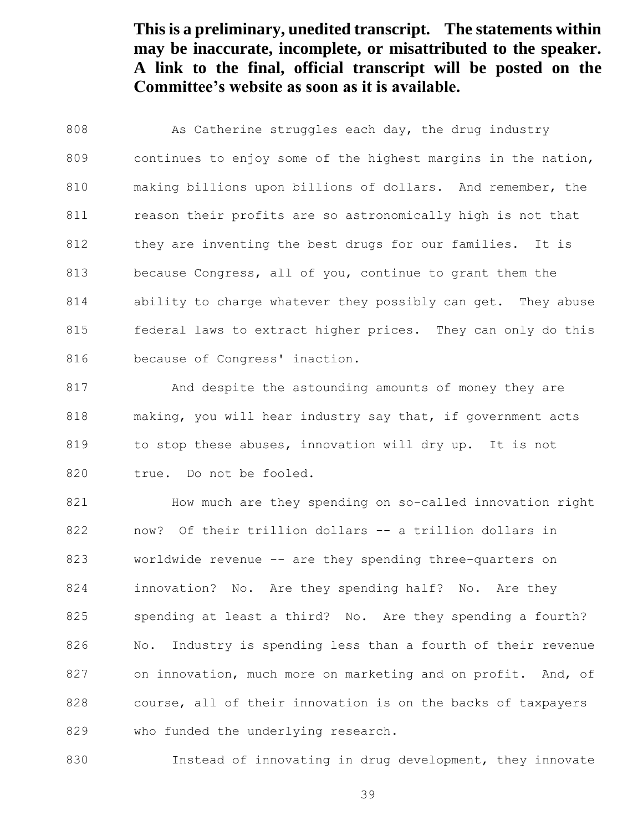808 As Catherine struggles each day, the drug industry continues to enjoy some of the highest margins in the nation, making billions upon billions of dollars. And remember, the reason their profits are so astronomically high is not that 812 they are inventing the best drugs for our families. It is because Congress, all of you, continue to grant them the ability to charge whatever they possibly can get. They abuse federal laws to extract higher prices. They can only do this because of Congress' inaction.

 And despite the astounding amounts of money they are making, you will hear industry say that, if government acts 819 to stop these abuses, innovation will dry up. It is not true. Do not be fooled.

821 How much are they spending on so-called innovation right now? Of their trillion dollars -- a trillion dollars in worldwide revenue -- are they spending three-quarters on innovation? No. Are they spending half? No. Are they spending at least a third? No. Are they spending a fourth? No. Industry is spending less than a fourth of their revenue on innovation, much more on marketing and on profit. And, of course, all of their innovation is on the backs of taxpayers 829 who funded the underlying research.

830 Instead of innovating in drug development, they innovate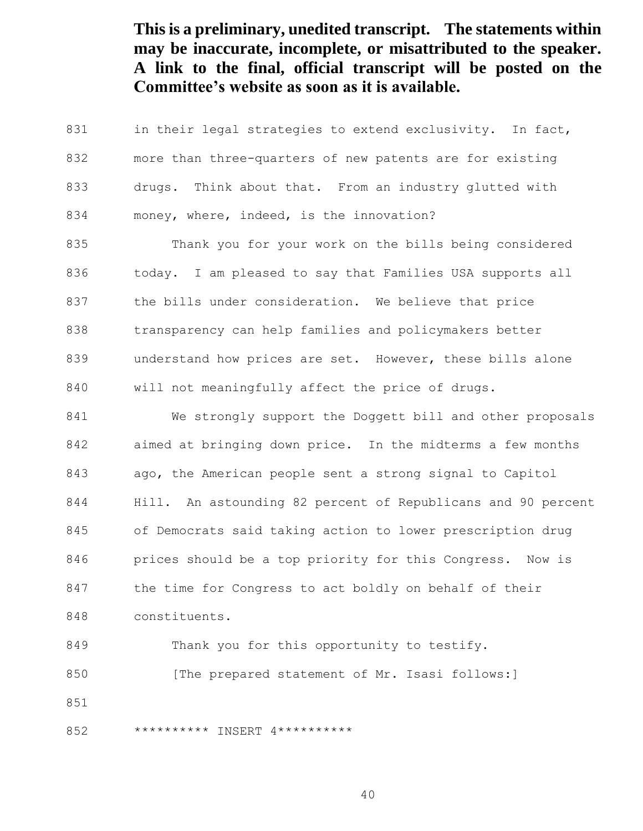831 in their legal strategies to extend exclusivity. In fact, more than three-quarters of new patents are for existing drugs. Think about that. From an industry glutted with 834 money, where, indeed, is the innovation?

 Thank you for your work on the bills being considered today. I am pleased to say that Families USA supports all the bills under consideration. We believe that price transparency can help families and policymakers better understand how prices are set. However, these bills alone will not meaningfully affect the price of drugs.

 We strongly support the Doggett bill and other proposals aimed at bringing down price. In the midterms a few months ago, the American people sent a strong signal to Capitol Hill. An astounding 82 percent of Republicans and 90 percent of Democrats said taking action to lower prescription drug prices should be a top priority for this Congress. Now is 847 the time for Congress to act boldly on behalf of their constituents.

849 Thank you for this opportunity to testify.

850 [The prepared statement of Mr. Isasi follows:]

\*\*\*\*\*\*\*\*\*\* INSERT 4\*\*\*\*\*\*\*\*\*\*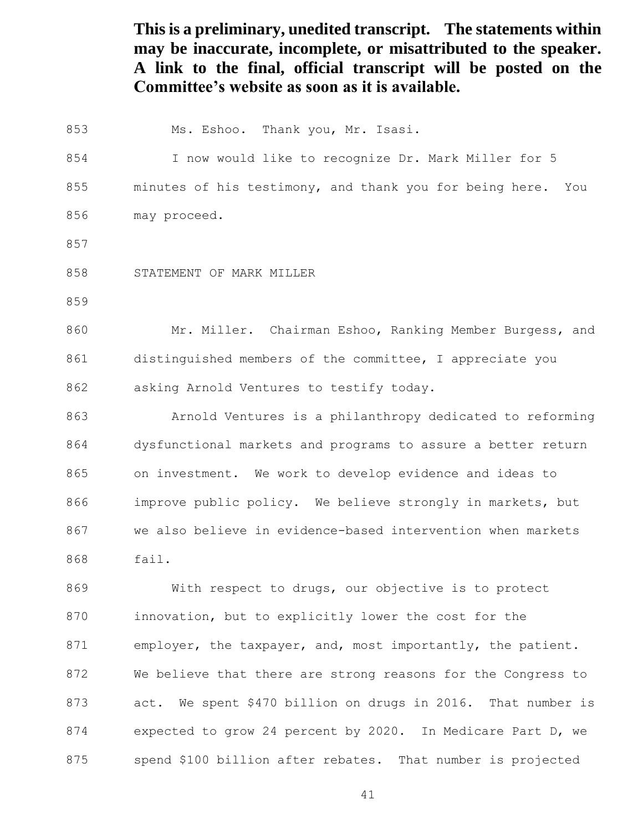853 Ms. Eshoo. Thank you, Mr. Isasi.

 I now would like to recognize Dr. Mark Miller for 5 minutes of his testimony, and thank you for being here. You may proceed.

STATEMENT OF MARK MILLER

 Mr. Miller. Chairman Eshoo, Ranking Member Burgess, and distinguished members of the committee, I appreciate you asking Arnold Ventures to testify today.

 Arnold Ventures is a philanthropy dedicated to reforming dysfunctional markets and programs to assure a better return on investment. We work to develop evidence and ideas to 866 improve public policy. We believe strongly in markets, but we also believe in evidence-based intervention when markets fail.

 With respect to drugs, our objective is to protect innovation, but to explicitly lower the cost for the 871 employer, the taxpayer, and, most importantly, the patient. We believe that there are strong reasons for the Congress to act. We spent \$470 billion on drugs in 2016. That number is expected to grow 24 percent by 2020. In Medicare Part D, we spend \$100 billion after rebates. That number is projected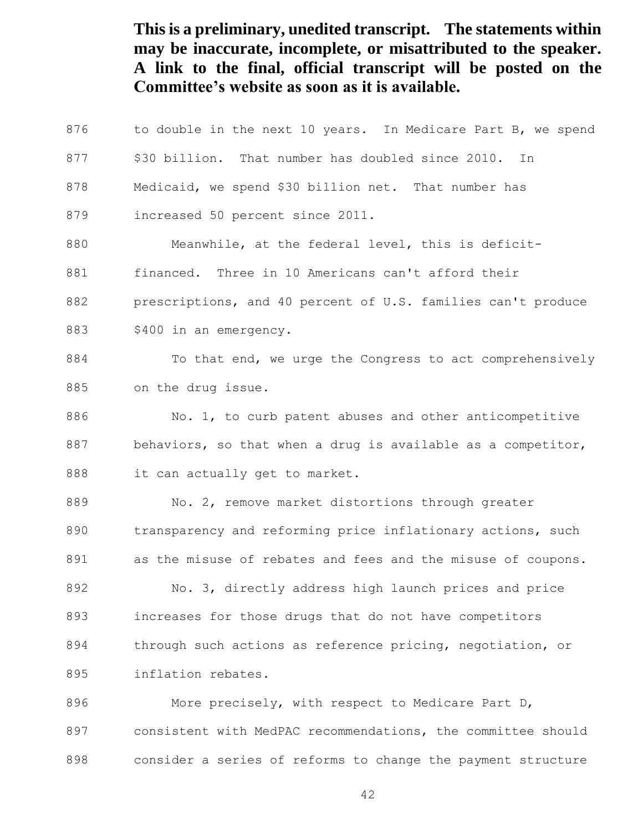876 to double in the next 10 years. In Medicare Part B, we spend 877 \$30 billion. That number has doubled since 2010. In 878 Medicaid, we spend \$30 billion net. That number has 879 increased 50 percent since 2011. 880 Meanwhile, at the federal level, this is deficit-881 financed. Three in 10 Americans can't afford their 882 prescriptions, and 40 percent of U.S. families can't produce 883 \$400 in an emergency. 884 To that end, we urge the Congress to act comprehensively 885 on the drug issue. 886 No. 1, to curb patent abuses and other anticompetitive 887 behaviors, so that when a drug is available as a competitor, 888 it can actually get to market. 889 No. 2, remove market distortions through greater 890 transparency and reforming price inflationary actions, such 891 as the misuse of rebates and fees and the misuse of coupons. 892 No. 3, directly address high launch prices and price 893 increases for those drugs that do not have competitors 894 through such actions as reference pricing, negotiation, or 895 inflation rebates. 896 More precisely, with respect to Medicare Part D, 897 consistent with MedPAC recommendations, the committee should

42

898 consider a series of reforms to change the payment structure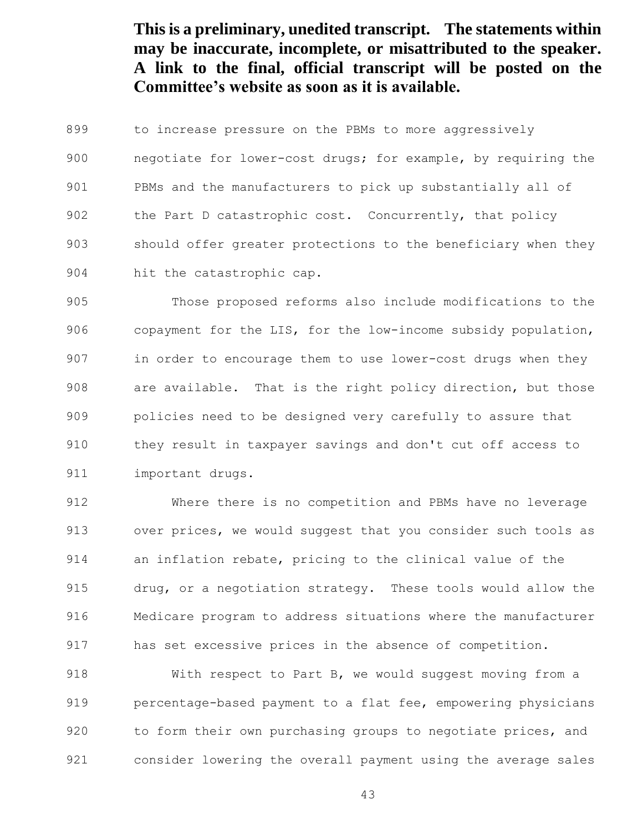899 to increase pressure on the PBMs to more aggressively negotiate for lower-cost drugs; for example, by requiring the PBMs and the manufacturers to pick up substantially all of 902 the Part D catastrophic cost. Concurrently, that policy should offer greater protections to the beneficiary when they

hit the catastrophic cap.

 Those proposed reforms also include modifications to the copayment for the LIS, for the low-income subsidy population, in order to encourage them to use lower-cost drugs when they are available. That is the right policy direction, but those policies need to be designed very carefully to assure that they result in taxpayer savings and don't cut off access to important drugs.

 Where there is no competition and PBMs have no leverage 913 over prices, we would suggest that you consider such tools as an inflation rebate, pricing to the clinical value of the drug, or a negotiation strategy. These tools would allow the Medicare program to address situations where the manufacturer has set excessive prices in the absence of competition.

918 With respect to Part B, we would suggest moving from a percentage-based payment to a flat fee, empowering physicians 920 to form their own purchasing groups to negotiate prices, and consider lowering the overall payment using the average sales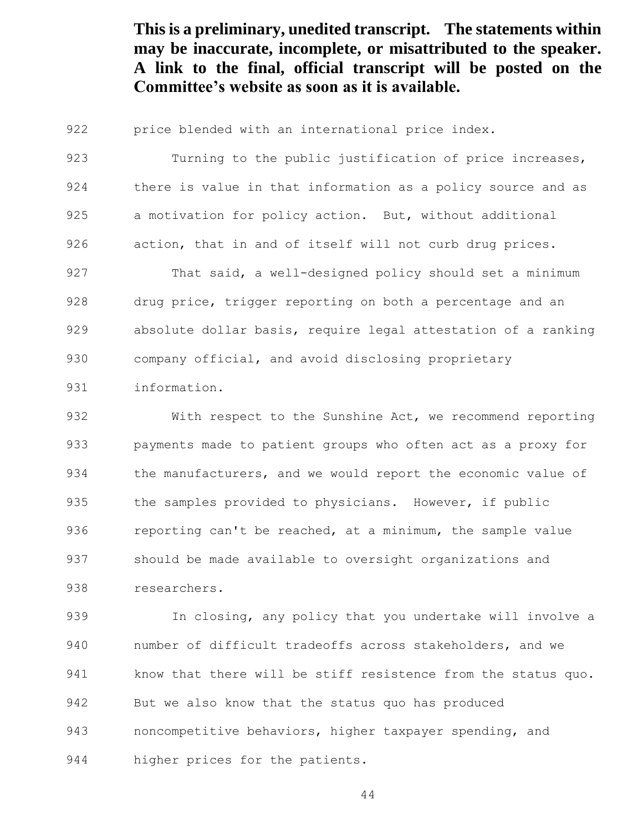price blended with an international price index.

 Turning to the public justification of price increases, there is value in that information as a policy source and as a motivation for policy action. But, without additional action, that in and of itself will not curb drug prices. That said, a well-designed policy should set a minimum

 drug price, trigger reporting on both a percentage and an absolute dollar basis, require legal attestation of a ranking company official, and avoid disclosing proprietary

information.

 With respect to the Sunshine Act, we recommend reporting payments made to patient groups who often act as a proxy for 934 the manufacturers, and we would report the economic value of 935 the samples provided to physicians. However, if public 936 reporting can't be reached, at a minimum, the sample value should be made available to oversight organizations and researchers.

 In closing, any policy that you undertake will involve a number of difficult tradeoffs across stakeholders, and we know that there will be stiff resistence from the status quo. But we also know that the status quo has produced noncompetitive behaviors, higher taxpayer spending, and higher prices for the patients.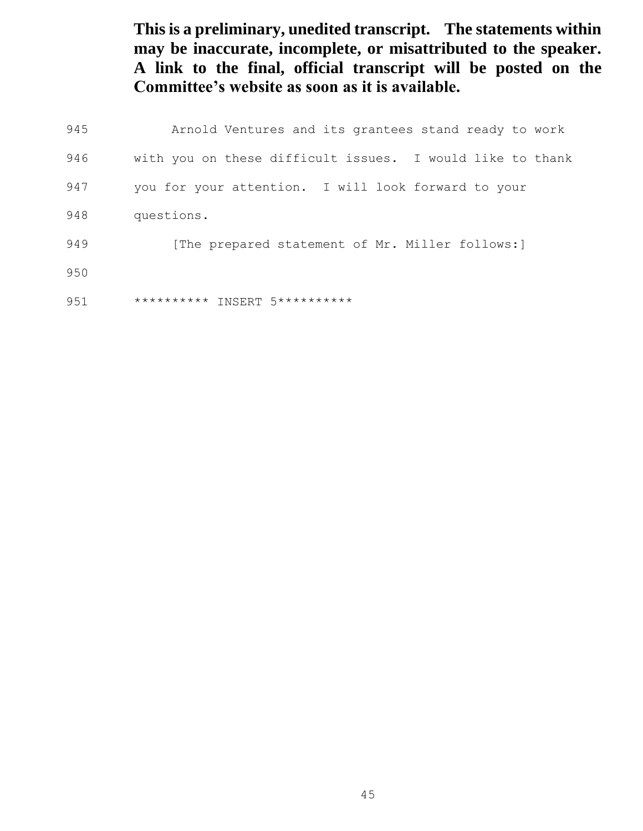| 945 | Arnold Ventures and its grantees stand ready to work      |
|-----|-----------------------------------------------------------|
| 946 | with you on these difficult issues. I would like to thank |
| 947 | you for your attention. I will look forward to your       |
| 948 | questions.                                                |
| 949 | [The prepared statement of Mr. Miller follows:]           |
| 950 |                                                           |
| 951 | ********** INSERT 5**********                             |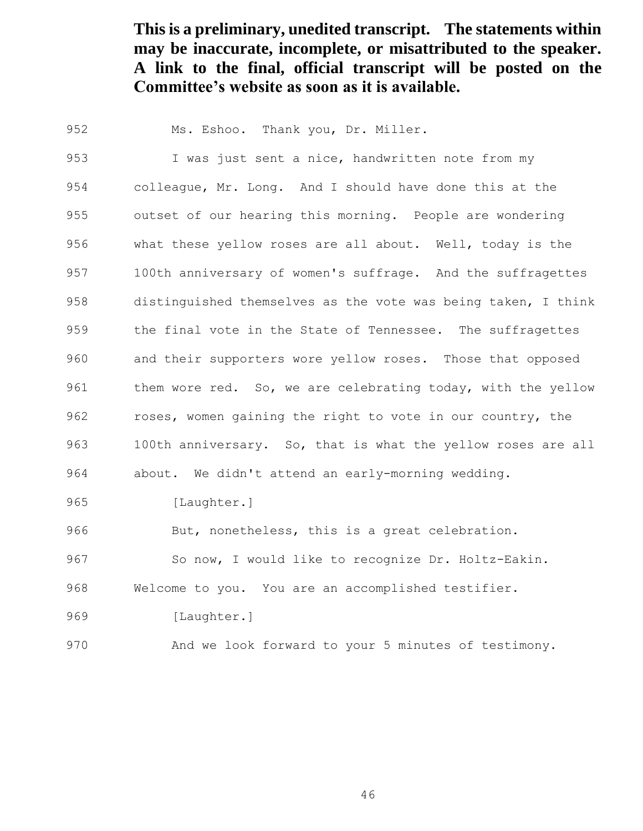Ms. Eshoo. Thank you, Dr. Miller.

 I was just sent a nice, handwritten note from my colleague, Mr. Long. And I should have done this at the outset of our hearing this morning. People are wondering what these yellow roses are all about. Well, today is the 100th anniversary of women's suffrage. And the suffragettes distinguished themselves as the vote was being taken, I think the final vote in the State of Tennessee. The suffragettes and their supporters wore yellow roses. Those that opposed 961 them wore red. So, we are celebrating today, with the yellow roses, women gaining the right to vote in our country, the 100th anniversary. So, that is what the yellow roses are all about. We didn't attend an early-morning wedding.

[Laughter.]

But, nonetheless, this is a great celebration.

967 So now, I would like to recognize Dr. Holtz-Eakin.

Welcome to you. You are an accomplished testifier.

[Laughter.]

And we look forward to your 5 minutes of testimony.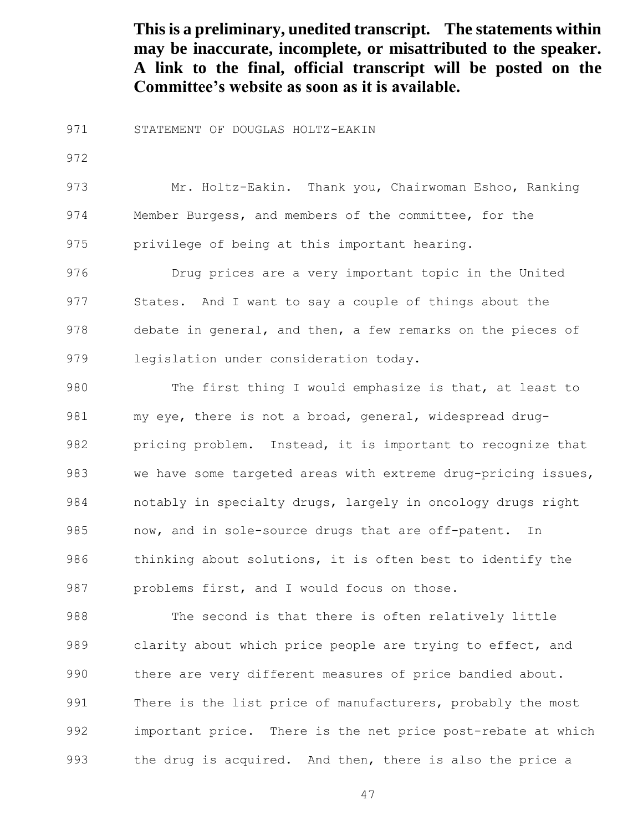STATEMENT OF DOUGLAS HOLTZ-EAKIN

 Mr. Holtz-Eakin. Thank you, Chairwoman Eshoo, Ranking Member Burgess, and members of the committee, for the privilege of being at this important hearing.

 Drug prices are a very important topic in the United States. And I want to say a couple of things about the debate in general, and then, a few remarks on the pieces of legislation under consideration today.

 The first thing I would emphasize is that, at least to my eye, there is not a broad, general, widespread drug-982 pricing problem. Instead, it is important to recognize that 983 we have some targeted areas with extreme drug-pricing issues, notably in specialty drugs, largely in oncology drugs right 985 now, and in sole-source drugs that are off-patent. In thinking about solutions, it is often best to identify the problems first, and I would focus on those.

988 The second is that there is often relatively little clarity about which price people are trying to effect, and there are very different measures of price bandied about. 991 There is the list price of manufacturers, probably the most important price. There is the net price post-rebate at which the drug is acquired. And then, there is also the price a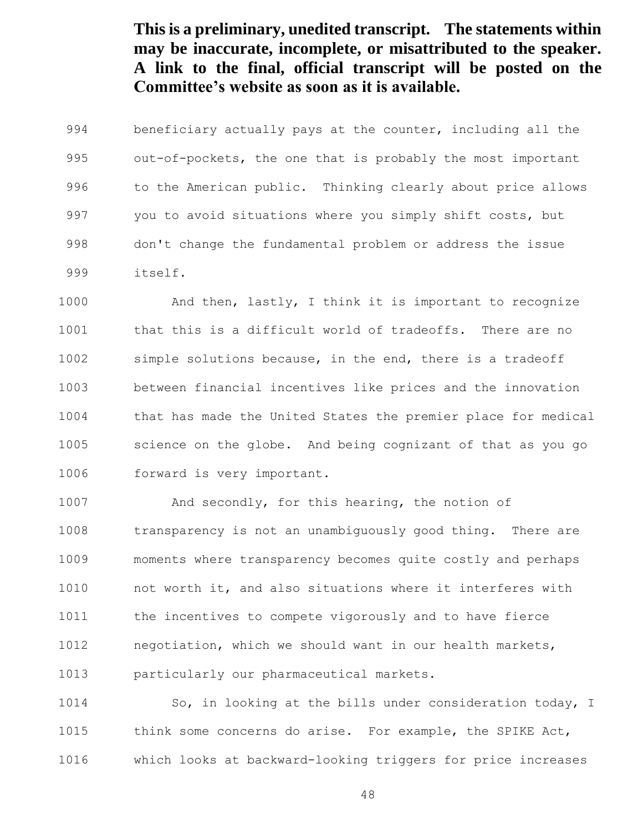beneficiary actually pays at the counter, including all the out-of-pockets, the one that is probably the most important to the American public. Thinking clearly about price allows you to avoid situations where you simply shift costs, but don't change the fundamental problem or address the issue itself.

 And then, lastly, I think it is important to recognize that this is a difficult world of tradeoffs. There are no simple solutions because, in the end, there is a tradeoff between financial incentives like prices and the innovation that has made the United States the premier place for medical science on the globe. And being cognizant of that as you go forward is very important.

1007 And secondly, for this hearing, the notion of transparency is not an unambiguously good thing. There are moments where transparency becomes quite costly and perhaps not worth it, and also situations where it interferes with the incentives to compete vigorously and to have fierce negotiation, which we should want in our health markets, particularly our pharmaceutical markets.

 So, in looking at the bills under consideration today, I 1015 think some concerns do arise. For example, the SPIKE Act, which looks at backward-looking triggers for price increases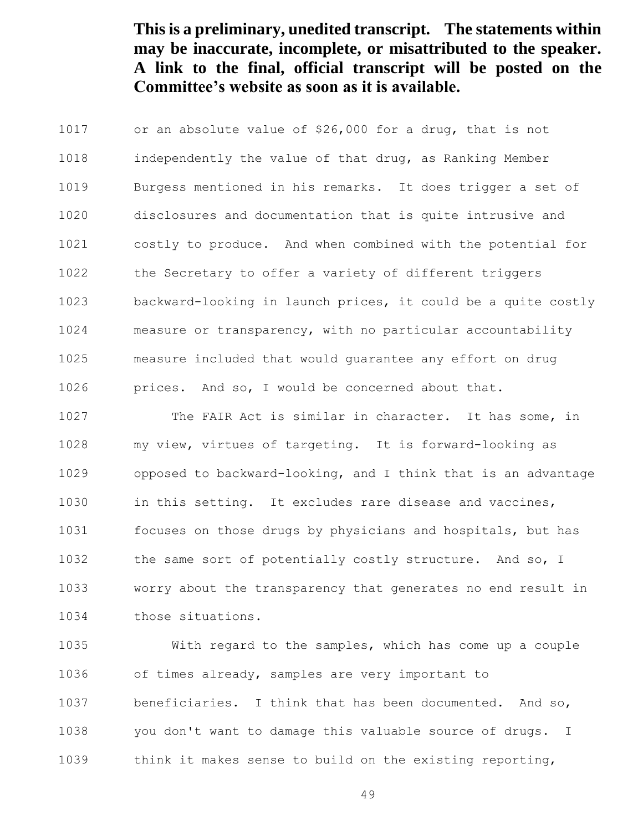or an absolute value of \$26,000 for a drug, that is not independently the value of that drug, as Ranking Member Burgess mentioned in his remarks. It does trigger a set of disclosures and documentation that is quite intrusive and costly to produce. And when combined with the potential for the Secretary to offer a variety of different triggers backward-looking in launch prices, it could be a quite costly measure or transparency, with no particular accountability measure included that would guarantee any effort on drug prices. And so, I would be concerned about that. The FAIR Act is similar in character. It has some, in my view, virtues of targeting. It is forward-looking as opposed to backward-looking, and I think that is an advantage

 focuses on those drugs by physicians and hospitals, but has the same sort of potentially costly structure. And so, I worry about the transparency that generates no end result in those situations.

in this setting. It excludes rare disease and vaccines,

 With regard to the samples, which has come up a couple of times already, samples are very important to beneficiaries. I think that has been documented. And so, you don't want to damage this valuable source of drugs. I

think it makes sense to build on the existing reporting,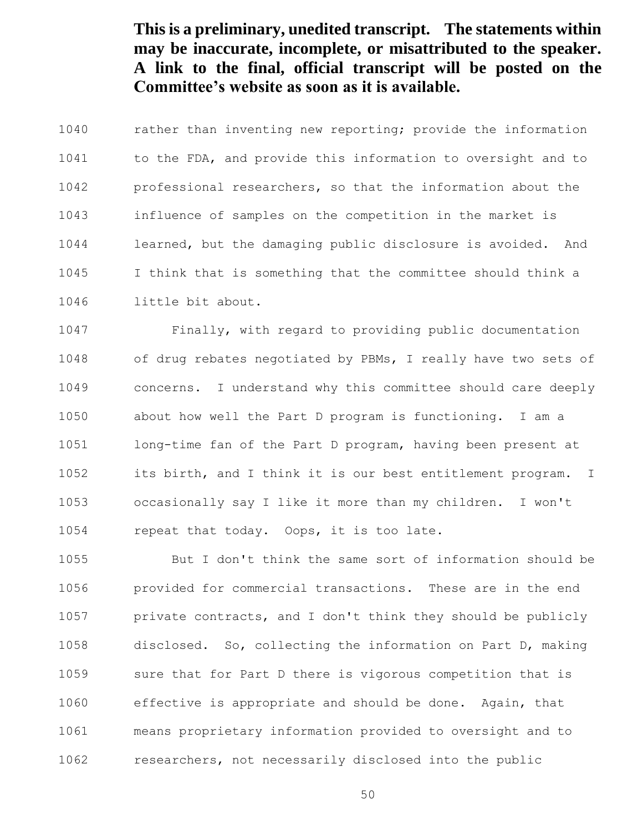rather than inventing new reporting; provide the information to the FDA, and provide this information to oversight and to professional researchers, so that the information about the influence of samples on the competition in the market is learned, but the damaging public disclosure is avoided. And I think that is something that the committee should think a little bit about.

 Finally, with regard to providing public documentation of drug rebates negotiated by PBMs, I really have two sets of concerns. I understand why this committee should care deeply about how well the Part D program is functioning. I am a long-time fan of the Part D program, having been present at its birth, and I think it is our best entitlement program. I occasionally say I like it more than my children. I won't repeat that today. Oops, it is too late.

 But I don't think the same sort of information should be provided for commercial transactions. These are in the end private contracts, and I don't think they should be publicly disclosed. So, collecting the information on Part D, making sure that for Part D there is vigorous competition that is effective is appropriate and should be done. Again, that means proprietary information provided to oversight and to researchers, not necessarily disclosed into the public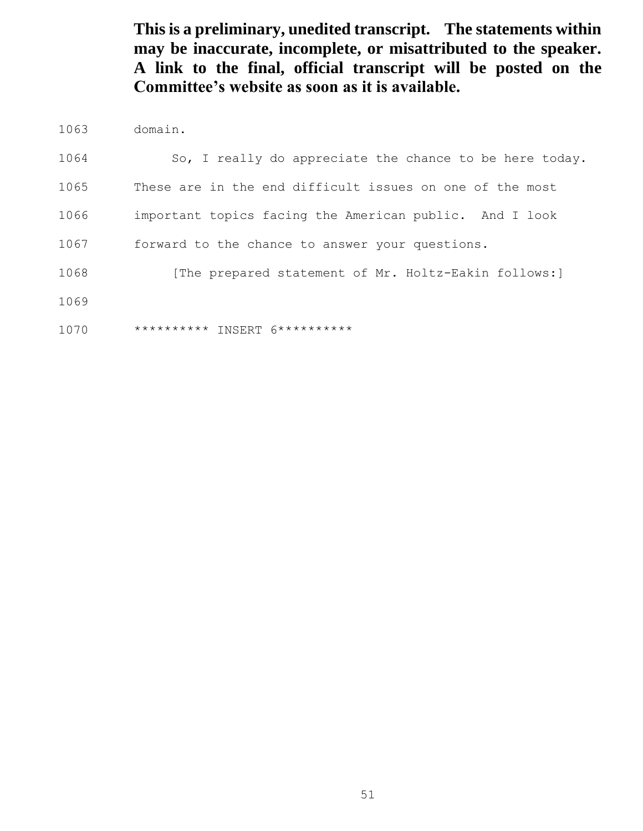domain.

 So, I really do appreciate the chance to be here today. These are in the end difficult issues on one of the most important topics facing the American public. And I look forward to the chance to answer your questions. 1068 [The prepared statement of Mr. Holtz-Eakin follows:] \*\*\*\*\*\*\*\*\*\* INSERT 6\*\*\*\*\*\*\*\*\*\*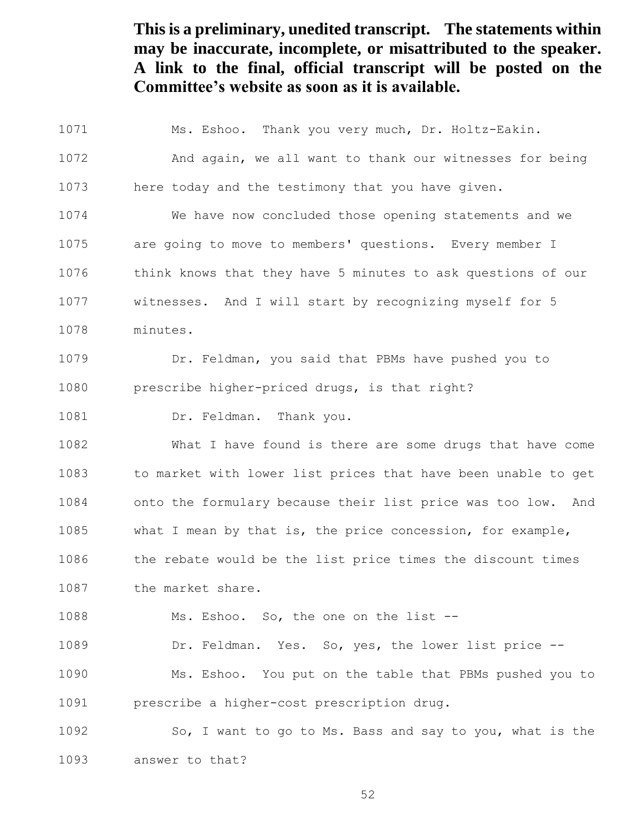Ms. Eshoo. Thank you very much, Dr. Holtz-Eakin. And again, we all want to thank our witnesses for being here today and the testimony that you have given. We have now concluded those opening statements and we are going to move to members' questions. Every member I think knows that they have 5 minutes to ask questions of our witnesses. And I will start by recognizing myself for 5 minutes. Dr. Feldman, you said that PBMs have pushed you to prescribe higher-priced drugs, is that right? 1081 Dr. Feldman. Thank you. What I have found is there are some drugs that have come to market with lower list prices that have been unable to get onto the formulary because their list price was too low. And what I mean by that is, the price concession, for example, the rebate would be the list price times the discount times 1087 the market share. Ms. Eshoo. So, the one on the list -- Dr. Feldman. Yes. So, yes, the lower list price -- Ms. Eshoo. You put on the table that PBMs pushed you to prescribe a higher-cost prescription drug. So, I want to go to Ms. Bass and say to you, what is the answer to that?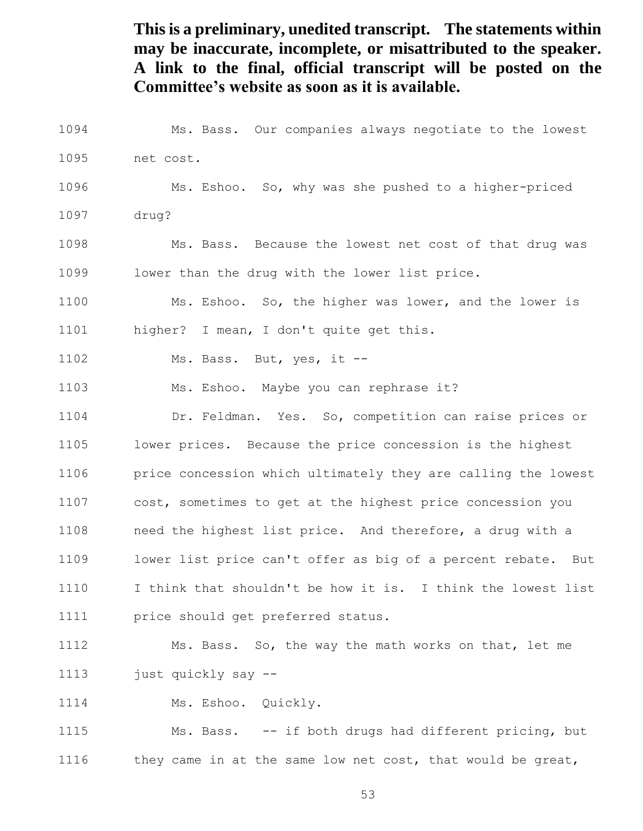Ms. Bass. Our companies always negotiate to the lowest net cost. Ms. Eshoo. So, why was she pushed to a higher-priced drug? Ms. Bass. Because the lowest net cost of that drug was lower than the drug with the lower list price. Ms. Eshoo. So, the higher was lower, and the lower is higher? I mean, I don't quite get this. 1102 Ms. Bass. But, yes, it -- Ms. Eshoo. Maybe you can rephrase it? Dr. Feldman. Yes. So, competition can raise prices or lower prices. Because the price concession is the highest price concession which ultimately they are calling the lowest cost, sometimes to get at the highest price concession you need the highest list price. And therefore, a drug with a lower list price can't offer as big of a percent rebate. But I think that shouldn't be how it is. I think the lowest list price should get preferred status. Ms. Bass. So, the way the math works on that, let me just quickly say --

Ms. Eshoo. Quickly.

 Ms. Bass. -- if both drugs had different pricing, but 1116 they came in at the same low net cost, that would be great,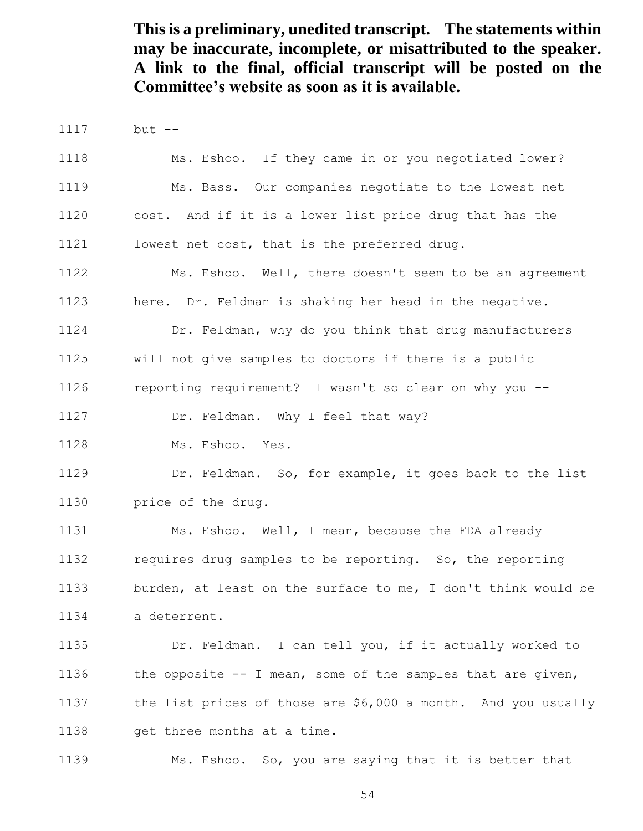but -- Ms. Eshoo. If they came in or you negotiated lower? Ms. Bass. Our companies negotiate to the lowest net cost. And if it is a lower list price drug that has the lowest net cost, that is the preferred drug. Ms. Eshoo. Well, there doesn't seem to be an agreement here. Dr. Feldman is shaking her head in the negative. Dr. Feldman, why do you think that drug manufacturers will not give samples to doctors if there is a public reporting requirement? I wasn't so clear on why you -- 1127 Dr. Feldman. Why I feel that way? Ms. Eshoo. Yes. Dr. Feldman. So, for example, it goes back to the list price of the drug. 1131 Ms. Eshoo. Well, I mean, because the FDA already requires drug samples to be reporting. So, the reporting burden, at least on the surface to me, I don't think would be a deterrent. Dr. Feldman. I can tell you, if it actually worked to the opposite -- I mean, some of the samples that are given, the list prices of those are \$6,000 a month. And you usually get three months at a time. Ms. Eshoo. So, you are saying that it is better that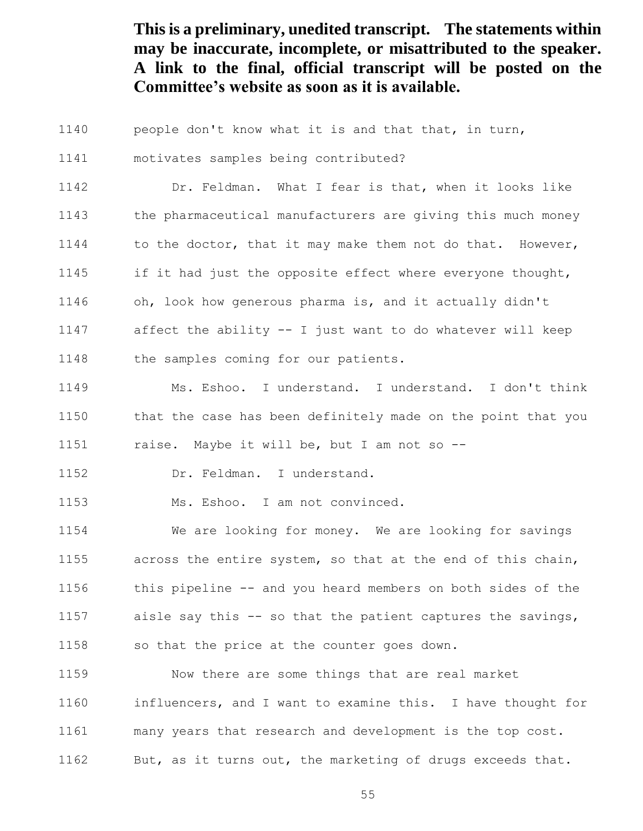- people don't know what it is and that that, in turn,
- motivates samples being contributed?

Dr. Feldman. What I fear is that, when it looks like

the pharmaceutical manufacturers are giving this much money

1144 to the doctor, that it may make them not do that. However,

if it had just the opposite effect where everyone thought,

oh, look how generous pharma is, and it actually didn't

affect the ability -- I just want to do whatever will keep

1148 the samples coming for our patients.

 Ms. Eshoo. I understand. I understand. I don't think that the case has been definitely made on the point that you raise. Maybe it will be, but I am not so --

Dr. Feldman. I understand.

Ms. Eshoo. I am not convinced.

 We are looking for money. We are looking for savings across the entire system, so that at the end of this chain, this pipeline -- and you heard members on both sides of the aisle say this -- so that the patient captures the savings, so that the price at the counter goes down.

 Now there are some things that are real market influencers, and I want to examine this. I have thought for many years that research and development is the top cost. But, as it turns out, the marketing of drugs exceeds that.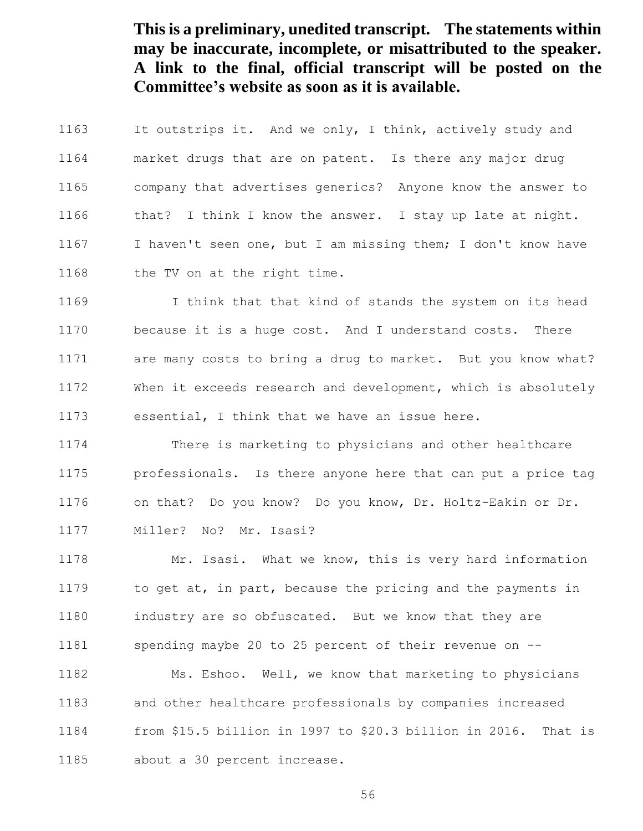It outstrips it. And we only, I think, actively study and market drugs that are on patent. Is there any major drug company that advertises generics? Anyone know the answer to 1166 that? I think I know the answer. I stay up late at night. I haven't seen one, but I am missing them; I don't know have 1168 the TV on at the right time.

 I think that that kind of stands the system on its head because it is a huge cost. And I understand costs. There are many costs to bring a drug to market. But you know what? When it exceeds research and development, which is absolutely essential, I think that we have an issue here.

 There is marketing to physicians and other healthcare professionals. Is there anyone here that can put a price tag on that? Do you know? Do you know, Dr. Holtz-Eakin or Dr.

1177 Miller? No? Mr. Isasi?

 Mr. Isasi. What we know, this is very hard information to get at, in part, because the pricing and the payments in industry are so obfuscated. But we know that they are spending maybe 20 to 25 percent of their revenue on --

 Ms. Eshoo. Well, we know that marketing to physicians and other healthcare professionals by companies increased from \$15.5 billion in 1997 to \$20.3 billion in 2016. That is about a 30 percent increase.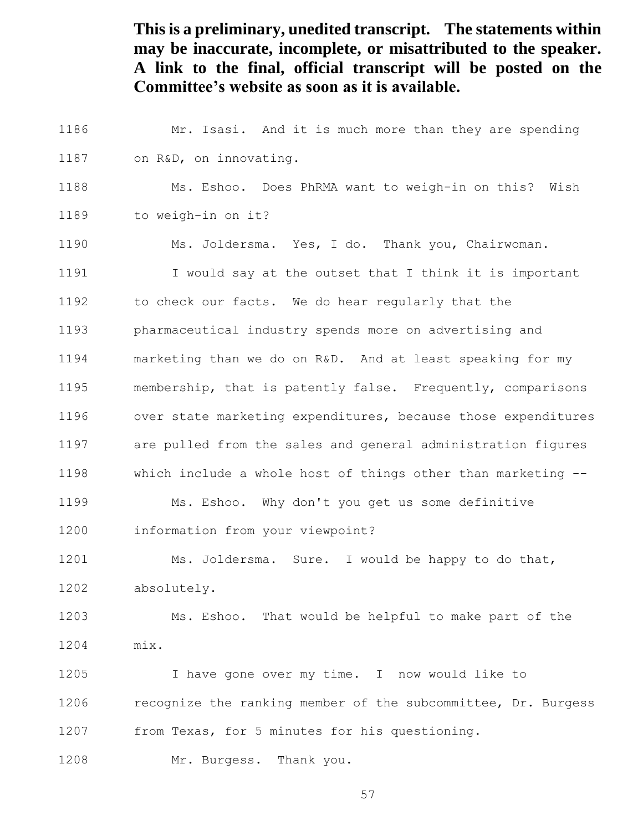Mr. Isasi. And it is much more than they are spending on R&D, on innovating. Ms. Eshoo. Does PhRMA want to weigh-in on this? Wish to weigh-in on it? Ms. Joldersma. Yes, I do. Thank you, Chairwoman. I would say at the outset that I think it is important to check our facts. We do hear regularly that the pharmaceutical industry spends more on advertising and marketing than we do on R&D. And at least speaking for my membership, that is patently false. Frequently, comparisons over state marketing expenditures, because those expenditures are pulled from the sales and general administration figures which include a whole host of things other than marketing -- Ms. Eshoo. Why don't you get us some definitive information from your viewpoint? Ms. Joldersma. Sure. I would be happy to do that, absolutely. Ms. Eshoo. That would be helpful to make part of the mix. I have gone over my time. I now would like to 1206 recognize the ranking member of the subcommittee, Dr. Burgess from Texas, for 5 minutes for his questioning. Mr. Burgess. Thank you.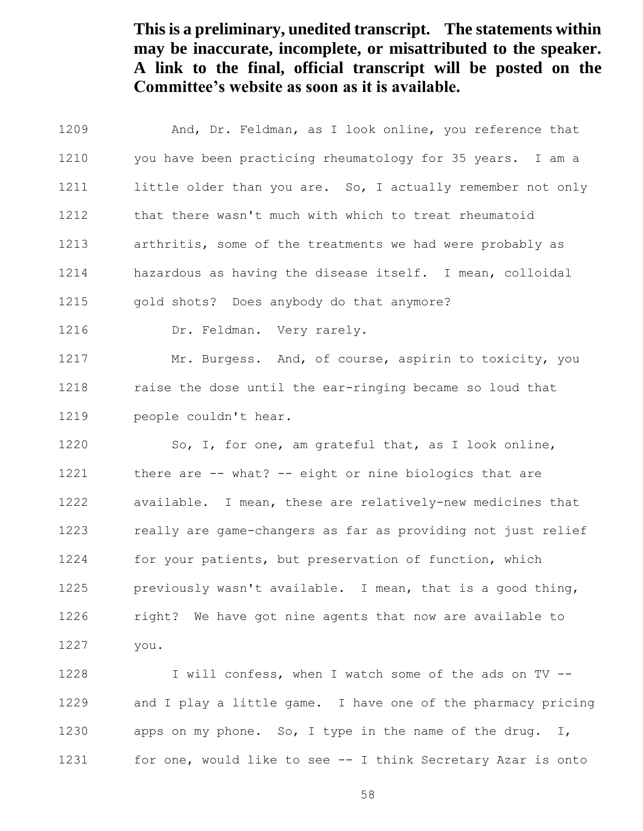And, Dr. Feldman, as I look online, you reference that you have been practicing rheumatology for 35 years. I am a 1211 little older than you are. So, I actually remember not only that there wasn't much with which to treat rheumatoid arthritis, some of the treatments we had were probably as hazardous as having the disease itself. I mean, colloidal gold shots? Does anybody do that anymore? 1216 Dr. Feldman. Very rarely. Mr. Burgess. And, of course, aspirin to toxicity, you raise the dose until the ear-ringing became so loud that people couldn't hear. So, I, for one, am grateful that, as I look online, there are -- what? -- eight or nine biologics that are available. I mean, these are relatively-new medicines that really are game-changers as far as providing not just relief for your patients, but preservation of function, which previously wasn't available. I mean, that is a good thing, right? We have got nine agents that now are available to

you.

 I will confess, when I watch some of the ads on TV -- and I play a little game. I have one of the pharmacy pricing 1230 apps on my phone. So, I type in the name of the drug. I, for one, would like to see -- I think Secretary Azar is onto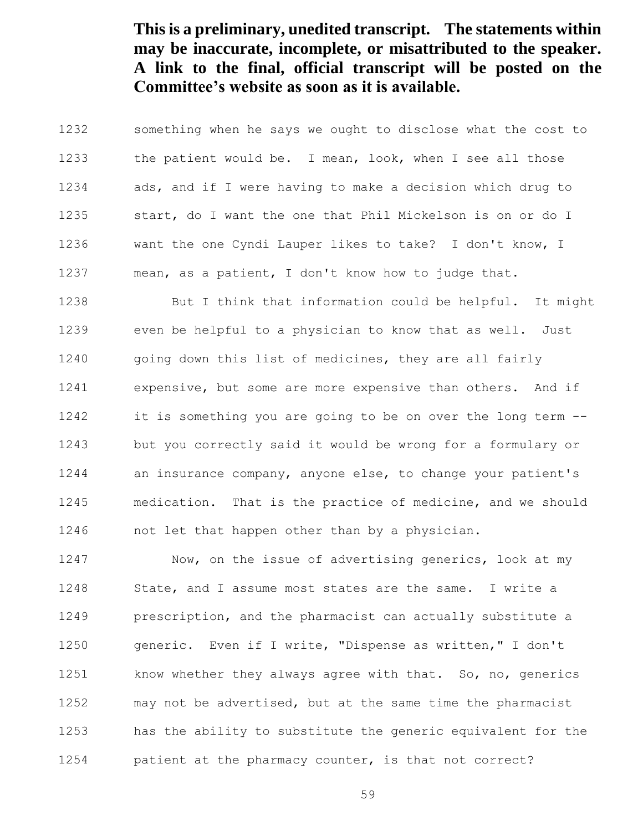something when he says we ought to disclose what the cost to the patient would be. I mean, look, when I see all those ads, and if I were having to make a decision which drug to start, do I want the one that Phil Mickelson is on or do I want the one Cyndi Lauper likes to take? I don't know, I mean, as a patient, I don't know how to judge that.

 But I think that information could be helpful. It might even be helpful to a physician to know that as well. Just going down this list of medicines, they are all fairly expensive, but some are more expensive than others. And if it is something you are going to be on over the long term -- but you correctly said it would be wrong for a formulary or an insurance company, anyone else, to change your patient's medication. That is the practice of medicine, and we should not let that happen other than by a physician.

 Now, on the issue of advertising generics, look at my State, and I assume most states are the same. I write a prescription, and the pharmacist can actually substitute a generic. Even if I write, "Dispense as written," I don't 1251 know whether they always agree with that. So, no, generics may not be advertised, but at the same time the pharmacist has the ability to substitute the generic equivalent for the patient at the pharmacy counter, is that not correct?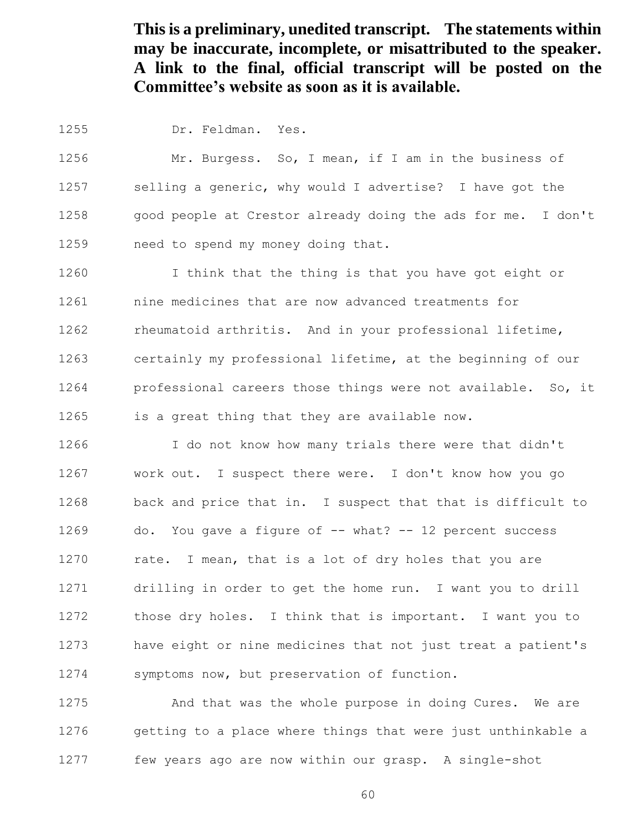1255 Dr. Feldman. Yes.

 Mr. Burgess. So, I mean, if I am in the business of selling a generic, why would I advertise? I have got the good people at Crestor already doing the ads for me. I don't need to spend my money doing that.

 I think that the thing is that you have got eight or nine medicines that are now advanced treatments for rheumatoid arthritis. And in your professional lifetime, certainly my professional lifetime, at the beginning of our professional careers those things were not available. So, it is a great thing that they are available now.

 I do not know how many trials there were that didn't work out. I suspect there were. I don't know how you go back and price that in. I suspect that that is difficult to do. You gave a figure of -- what? -- 12 percent success 1270 rate. I mean, that is a lot of dry holes that you are drilling in order to get the home run. I want you to drill those dry holes. I think that is important. I want you to have eight or nine medicines that not just treat a patient's symptoms now, but preservation of function.

 And that was the whole purpose in doing Cures. We are getting to a place where things that were just unthinkable a few years ago are now within our grasp. A single-shot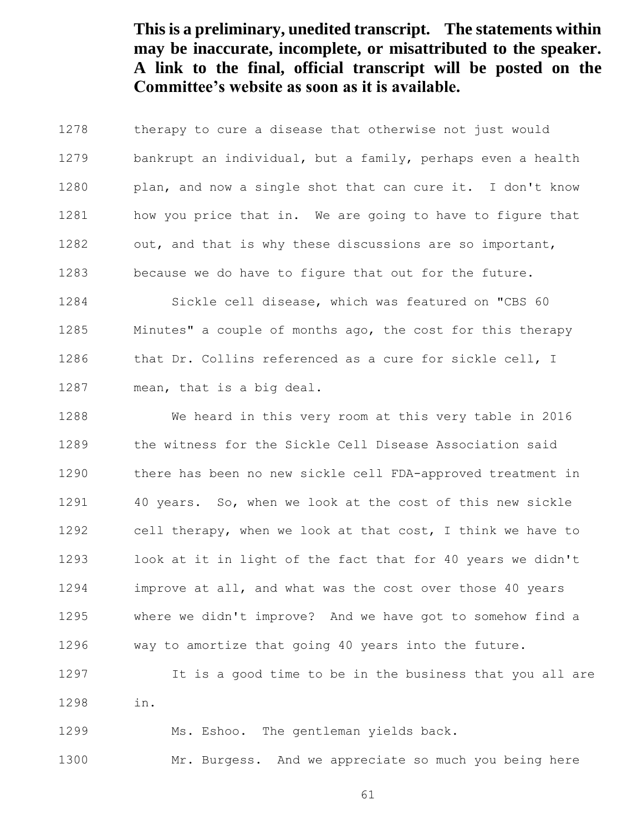therapy to cure a disease that otherwise not just would bankrupt an individual, but a family, perhaps even a health plan, and now a single shot that can cure it. I don't know how you price that in. We are going to have to figure that out, and that is why these discussions are so important, because we do have to figure that out for the future.

 Sickle cell disease, which was featured on "CBS 60 Minutes" a couple of months ago, the cost for this therapy 1286 that Dr. Collins referenced as a cure for sickle cell, I mean, that is a big deal.

 We heard in this very room at this very table in 2016 the witness for the Sickle Cell Disease Association said there has been no new sickle cell FDA-approved treatment in 40 years. So, when we look at the cost of this new sickle cell therapy, when we look at that cost, I think we have to look at it in light of the fact that for 40 years we didn't improve at all, and what was the cost over those 40 years where we didn't improve? And we have got to somehow find a way to amortize that going 40 years into the future.

 It is a good time to be in the business that you all are in.

Ms. Eshoo. The gentleman yields back.

Mr. Burgess. And we appreciate so much you being here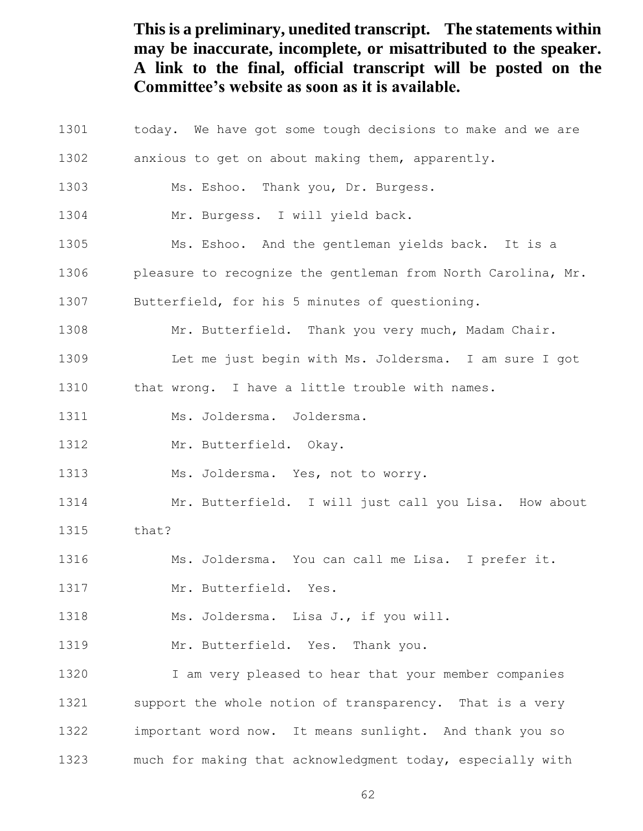today. We have got some tough decisions to make and we are anxious to get on about making them, apparently. 1303 Ms. Eshoo. Thank you, Dr. Burgess. 1304 Mr. Burgess. I will yield back. Ms. Eshoo. And the gentleman yields back. It is a pleasure to recognize the gentleman from North Carolina, Mr. Butterfield, for his 5 minutes of questioning. Mr. Butterfield. Thank you very much, Madam Chair. Let me just begin with Ms. Joldersma. I am sure I got that wrong. I have a little trouble with names. 1311 Ms. Joldersma. Joldersma. 1312 Mr. Butterfield. Okay. 1313 Ms. Joldersma. Yes, not to worry. Mr. Butterfield. I will just call you Lisa. How about 1315 that? Ms. Joldersma. You can call me Lisa. I prefer it. 1317 Mr. Butterfield. Yes. 1318 Ms. Joldersma. Lisa J., if you will. Mr. Butterfield. Yes. Thank you. I am very pleased to hear that your member companies 1321 support the whole notion of transparency. That is a very important word now. It means sunlight. And thank you so much for making that acknowledgment today, especially with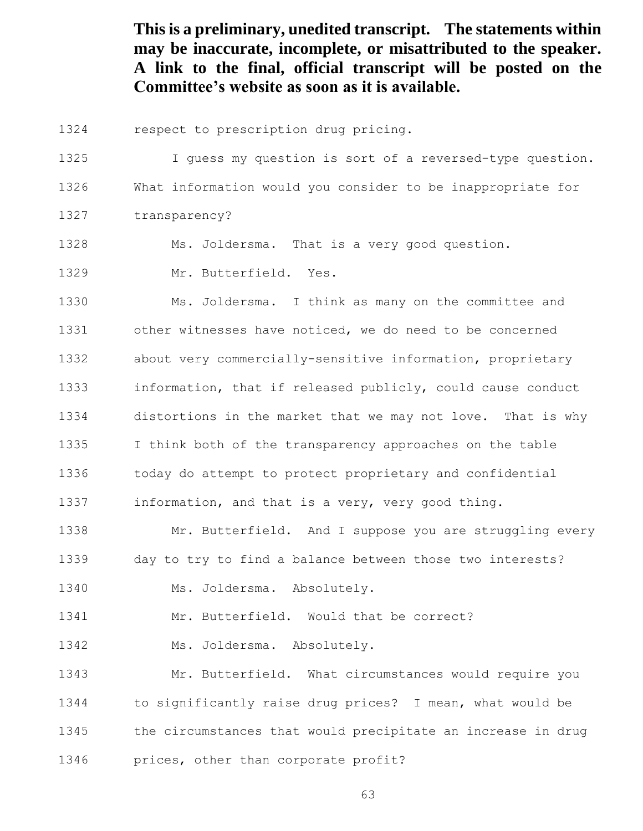respect to prescription drug pricing.

I guess my question is sort of a reversed-type question.

What information would you consider to be inappropriate for

transparency?

Ms. Joldersma. That is a very good question.

Mr. Butterfield. Yes.

 Ms. Joldersma. I think as many on the committee and other witnesses have noticed, we do need to be concerned about very commercially-sensitive information, proprietary information, that if released publicly, could cause conduct distortions in the market that we may not love. That is why I think both of the transparency approaches on the table today do attempt to protect proprietary and confidential 1337 information, and that is a very, very good thing.

 Mr. Butterfield. And I suppose you are struggling every day to try to find a balance between those two interests?

1340 Ms. Joldersma. Absolutely.

1341 Mr. Butterfield. Would that be correct?

1342 Ms. Joldersma. Absolutely.

 Mr. Butterfield. What circumstances would require you to significantly raise drug prices? I mean, what would be the circumstances that would precipitate an increase in drug prices, other than corporate profit?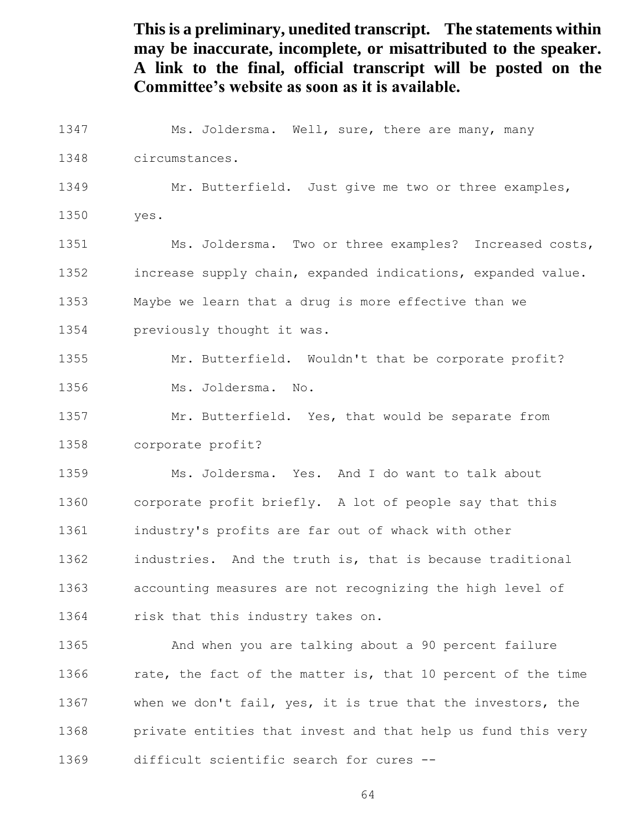1347 Ms. Joldersma. Well, sure, there are many, many circumstances. Mr. Butterfield. Just give me two or three examples, yes. Ms. Joldersma. Two or three examples? Increased costs, increase supply chain, expanded indications, expanded value. Maybe we learn that a drug is more effective than we previously thought it was. Mr. Butterfield. Wouldn't that be corporate profit? Ms. Joldersma. No. Mr. Butterfield. Yes, that would be separate from corporate profit? Ms. Joldersma. Yes. And I do want to talk about corporate profit briefly. A lot of people say that this industry's profits are far out of whack with other industries. And the truth is, that is because traditional accounting measures are not recognizing the high level of risk that this industry takes on. And when you are talking about a 90 percent failure rate, the fact of the matter is, that 10 percent of the time when we don't fail, yes, it is true that the investors, the private entities that invest and that help us fund this very difficult scientific search for cures --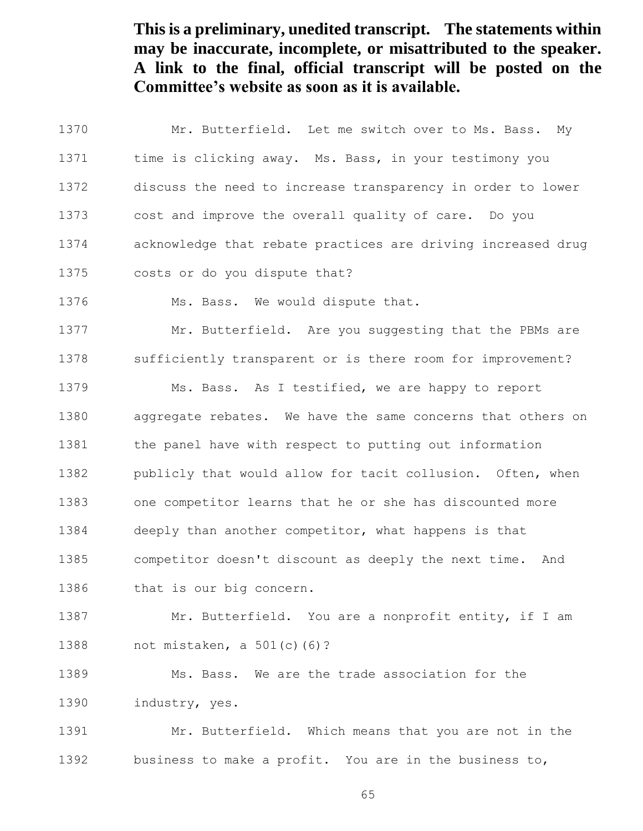Mr. Butterfield. Let me switch over to Ms. Bass. My time is clicking away. Ms. Bass, in your testimony you discuss the need to increase transparency in order to lower cost and improve the overall quality of care. Do you acknowledge that rebate practices are driving increased drug costs or do you dispute that? 1376 Ms. Bass. We would dispute that. Mr. Butterfield. Are you suggesting that the PBMs are sufficiently transparent or is there room for improvement? Ms. Bass. As I testified, we are happy to report aggregate rebates. We have the same concerns that others on 1381 the panel have with respect to putting out information 1382 publicly that would allow for tacit collusion. Often, when one competitor learns that he or she has discounted more deeply than another competitor, what happens is that

competitor doesn't discount as deeply the next time. And

1386 that is our big concern.

1387 Mr. Butterfield. You are a nonprofit entity, if I am not mistaken, a 501(c)(6)?

 Ms. Bass. We are the trade association for the industry, yes.

 Mr. Butterfield. Which means that you are not in the business to make a profit. You are in the business to,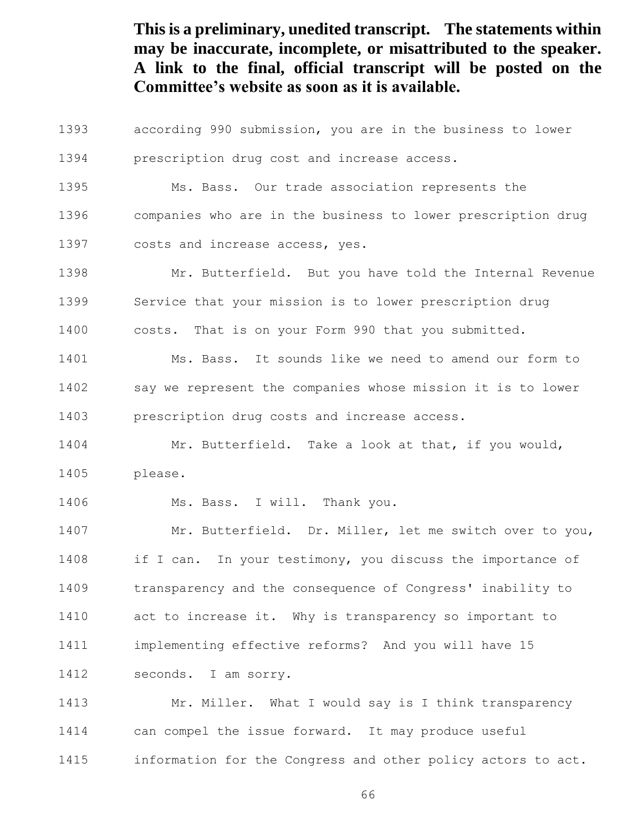according 990 submission, you are in the business to lower

prescription drug cost and increase access.

Ms. Bass. Our trade association represents the

 companies who are in the business to lower prescription drug costs and increase access, yes.

 Mr. Butterfield. But you have told the Internal Revenue Service that your mission is to lower prescription drug

costs. That is on your Form 990 that you submitted.

 Ms. Bass. It sounds like we need to amend our form to say we represent the companies whose mission it is to lower prescription drug costs and increase access.

1404 Mr. Butterfield. Take a look at that, if you would, please.

Ms. Bass. I will. Thank you.

 Mr. Butterfield. Dr. Miller, let me switch over to you, if I can. In your testimony, you discuss the importance of transparency and the consequence of Congress' inability to act to increase it. Why is transparency so important to implementing effective reforms? And you will have 15 1412 seconds. I am sorry.

 Mr. Miller. What I would say is I think transparency can compel the issue forward. It may produce useful 1415 information for the Congress and other policy actors to act.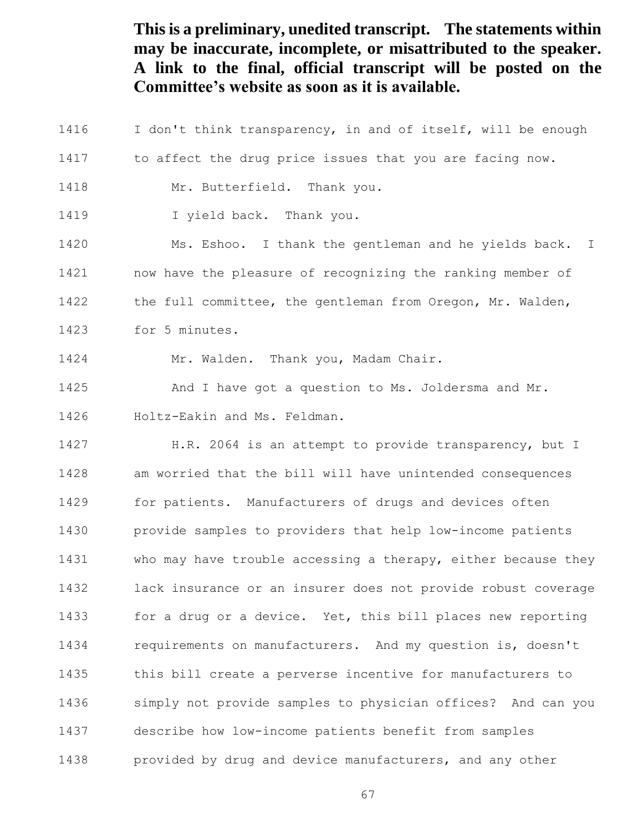I don't think transparency, in and of itself, will be enough 1417 to affect the drug price issues that you are facing now. 1418 Mr. Butterfield. Thank you. 1419 I yield back. Thank you. Ms. Eshoo. I thank the gentleman and he yields back. I now have the pleasure of recognizing the ranking member of the full committee, the gentleman from Oregon, Mr. Walden, for 5 minutes. 1424 Mr. Walden. Thank you, Madam Chair. And I have got a question to Ms. Joldersma and Mr. Holtz-Eakin and Ms. Feldman. H.R. 2064 is an attempt to provide transparency, but I am worried that the bill will have unintended consequences for patients. Manufacturers of drugs and devices often provide samples to providers that help low-income patients who may have trouble accessing a therapy, either because they lack insurance or an insurer does not provide robust coverage for a drug or a device. Yet, this bill places new reporting requirements on manufacturers. And my question is, doesn't this bill create a perverse incentive for manufacturers to simply not provide samples to physician offices? And can you describe how low-income patients benefit from samples 1438 provided by drug and device manufacturers, and any other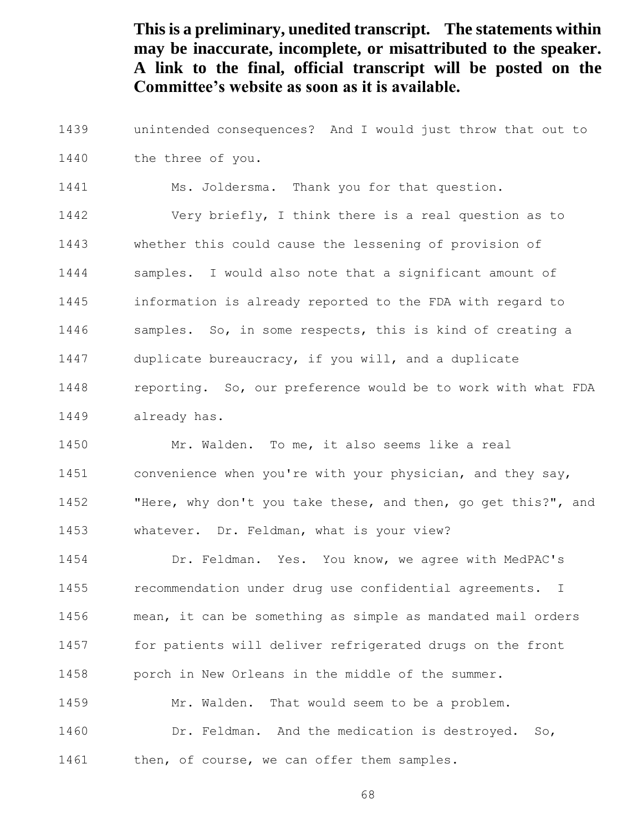unintended consequences? And I would just throw that out to the three of you. Ms. Joldersma. Thank you for that question. Very briefly, I think there is a real question as to whether this could cause the lessening of provision of samples. I would also note that a significant amount of information is already reported to the FDA with regard to samples. So, in some respects, this is kind of creating a duplicate bureaucracy, if you will, and a duplicate reporting. So, our preference would be to work with what FDA already has.

 Mr. Walden. To me, it also seems like a real convenience when you're with your physician, and they say, "Here, why don't you take these, and then, go get this?", and whatever. Dr. Feldman, what is your view?

 Dr. Feldman. Yes. You know, we agree with MedPAC's recommendation under drug use confidential agreements. I mean, it can be something as simple as mandated mail orders for patients will deliver refrigerated drugs on the front porch in New Orleans in the middle of the summer.

Mr. Walden. That would seem to be a problem.

Dr. Feldman. And the medication is destroyed. So,

1461 then, of course, we can offer them samples.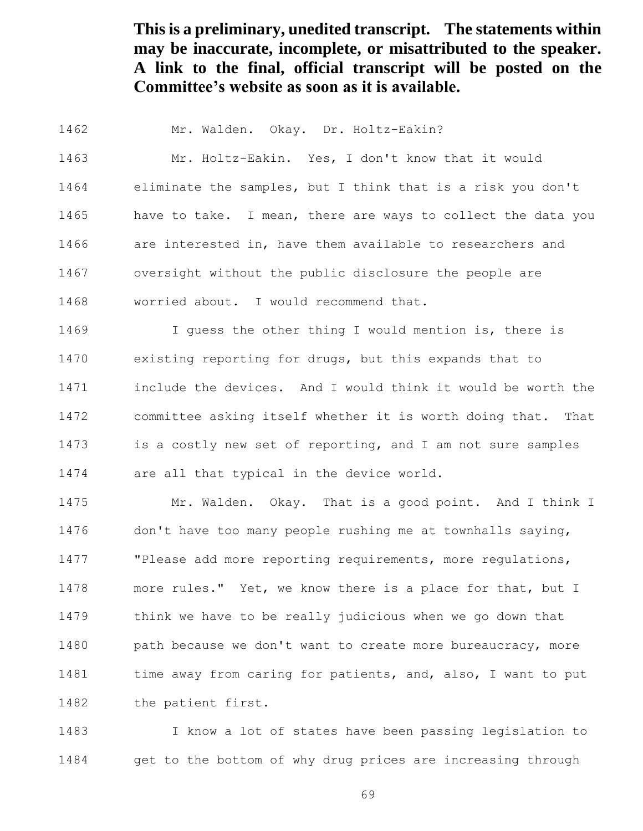Mr. Walden. Okay. Dr. Holtz-Eakin?

 Mr. Holtz-Eakin. Yes, I don't know that it would eliminate the samples, but I think that is a risk you don't have to take. I mean, there are ways to collect the data you are interested in, have them available to researchers and oversight without the public disclosure the people are worried about. I would recommend that.

 I guess the other thing I would mention is, there is existing reporting for drugs, but this expands that to include the devices. And I would think it would be worth the committee asking itself whether it is worth doing that. That is a costly new set of reporting, and I am not sure samples are all that typical in the device world.

 Mr. Walden. Okay. That is a good point. And I think I don't have too many people rushing me at townhalls saying, "Please add more reporting requirements, more regulations, more rules." Yet, we know there is a place for that, but I think we have to be really judicious when we go down that 1480 path because we don't want to create more bureaucracy, more 1481 time away from caring for patients, and, also, I want to put the patient first.

 I know a lot of states have been passing legislation to get to the bottom of why drug prices are increasing through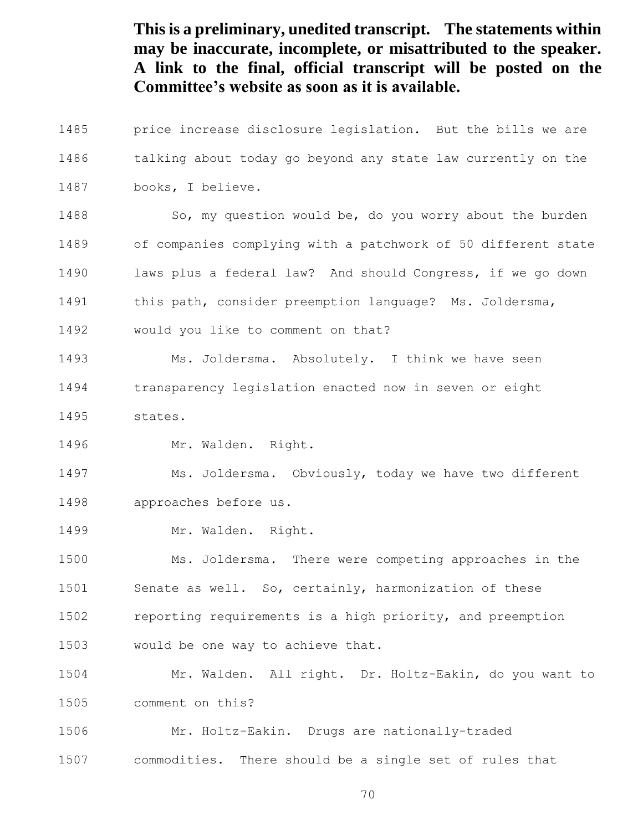price increase disclosure legislation. But the bills we are talking about today go beyond any state law currently on the books, I believe.

 So, my question would be, do you worry about the burden of companies complying with a patchwork of 50 different state laws plus a federal law? And should Congress, if we go down

1491 this path, consider preemption language? Ms. Joldersma,

would you like to comment on that?

Ms. Joldersma. Absolutely. I think we have seen

transparency legislation enacted now in seven or eight

states.

1496 Mr. Walden. Right.

 Ms. Joldersma. Obviously, today we have two different approaches before us.

1499 Mr. Walden. Right.

 Ms. Joldersma. There were competing approaches in the Senate as well. So, certainly, harmonization of these reporting requirements is a high priority, and preemption

would be one way to achieve that.

 Mr. Walden. All right. Dr. Holtz-Eakin, do you want to comment on this?

 Mr. Holtz-Eakin. Drugs are nationally-traded commodities. There should be a single set of rules that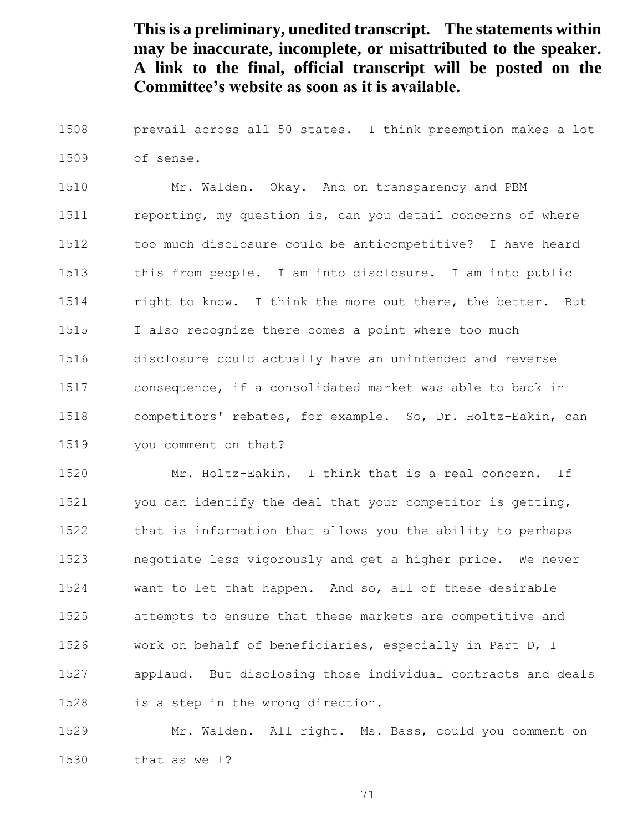prevail across all 50 states. I think preemption makes a lot of sense.

 Mr. Walden. Okay. And on transparency and PBM 1511 reporting, my question is, can you detail concerns of where too much disclosure could be anticompetitive? I have heard this from people. I am into disclosure. I am into public right to know. I think the more out there, the better. But I also recognize there comes a point where too much disclosure could actually have an unintended and reverse consequence, if a consolidated market was able to back in competitors' rebates, for example. So, Dr. Holtz-Eakin, can you comment on that?

 Mr. Holtz-Eakin. I think that is a real concern. If you can identify the deal that your competitor is getting, that is information that allows you the ability to perhaps negotiate less vigorously and get a higher price. We never want to let that happen. And so, all of these desirable attempts to ensure that these markets are competitive and work on behalf of beneficiaries, especially in Part D, I applaud. But disclosing those individual contracts and deals is a step in the wrong direction.

 Mr. Walden. All right. Ms. Bass, could you comment on that as well?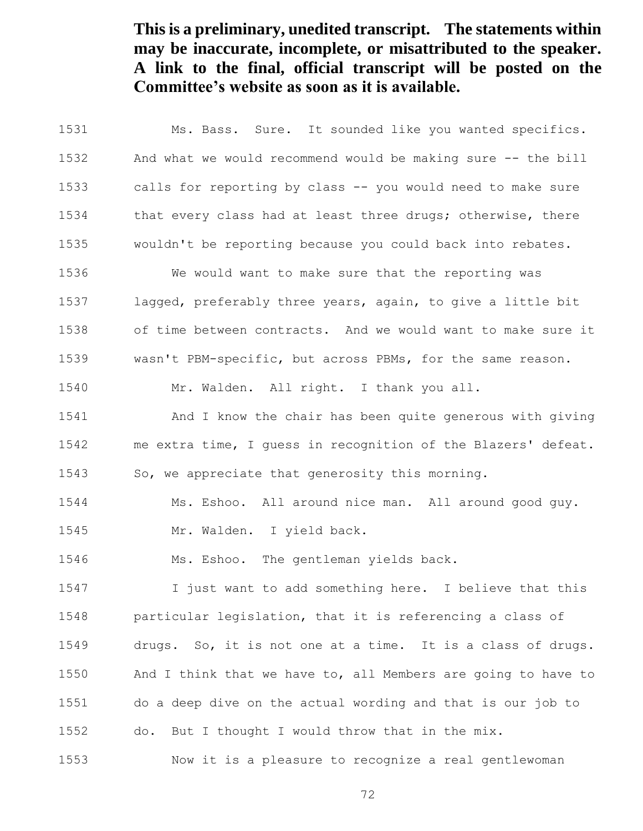1531 Ms. Bass. Sure. It sounded like you wanted specifics. And what we would recommend would be making sure -- the bill calls for reporting by class -- you would need to make sure that every class had at least three drugs; otherwise, there wouldn't be reporting because you could back into rebates. We would want to make sure that the reporting was lagged, preferably three years, again, to give a little bit of time between contracts. And we would want to make sure it wasn't PBM-specific, but across PBMs, for the same reason. Mr. Walden. All right. I thank you all. And I know the chair has been quite generous with giving me extra time, I guess in recognition of the Blazers' defeat. So, we appreciate that generosity this morning. Ms. Eshoo. All around nice man. All around good guy. Mr. Walden. I yield back. Ms. Eshoo. The gentleman yields back. I just want to add something here. I believe that this particular legislation, that it is referencing a class of drugs. So, it is not one at a time. It is a class of drugs. And I think that we have to, all Members are going to have to do a deep dive on the actual wording and that is our job to do. But I thought I would throw that in the mix. Now it is a pleasure to recognize a real gentlewoman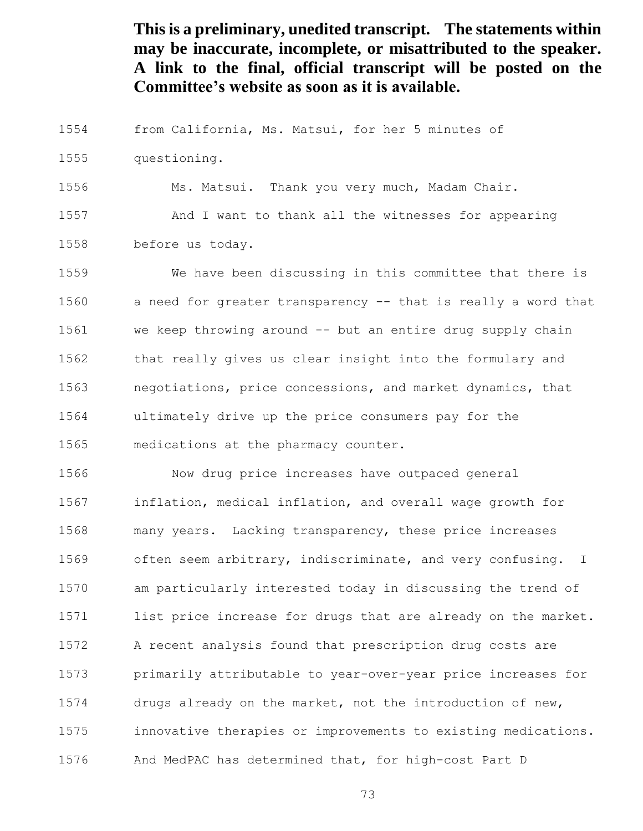from California, Ms. Matsui, for her 5 minutes of

questioning.

Ms. Matsui. Thank you very much, Madam Chair.

 And I want to thank all the witnesses for appearing before us today.

 We have been discussing in this committee that there is a need for greater transparency -- that is really a word that we keep throwing around -- but an entire drug supply chain that really gives us clear insight into the formulary and negotiations, price concessions, and market dynamics, that ultimately drive up the price consumers pay for the medications at the pharmacy counter.

 Now drug price increases have outpaced general inflation, medical inflation, and overall wage growth for many years. Lacking transparency, these price increases often seem arbitrary, indiscriminate, and very confusing. I am particularly interested today in discussing the trend of list price increase for drugs that are already on the market. A recent analysis found that prescription drug costs are primarily attributable to year-over-year price increases for drugs already on the market, not the introduction of new, innovative therapies or improvements to existing medications. And MedPAC has determined that, for high-cost Part D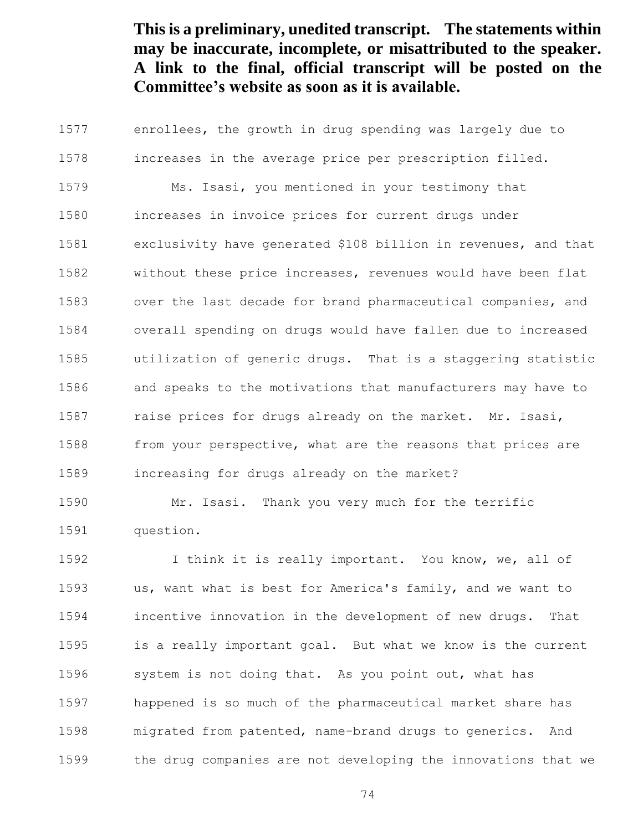enrollees, the growth in drug spending was largely due to increases in the average price per prescription filled. Ms. Isasi, you mentioned in your testimony that increases in invoice prices for current drugs under exclusivity have generated \$108 billion in revenues, and that without these price increases, revenues would have been flat over the last decade for brand pharmaceutical companies, and overall spending on drugs would have fallen due to increased utilization of generic drugs. That is a staggering statistic and speaks to the motivations that manufacturers may have to raise prices for drugs already on the market. Mr. Isasi, from your perspective, what are the reasons that prices are increasing for drugs already on the market?

 Mr. Isasi. Thank you very much for the terrific question.

1592 I think it is really important. You know, we, all of us, want what is best for America's family, and we want to incentive innovation in the development of new drugs. That is a really important goal. But what we know is the current system is not doing that. As you point out, what has happened is so much of the pharmaceutical market share has migrated from patented, name-brand drugs to generics. And the drug companies are not developing the innovations that we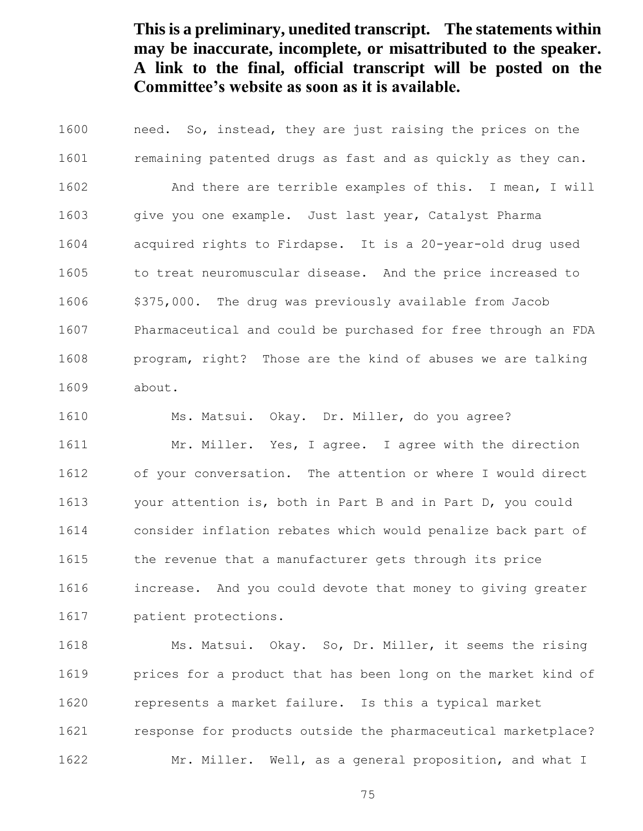need. So, instead, they are just raising the prices on the remaining patented drugs as fast and as quickly as they can. And there are terrible examples of this. I mean, I will give you one example. Just last year, Catalyst Pharma acquired rights to Firdapse. It is a 20-year-old drug used to treat neuromuscular disease. And the price increased to \$375,000. The drug was previously available from Jacob Pharmaceutical and could be purchased for free through an FDA program, right? Those are the kind of abuses we are talking about.

 Ms. Matsui. Okay. Dr. Miller, do you agree? 1611 Mr. Miller. Yes, I agree. I agree with the direction of your conversation. The attention or where I would direct your attention is, both in Part B and in Part D, you could consider inflation rebates which would penalize back part of 1615 the revenue that a manufacturer gets through its price increase. And you could devote that money to giving greater patient protections.

 Ms. Matsui. Okay. So, Dr. Miller, it seems the rising prices for a product that has been long on the market kind of represents a market failure. Is this a typical market response for products outside the pharmaceutical marketplace? Mr. Miller. Well, as a general proposition, and what I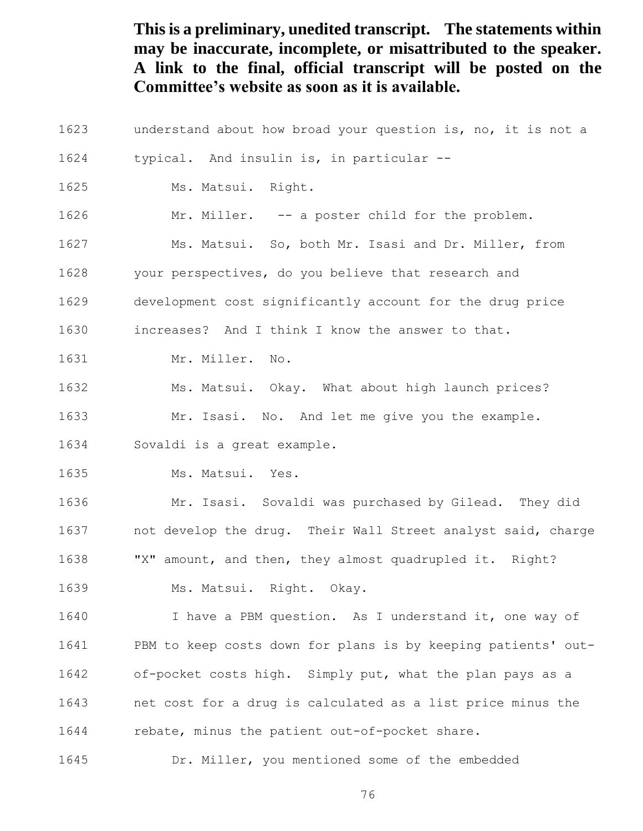understand about how broad your question is, no, it is not a typical. And insulin is, in particular -- Ms. Matsui. Right. Mr. Miller. -- a poster child for the problem. Ms. Matsui. So, both Mr. Isasi and Dr. Miller, from your perspectives, do you believe that research and development cost significantly account for the drug price increases? And I think I know the answer to that. 1631 Mr. Miller. No. Ms. Matsui. Okay. What about high launch prices? Mr. Isasi. No. And let me give you the example. Sovaldi is a great example. 1635 Ms. Matsui. Yes. Mr. Isasi. Sovaldi was purchased by Gilead. They did not develop the drug. Their Wall Street analyst said, charge "X" amount, and then, they almost quadrupled it. Right? Ms. Matsui. Right. Okay. I have a PBM question. As I understand it, one way of PBM to keep costs down for plans is by keeping patients' out- of-pocket costs high. Simply put, what the plan pays as a net cost for a drug is calculated as a list price minus the rebate, minus the patient out-of-pocket share.

Dr. Miller, you mentioned some of the embedded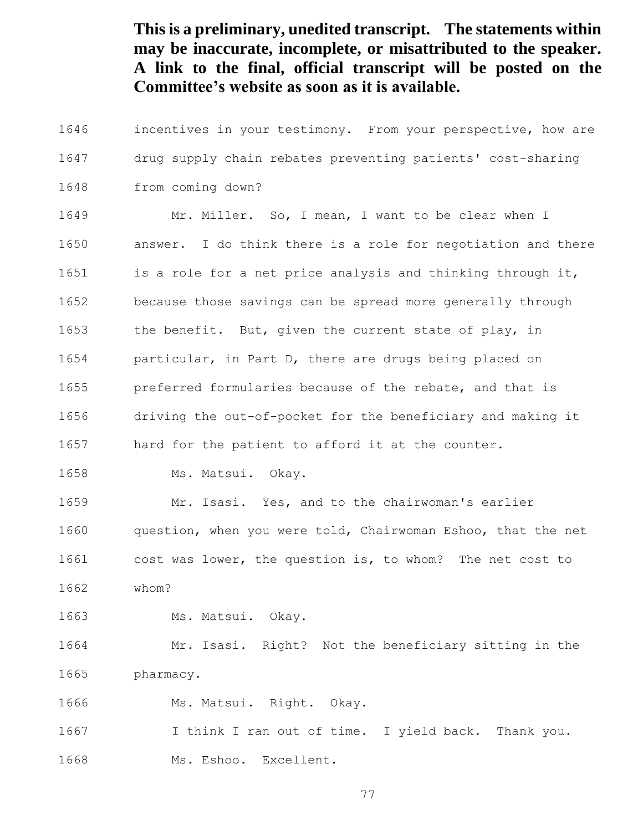incentives in your testimony. From your perspective, how are drug supply chain rebates preventing patients' cost-sharing from coming down? Mr. Miller. So, I mean, I want to be clear when I answer. I do think there is a role for negotiation and there is a role for a net price analysis and thinking through it, because those savings can be spread more generally through 1653 the benefit. But, given the current state of play, in particular, in Part D, there are drugs being placed on preferred formularies because of the rebate, and that is driving the out-of-pocket for the beneficiary and making it hard for the patient to afford it at the counter. 1658 Ms. Matsui. Okay. Mr. Isasi. Yes, and to the chairwoman's earlier question, when you were told, Chairwoman Eshoo, that the net cost was lower, the question is, to whom? The net cost to whom? 1663 Ms. Matsui. Okay. Mr. Isasi. Right? Not the beneficiary sitting in the pharmacy. Ms. Matsui. Right. Okay.

 I think I ran out of time. I yield back. Thank you. Ms. Eshoo. Excellent.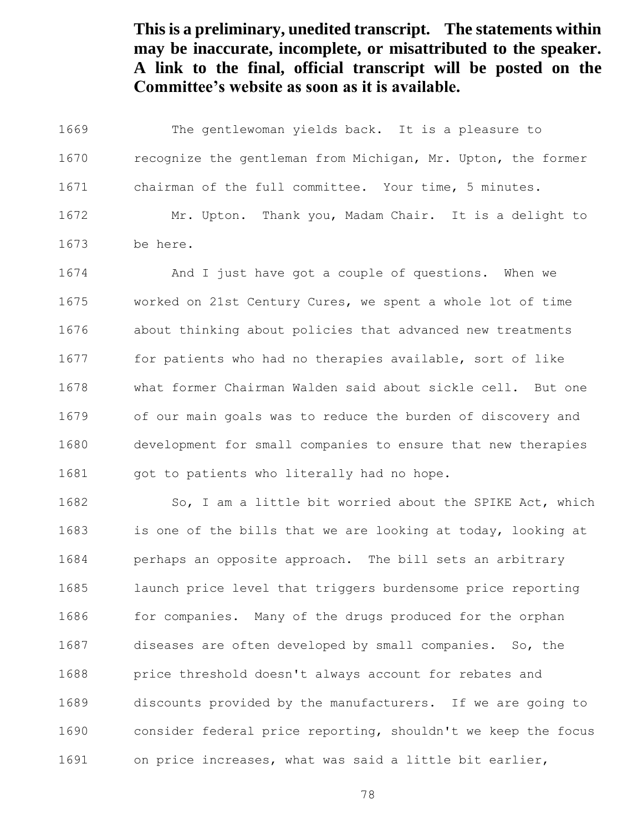The gentlewoman yields back. It is a pleasure to recognize the gentleman from Michigan, Mr. Upton, the former chairman of the full committee. Your time, 5 minutes. Mr. Upton. Thank you, Madam Chair. It is a delight to

be here.

 And I just have got a couple of questions. When we worked on 21st Century Cures, we spent a whole lot of time about thinking about policies that advanced new treatments for patients who had no therapies available, sort of like what former Chairman Walden said about sickle cell. But one of our main goals was to reduce the burden of discovery and development for small companies to ensure that new therapies 1681 got to patients who literally had no hope.

1682 So, I am a little bit worried about the SPIKE Act, which is one of the bills that we are looking at today, looking at perhaps an opposite approach. The bill sets an arbitrary launch price level that triggers burdensome price reporting for companies. Many of the drugs produced for the orphan diseases are often developed by small companies. So, the price threshold doesn't always account for rebates and discounts provided by the manufacturers. If we are going to consider federal price reporting, shouldn't we keep the focus on price increases, what was said a little bit earlier,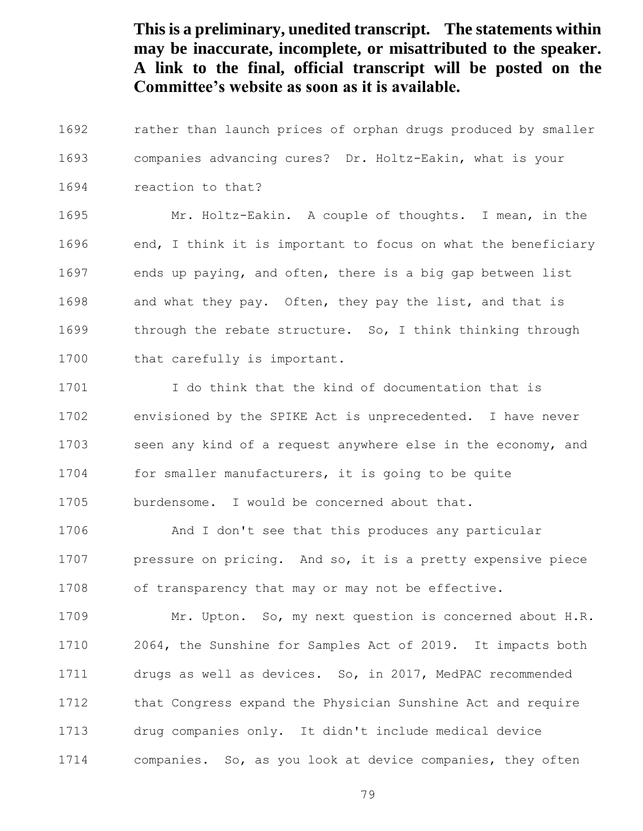rather than launch prices of orphan drugs produced by smaller companies advancing cures? Dr. Holtz-Eakin, what is your reaction to that?

 Mr. Holtz-Eakin. A couple of thoughts. I mean, in the end, I think it is important to focus on what the beneficiary ends up paying, and often, there is a big gap between list 1698 and what they pay. Often, they pay the list, and that is through the rebate structure. So, I think thinking through that carefully is important.

1701 I do think that the kind of documentation that is envisioned by the SPIKE Act is unprecedented. I have never seen any kind of a request anywhere else in the economy, and for smaller manufacturers, it is going to be quite burdensome. I would be concerned about that.

 And I don't see that this produces any particular pressure on pricing. And so, it is a pretty expensive piece of transparency that may or may not be effective.

 Mr. Upton. So, my next question is concerned about H.R. 2064, the Sunshine for Samples Act of 2019. It impacts both drugs as well as devices. So, in 2017, MedPAC recommended that Congress expand the Physician Sunshine Act and require drug companies only. It didn't include medical device companies. So, as you look at device companies, they often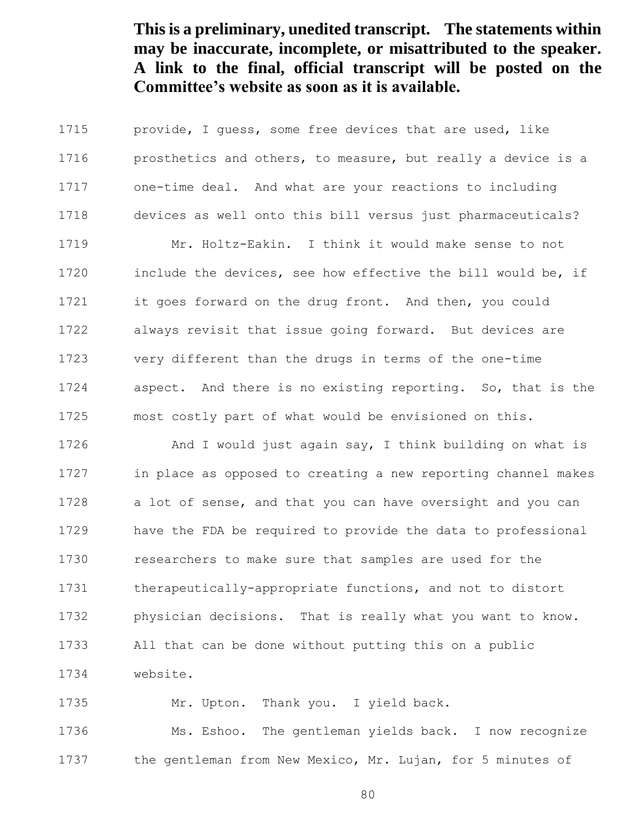provide, I guess, some free devices that are used, like 1716 prosthetics and others, to measure, but really a device is a one-time deal. And what are your reactions to including devices as well onto this bill versus just pharmaceuticals? Mr. Holtz-Eakin. I think it would make sense to not include the devices, see how effective the bill would be, if it goes forward on the drug front. And then, you could always revisit that issue going forward. But devices are very different than the drugs in terms of the one-time aspect. And there is no existing reporting. So, that is the most costly part of what would be envisioned on this.

 And I would just again say, I think building on what is in place as opposed to creating a new reporting channel makes a lot of sense, and that you can have oversight and you can have the FDA be required to provide the data to professional researchers to make sure that samples are used for the therapeutically-appropriate functions, and not to distort physician decisions. That is really what you want to know. All that can be done without putting this on a public website.

Mr. Upton. Thank you. I yield back.

 Ms. Eshoo. The gentleman yields back. I now recognize the gentleman from New Mexico, Mr. Lujan, for 5 minutes of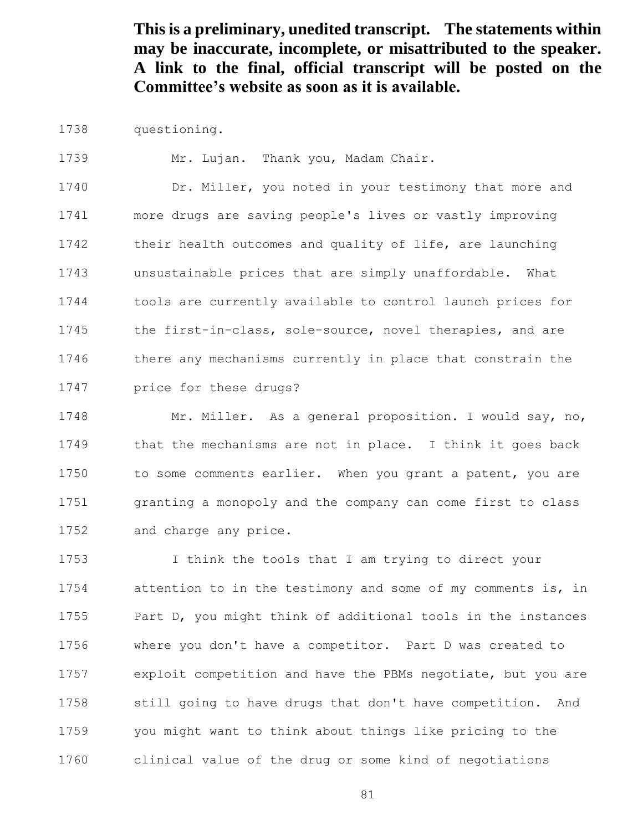questioning.

Mr. Lujan. Thank you, Madam Chair.

 Dr. Miller, you noted in your testimony that more and more drugs are saving people's lives or vastly improving 1742 their health outcomes and quality of life, are launching unsustainable prices that are simply unaffordable. What tools are currently available to control launch prices for 1745 the first-in-class, sole-source, novel therapies, and are there any mechanisms currently in place that constrain the price for these drugs?

 Mr. Miller. As a general proposition. I would say, no, that the mechanisms are not in place. I think it goes back to some comments earlier. When you grant a patent, you are granting a monopoly and the company can come first to class and charge any price.

 I think the tools that I am trying to direct your attention to in the testimony and some of my comments is, in Part D, you might think of additional tools in the instances where you don't have a competitor. Part D was created to exploit competition and have the PBMs negotiate, but you are still going to have drugs that don't have competition. And you might want to think about things like pricing to the clinical value of the drug or some kind of negotiations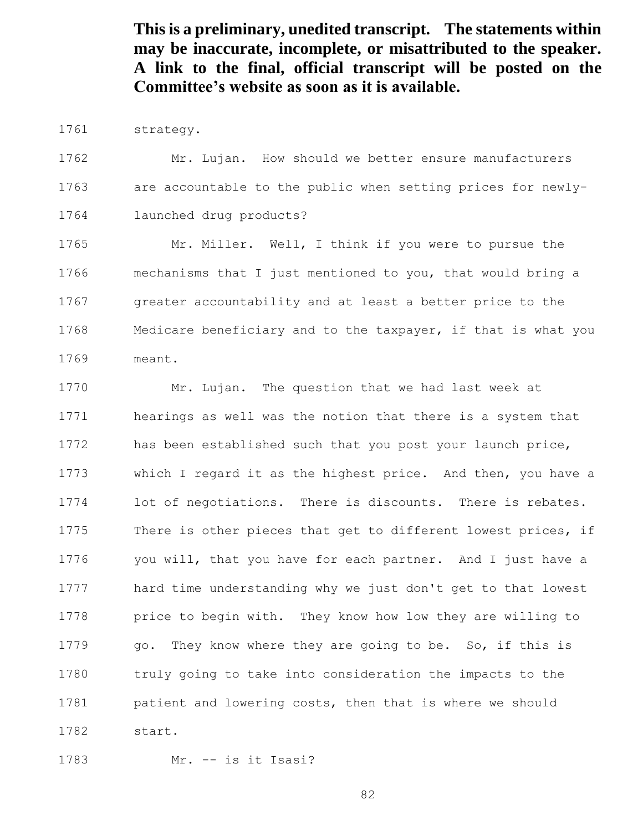strategy.

 Mr. Lujan. How should we better ensure manufacturers are accountable to the public when setting prices for newly-launched drug products?

 Mr. Miller. Well, I think if you were to pursue the mechanisms that I just mentioned to you, that would bring a greater accountability and at least a better price to the Medicare beneficiary and to the taxpayer, if that is what you meant.

 Mr. Lujan. The question that we had last week at hearings as well was the notion that there is a system that has been established such that you post your launch price, which I regard it as the highest price. And then, you have a lot of negotiations. There is discounts. There is rebates. There is other pieces that get to different lowest prices, if you will, that you have for each partner. And I just have a hard time understanding why we just don't get to that lowest price to begin with. They know how low they are willing to 1779 go. They know where they are going to be. So, if this is truly going to take into consideration the impacts to the patient and lowering costs, then that is where we should start.

Mr. -- is it Isasi?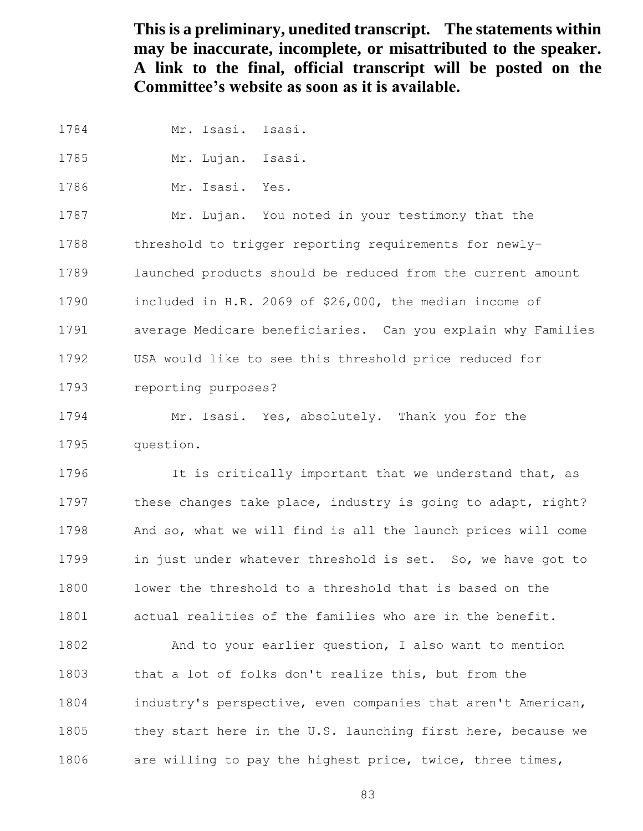Mr. Isasi. Isasi. Mr. Lujan. Isasi. Mr. Isasi. Yes. Mr. Lujan. You noted in your testimony that the threshold to trigger reporting requirements for newly- launched products should be reduced from the current amount included in H.R. 2069 of \$26,000, the median income of average Medicare beneficiaries. Can you explain why Families USA would like to see this threshold price reduced for reporting purposes? Mr. Isasi. Yes, absolutely. Thank you for the question. It is critically important that we understand that, as

1797 these changes take place, industry is going to adapt, right? And so, what we will find is all the launch prices will come in just under whatever threshold is set. So, we have got to lower the threshold to a threshold that is based on the actual realities of the families who are in the benefit.

 And to your earlier question, I also want to mention that a lot of folks don't realize this, but from the industry's perspective, even companies that aren't American, they start here in the U.S. launching first here, because we 1806 are willing to pay the highest price, twice, three times,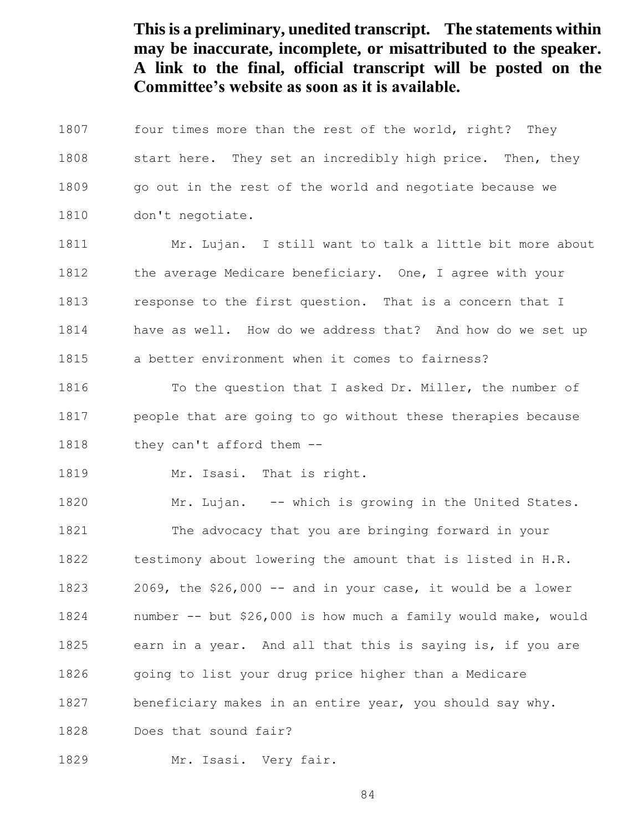four times more than the rest of the world, right? They 1808 start here. They set an incredibly high price. Then, they go out in the rest of the world and negotiate because we 1810 don't negotiate.

 Mr. Lujan. I still want to talk a little bit more about 1812 the average Medicare beneficiary. One, I agree with your response to the first question. That is a concern that I have as well. How do we address that? And how do we set up a better environment when it comes to fairness?

1816 To the question that I asked Dr. Miller, the number of people that are going to go without these therapies because 1818 they can't afford them --

1819 Mr. Isasi. That is right.

 Mr. Lujan. -- which is growing in the United States. The advocacy that you are bringing forward in your testimony about lowering the amount that is listed in H.R. 2069, the \$26,000 -- and in your case, it would be a lower number -- but \$26,000 is how much a family would make, would earn in a year. And all that this is saying is, if you are going to list your drug price higher than a Medicare beneficiary makes in an entire year, you should say why. Does that sound fair?

Mr. Isasi. Very fair.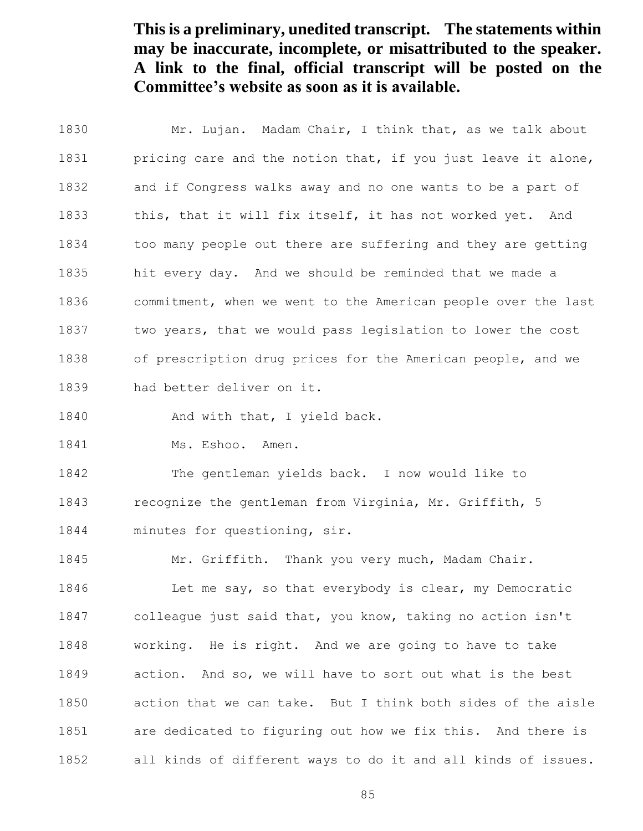Mr. Lujan. Madam Chair, I think that, as we talk about 1831 pricing care and the notion that, if you just leave it alone, and if Congress walks away and no one wants to be a part of this, that it will fix itself, it has not worked yet. And too many people out there are suffering and they are getting hit every day. And we should be reminded that we made a commitment, when we went to the American people over the last 1837 two years, that we would pass legislation to lower the cost of prescription drug prices for the American people, and we had better deliver on it.

1840 And with that, I yield back.

1841 Ms. Eshoo. Amen.

 The gentleman yields back. I now would like to recognize the gentleman from Virginia, Mr. Griffith, 5 minutes for questioning, sir.

Mr. Griffith. Thank you very much, Madam Chair.

1846 Let me say, so that everybody is clear, my Democratic colleague just said that, you know, taking no action isn't working. He is right. And we are going to have to take action. And so, we will have to sort out what is the best action that we can take. But I think both sides of the aisle are dedicated to figuring out how we fix this. And there is all kinds of different ways to do it and all kinds of issues.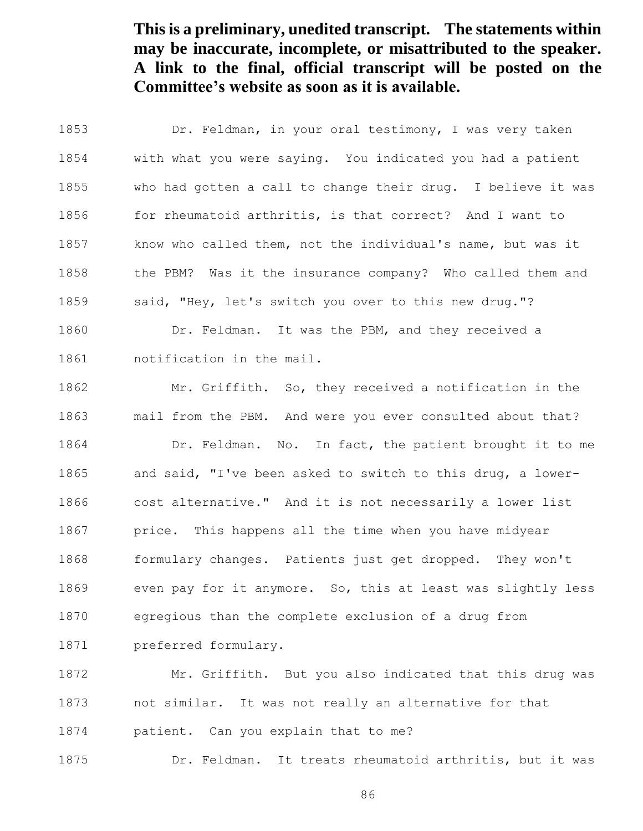Dr. Feldman, in your oral testimony, I was very taken with what you were saying. You indicated you had a patient who had gotten a call to change their drug. I believe it was for rheumatoid arthritis, is that correct? And I want to know who called them, not the individual's name, but was it the PBM? Was it the insurance company? Who called them and said, "Hey, let's switch you over to this new drug."? Dr. Feldman. It was the PBM, and they received a

notification in the mail.

 Mr. Griffith. So, they received a notification in the mail from the PBM. And were you ever consulted about that? Dr. Feldman. No. In fact, the patient brought it to me and said, "I've been asked to switch to this drug, a lower- cost alternative." And it is not necessarily a lower list price. This happens all the time when you have midyear formulary changes. Patients just get dropped. They won't even pay for it anymore. So, this at least was slightly less egregious than the complete exclusion of a drug from preferred formulary.

 Mr. Griffith. But you also indicated that this drug was not similar. It was not really an alternative for that patient. Can you explain that to me?

Dr. Feldman. It treats rheumatoid arthritis, but it was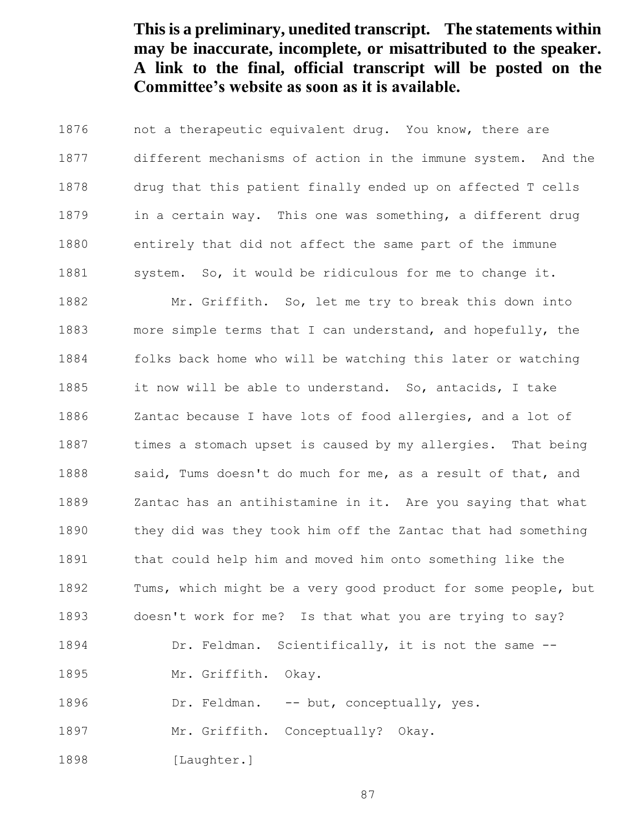1876 not a therapeutic equivalent drug. You know, there are different mechanisms of action in the immune system. And the drug that this patient finally ended up on affected T cells in a certain way. This one was something, a different drug entirely that did not affect the same part of the immune 1881 system. So, it would be ridiculous for me to change it. Mr. Griffith. So, let me try to break this down into more simple terms that I can understand, and hopefully, the folks back home who will be watching this later or watching it now will be able to understand. So, antacids, I take Zantac because I have lots of food allergies, and a lot of times a stomach upset is caused by my allergies. That being 1888 said, Tums doesn't do much for me, as a result of that, and Zantac has an antihistamine in it. Are you saying that what they did was they took him off the Zantac that had something that could help him and moved him onto something like the Tums, which might be a very good product for some people, but doesn't work for me? Is that what you are trying to say? Dr. Feldman. Scientifically, it is not the same -- Mr. Griffith. Okay. 1896 Dr. Feldman. -- but, conceptually, yes. 1897 Mr. Griffith. Conceptually? Okay.

[Laughter.]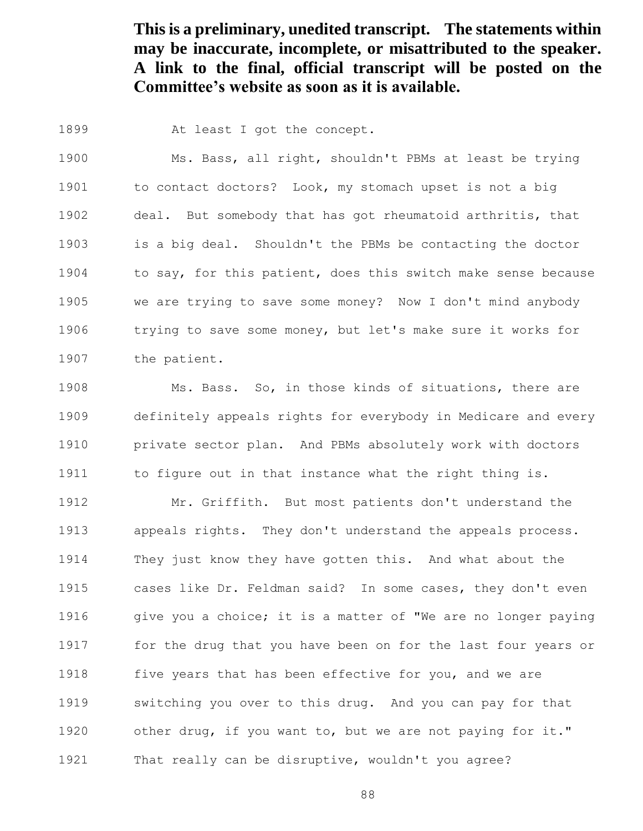1899 At least I got the concept.

 Ms. Bass, all right, shouldn't PBMs at least be trying 1901 to contact doctors? Look, my stomach upset is not a big deal. But somebody that has got rheumatoid arthritis, that is a big deal. Shouldn't the PBMs be contacting the doctor to say, for this patient, does this switch make sense because we are trying to save some money? Now I don't mind anybody trying to save some money, but let's make sure it works for 1907 the patient.

 Ms. Bass. So, in those kinds of situations, there are definitely appeals rights for everybody in Medicare and every private sector plan. And PBMs absolutely work with doctors 1911 to figure out in that instance what the right thing is.

 Mr. Griffith. But most patients don't understand the appeals rights. They don't understand the appeals process. They just know they have gotten this. And what about the cases like Dr. Feldman said? In some cases, they don't even 1916 give you a choice; it is a matter of "We are no longer paying for the drug that you have been on for the last four years or five years that has been effective for you, and we are switching you over to this drug. And you can pay for that 1920 other drug, if you want to, but we are not paying for it." That really can be disruptive, wouldn't you agree?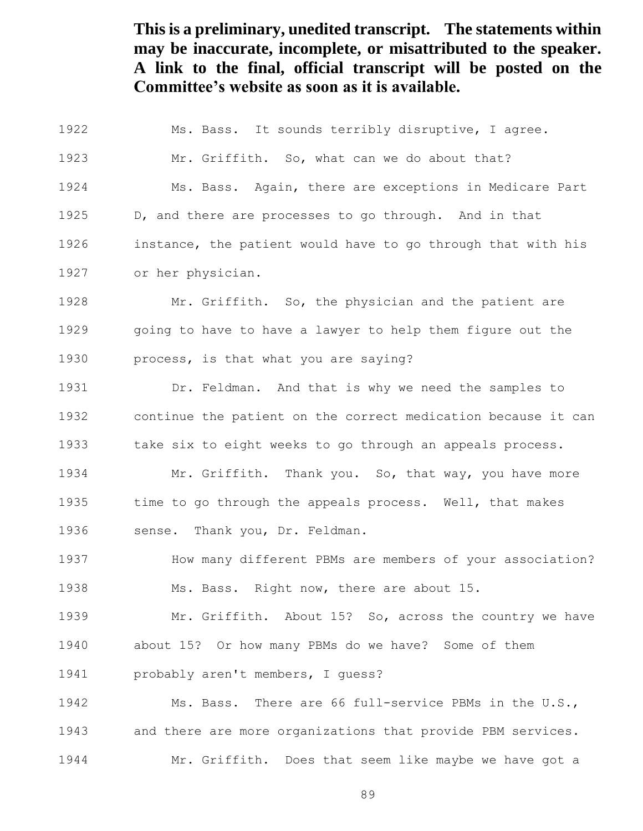Ms. Bass. It sounds terribly disruptive, I agree. Mr. Griffith. So, what can we do about that? Ms. Bass. Again, there are exceptions in Medicare Part 1925 D, and there are processes to go through. And in that instance, the patient would have to go through that with his or her physician.

 Mr. Griffith. So, the physician and the patient are going to have to have a lawyer to help them figure out the 1930 process, is that what you are saying?

 Dr. Feldman. And that is why we need the samples to continue the patient on the correct medication because it can take six to eight weeks to go through an appeals process.

 Mr. Griffith. Thank you. So, that way, you have more 1935 time to go through the appeals process. Well, that makes sense. Thank you, Dr. Feldman.

 How many different PBMs are members of your association? Ms. Bass. Right now, there are about 15.

 Mr. Griffith. About 15? So, across the country we have about 15? Or how many PBMs do we have? Some of them probably aren't members, I guess?

 Ms. Bass. There are 66 full-service PBMs in the U.S., and there are more organizations that provide PBM services. Mr. Griffith. Does that seem like maybe we have got a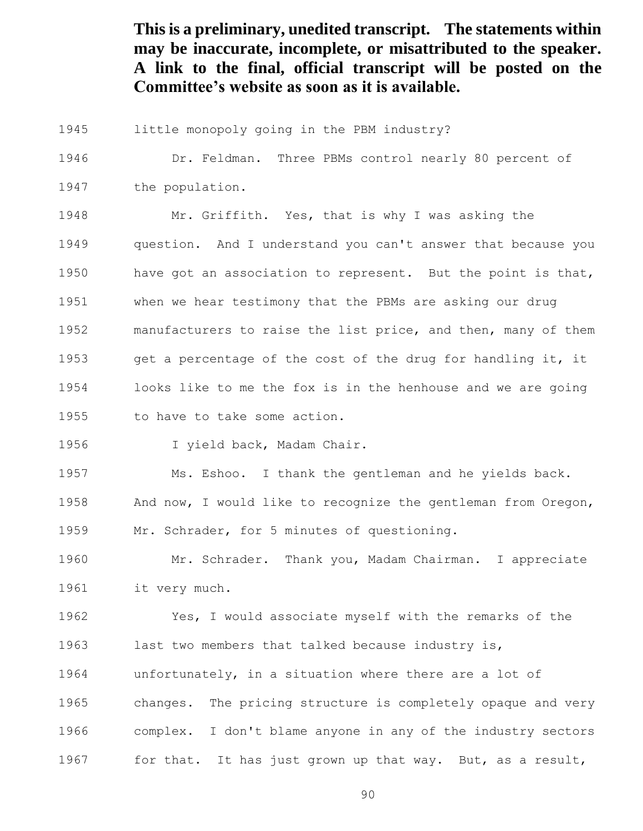little monopoly going in the PBM industry?

 Dr. Feldman. Three PBMs control nearly 80 percent of the population.

 Mr. Griffith. Yes, that is why I was asking the question. And I understand you can't answer that because you have got an association to represent. But the point is that, when we hear testimony that the PBMs are asking our drug manufacturers to raise the list price, and then, many of them get a percentage of the cost of the drug for handling it, it looks like to me the fox is in the henhouse and we are going to have to take some action.

I yield back, Madam Chair.

Ms. Eshoo. I thank the gentleman and he yields back.

 And now, I would like to recognize the gentleman from Oregon, Mr. Schrader, for 5 minutes of questioning.

 Mr. Schrader. Thank you, Madam Chairman. I appreciate it very much.

 Yes, I would associate myself with the remarks of the last two members that talked because industry is,

unfortunately, in a situation where there are a lot of

changes. The pricing structure is completely opaque and very

complex. I don't blame anyone in any of the industry sectors

1967 for that. It has just grown up that way. But, as a result,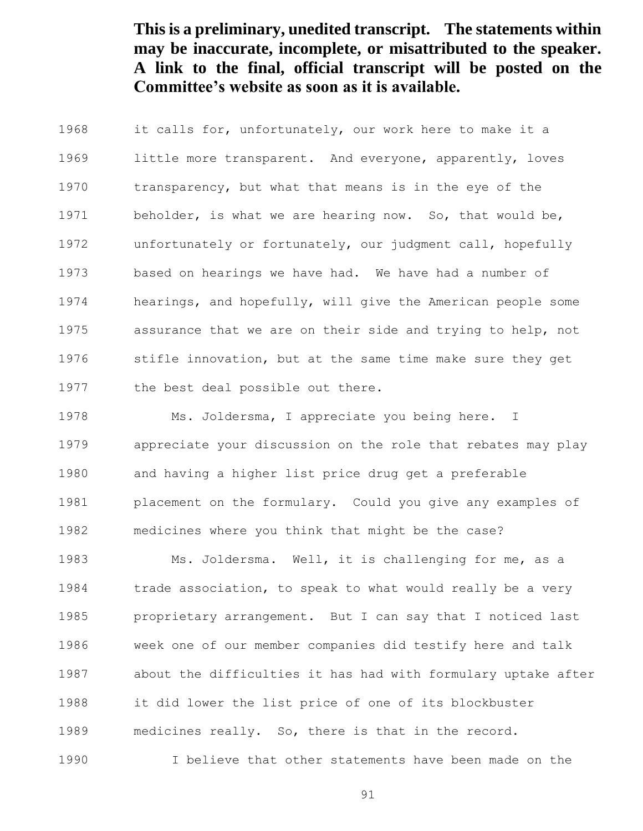it calls for, unfortunately, our work here to make it a little more transparent. And everyone, apparently, loves transparency, but what that means is in the eye of the 1971 beholder, is what we are hearing now. So, that would be, unfortunately or fortunately, our judgment call, hopefully based on hearings we have had. We have had a number of hearings, and hopefully, will give the American people some assurance that we are on their side and trying to help, not stifle innovation, but at the same time make sure they get 1977 the best deal possible out there.

 Ms. Joldersma, I appreciate you being here. I appreciate your discussion on the role that rebates may play and having a higher list price drug get a preferable placement on the formulary. Could you give any examples of medicines where you think that might be the case?

1983 Ms. Joldersma. Well, it is challenging for me, as a 1984 trade association, to speak to what would really be a very proprietary arrangement. But I can say that I noticed last week one of our member companies did testify here and talk about the difficulties it has had with formulary uptake after it did lower the list price of one of its blockbuster medicines really. So, there is that in the record.

I believe that other statements have been made on the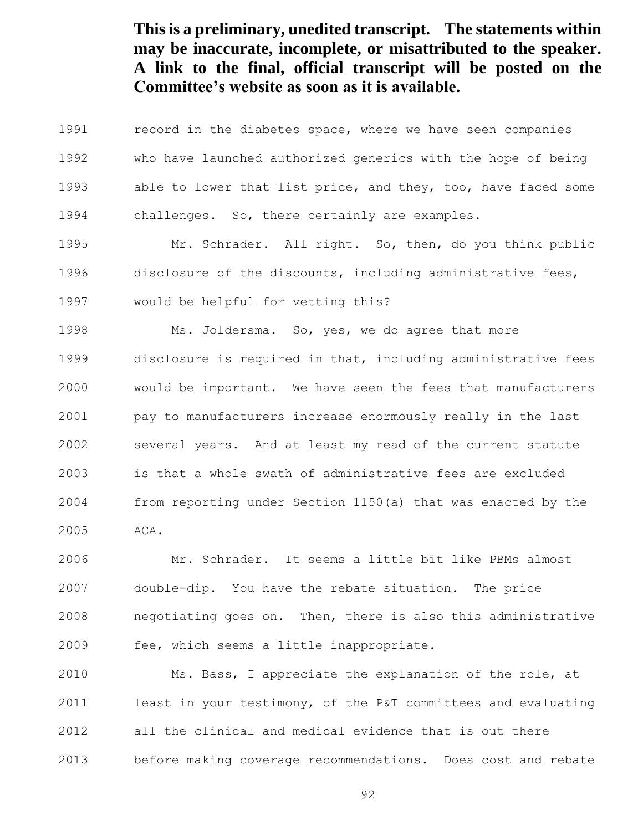1991 record in the diabetes space, where we have seen companies who have launched authorized generics with the hope of being able to lower that list price, and they, too, have faced some challenges. So, there certainly are examples.

 Mr. Schrader. All right. So, then, do you think public disclosure of the discounts, including administrative fees, would be helpful for vetting this?

Ms. Joldersma. So, yes, we do agree that more

 disclosure is required in that, including administrative fees would be important. We have seen the fees that manufacturers pay to manufacturers increase enormously really in the last several years. And at least my read of the current statute is that a whole swath of administrative fees are excluded from reporting under Section 1150(a) that was enacted by the ACA.

 Mr. Schrader. It seems a little bit like PBMs almost double-dip. You have the rebate situation. The price negotiating goes on. Then, there is also this administrative fee, which seems a little inappropriate.

 Ms. Bass, I appreciate the explanation of the role, at least in your testimony, of the P&T committees and evaluating all the clinical and medical evidence that is out there before making coverage recommendations. Does cost and rebate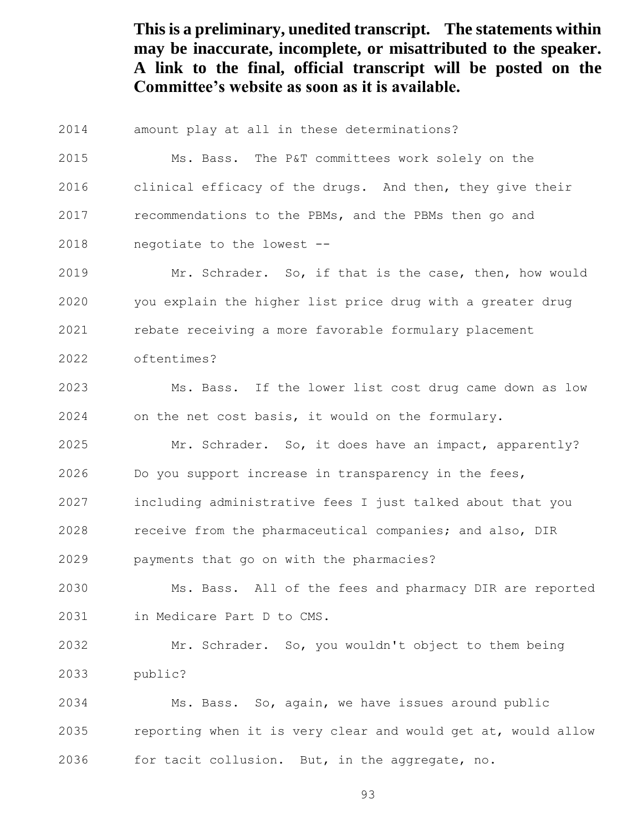amount play at all in these determinations?

 Ms. Bass. The P&T committees work solely on the clinical efficacy of the drugs. And then, they give their recommendations to the PBMs, and the PBMs then go and negotiate to the lowest --

 Mr. Schrader. So, if that is the case, then, how would you explain the higher list price drug with a greater drug rebate receiving a more favorable formulary placement

oftentimes?

 Ms. Bass. If the lower list cost drug came down as low on the net cost basis, it would on the formulary.

 Mr. Schrader. So, it does have an impact, apparently? Do you support increase in transparency in the fees,

including administrative fees I just talked about that you

receive from the pharmaceutical companies; and also, DIR

payments that go on with the pharmacies?

 Ms. Bass. All of the fees and pharmacy DIR are reported in Medicare Part D to CMS.

 Mr. Schrader. So, you wouldn't object to them being public?

 Ms. Bass. So, again, we have issues around public reporting when it is very clear and would get at, would allow for tacit collusion. But, in the aggregate, no.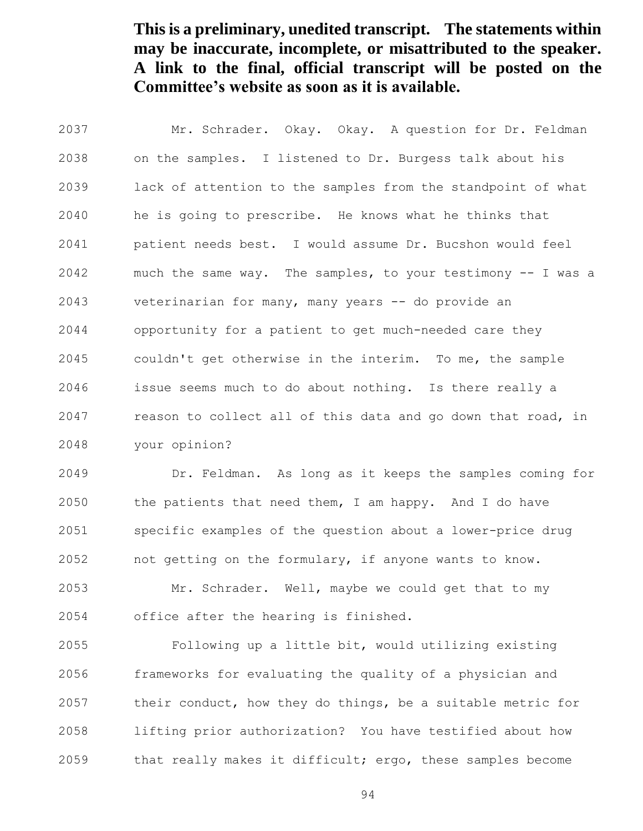Mr. Schrader. Okay. Okay. A question for Dr. Feldman on the samples. I listened to Dr. Burgess talk about his lack of attention to the samples from the standpoint of what he is going to prescribe. He knows what he thinks that patient needs best. I would assume Dr. Bucshon would feel much the same way. The samples, to your testimony -- I was a veterinarian for many, many years -- do provide an opportunity for a patient to get much-needed care they couldn't get otherwise in the interim. To me, the sample issue seems much to do about nothing. Is there really a reason to collect all of this data and go down that road, in your opinion?

 Dr. Feldman. As long as it keeps the samples coming for the patients that need them, I am happy. And I do have specific examples of the question about a lower-price drug not getting on the formulary, if anyone wants to know.

 Mr. Schrader. Well, maybe we could get that to my office after the hearing is finished.

 Following up a little bit, would utilizing existing frameworks for evaluating the quality of a physician and their conduct, how they do things, be a suitable metric for lifting prior authorization? You have testified about how that really makes it difficult; ergo, these samples become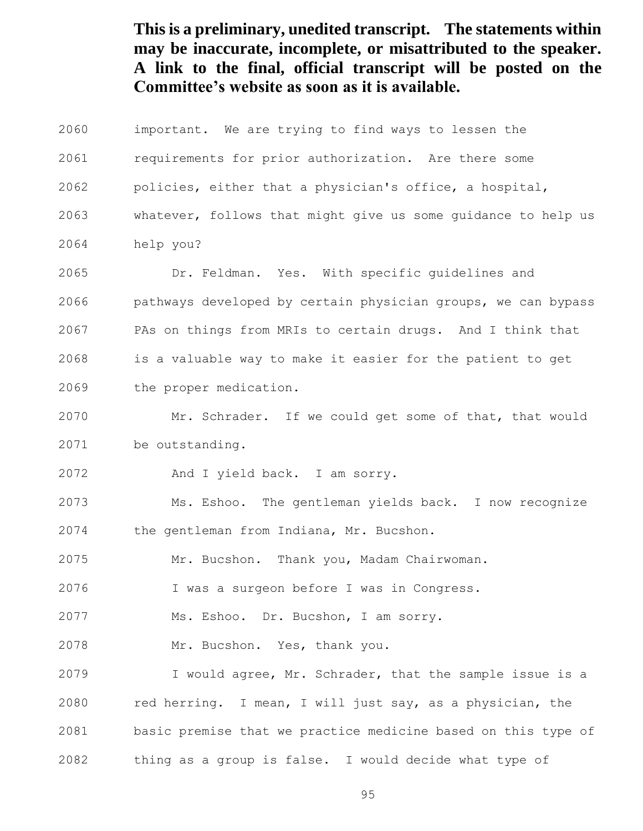- important. We are trying to find ways to lessen the
- requirements for prior authorization. Are there some
- policies, either that a physician's office, a hospital,
- whatever, follows that might give us some guidance to help us
- help you?
- Dr. Feldman. Yes. With specific guidelines and
- pathways developed by certain physician groups, we can bypass
- PAs on things from MRIs to certain drugs. And I think that
- is a valuable way to make it easier for the patient to get
- the proper medication.
- Mr. Schrader. If we could get some of that, that would be outstanding.
- And I yield back. I am sorry.
- Ms. Eshoo. The gentleman yields back. I now recognize the gentleman from Indiana, Mr. Bucshon.
- Mr. Bucshon. Thank you, Madam Chairwoman.
- I was a surgeon before I was in Congress.
- Ms. Eshoo. Dr. Bucshon, I am sorry.
- Mr. Bucshon. Yes, thank you.

 I would agree, Mr. Schrader, that the sample issue is a red herring. I mean, I will just say, as a physician, the basic premise that we practice medicine based on this type of thing as a group is false. I would decide what type of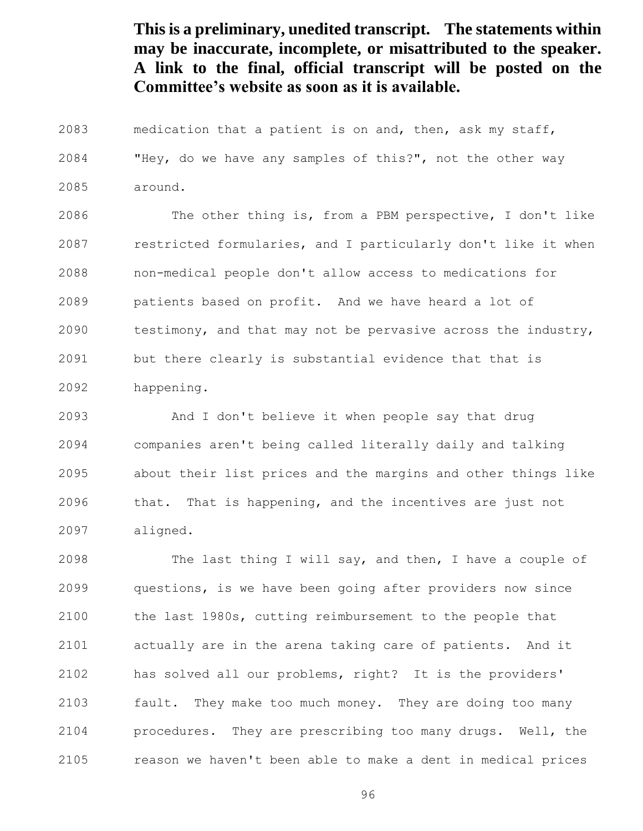medication that a patient is on and, then, ask my staff, "Hey, do we have any samples of this?", not the other way around.

 The other thing is, from a PBM perspective, I don't like restricted formularies, and I particularly don't like it when non-medical people don't allow access to medications for patients based on profit. And we have heard a lot of testimony, and that may not be pervasive across the industry, but there clearly is substantial evidence that that is happening.

 And I don't believe it when people say that drug companies aren't being called literally daily and talking about their list prices and the margins and other things like that. That is happening, and the incentives are just not aligned.

2098 The last thing I will say, and then, I have a couple of questions, is we have been going after providers now since the last 1980s, cutting reimbursement to the people that actually are in the arena taking care of patients. And it has solved all our problems, right? It is the providers' fault. They make too much money. They are doing too many procedures. They are prescribing too many drugs. Well, the reason we haven't been able to make a dent in medical prices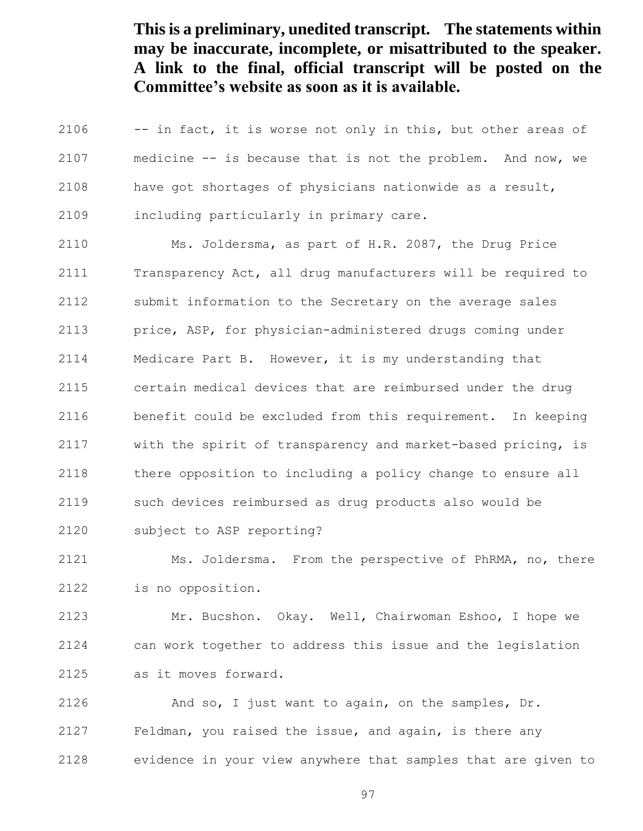-- in fact, it is worse not only in this, but other areas of medicine -- is because that is not the problem. And now, we have got shortages of physicians nationwide as a result, including particularly in primary care.

 Ms. Joldersma, as part of H.R. 2087, the Drug Price Transparency Act, all drug manufacturers will be required to submit information to the Secretary on the average sales price, ASP, for physician-administered drugs coming under Medicare Part B. However, it is my understanding that certain medical devices that are reimbursed under the drug benefit could be excluded from this requirement. In keeping with the spirit of transparency and market-based pricing, is there opposition to including a policy change to ensure all such devices reimbursed as drug products also would be subject to ASP reporting?

 Ms. Joldersma. From the perspective of PhRMA, no, there is no opposition.

 Mr. Bucshon. Okay. Well, Chairwoman Eshoo, I hope we can work together to address this issue and the legislation as it moves forward.

 And so, I just want to again, on the samples, Dr. Feldman, you raised the issue, and again, is there any evidence in your view anywhere that samples that are given to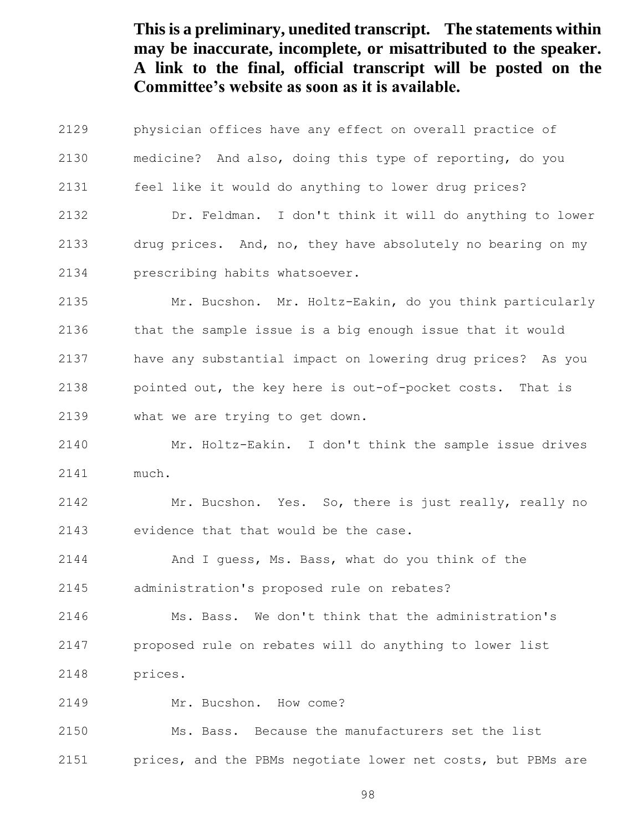- physician offices have any effect on overall practice of medicine? And also, doing this type of reporting, do you feel like it would do anything to lower drug prices? Dr. Feldman. I don't think it will do anything to lower drug prices. And, no, they have absolutely no bearing on my prescribing habits whatsoever. Mr. Bucshon. Mr. Holtz-Eakin, do you think particularly that the sample issue is a big enough issue that it would have any substantial impact on lowering drug prices? As you pointed out, the key here is out-of-pocket costs. That is what we are trying to get down.
- Mr. Holtz-Eakin. I don't think the sample issue drives much.
- Mr. Bucshon. Yes. So, there is just really, really no evidence that that would be the case.
- And I guess, Ms. Bass, what do you think of the administration's proposed rule on rebates?
- Ms. Bass. We don't think that the administration's proposed rule on rebates will do anything to lower list prices.
- Mr. Bucshon. How come?

 Ms. Bass. Because the manufacturers set the list prices, and the PBMs negotiate lower net costs, but PBMs are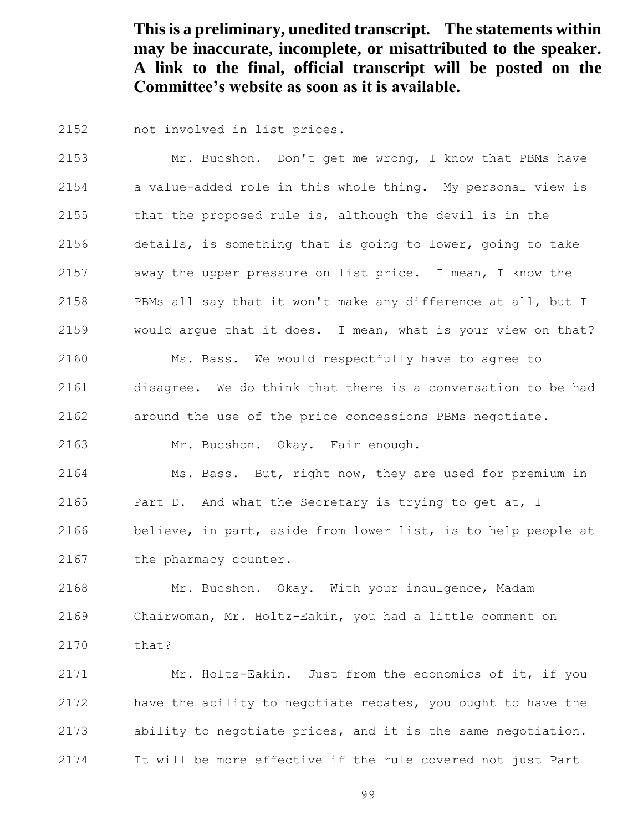not involved in list prices.

 Mr. Bucshon. Don't get me wrong, I know that PBMs have a value-added role in this whole thing. My personal view is that the proposed rule is, although the devil is in the details, is something that is going to lower, going to take away the upper pressure on list price. I mean, I know the PBMs all say that it won't make any difference at all, but I would argue that it does. I mean, what is your view on that? Ms. Bass. We would respectfully have to agree to disagree. We do think that there is a conversation to be had around the use of the price concessions PBMs negotiate. Mr. Bucshon. Okay. Fair enough. Ms. Bass. But, right now, they are used for premium in Part D. And what the Secretary is trying to get at, I believe, in part, aside from lower list, is to help people at

2167 the pharmacy counter.

 Mr. Bucshon. Okay. With your indulgence, Madam Chairwoman, Mr. Holtz-Eakin, you had a little comment on that?

 Mr. Holtz-Eakin. Just from the economics of it, if you have the ability to negotiate rebates, you ought to have the ability to negotiate prices, and it is the same negotiation. It will be more effective if the rule covered not just Part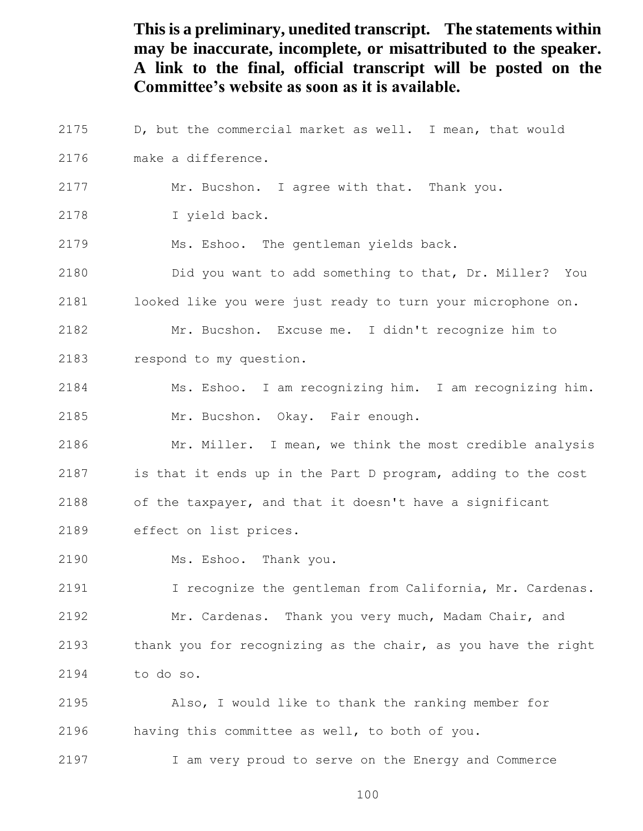D, but the commercial market as well. I mean, that would make a difference. Mr. Bucshon. I agree with that. Thank you. I yield back. Ms. Eshoo. The gentleman yields back. Did you want to add something to that, Dr. Miller? You looked like you were just ready to turn your microphone on. Mr. Bucshon. Excuse me. I didn't recognize him to respond to my question. Ms. Eshoo. I am recognizing him. I am recognizing him. Mr. Bucshon. Okay. Fair enough. Mr. Miller. I mean, we think the most credible analysis is that it ends up in the Part D program, adding to the cost of the taxpayer, and that it doesn't have a significant effect on list prices. Ms. Eshoo. Thank you. I recognize the gentleman from California, Mr. Cardenas. Mr. Cardenas. Thank you very much, Madam Chair, and thank you for recognizing as the chair, as you have the right to do so.

 Also, I would like to thank the ranking member for having this committee as well, to both of you.

I am very proud to serve on the Energy and Commerce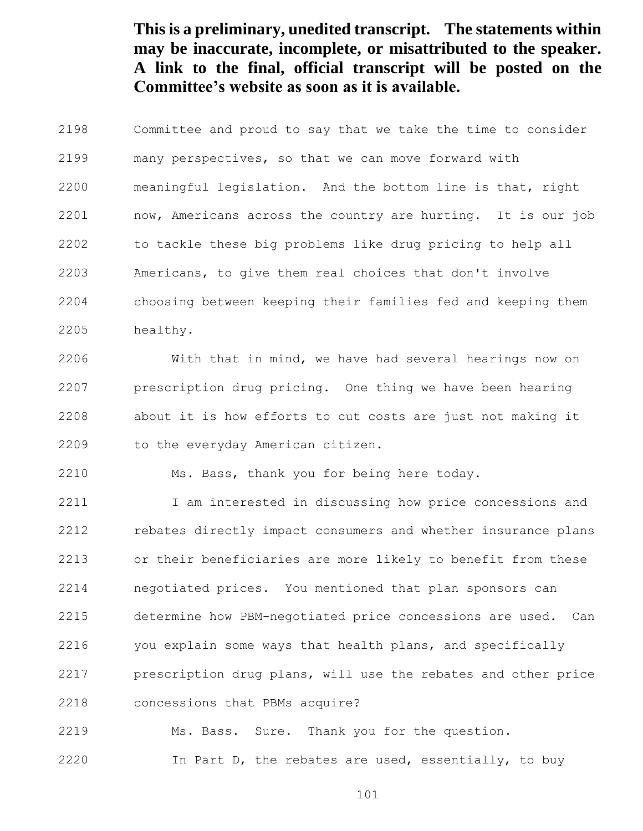Committee and proud to say that we take the time to consider many perspectives, so that we can move forward with meaningful legislation. And the bottom line is that, right now, Americans across the country are hurting. It is our job to tackle these big problems like drug pricing to help all Americans, to give them real choices that don't involve choosing between keeping their families fed and keeping them healthy.

 With that in mind, we have had several hearings now on prescription drug pricing. One thing we have been hearing about it is how efforts to cut costs are just not making it to the everyday American citizen.

Ms. Bass, thank you for being here today.

2211 I am interested in discussing how price concessions and rebates directly impact consumers and whether insurance plans or their beneficiaries are more likely to benefit from these negotiated prices. You mentioned that plan sponsors can determine how PBM-negotiated price concessions are used. Can you explain some ways that health plans, and specifically prescription drug plans, will use the rebates and other price concessions that PBMs acquire?

Ms. Bass. Sure. Thank you for the question.

In Part D, the rebates are used, essentially, to buy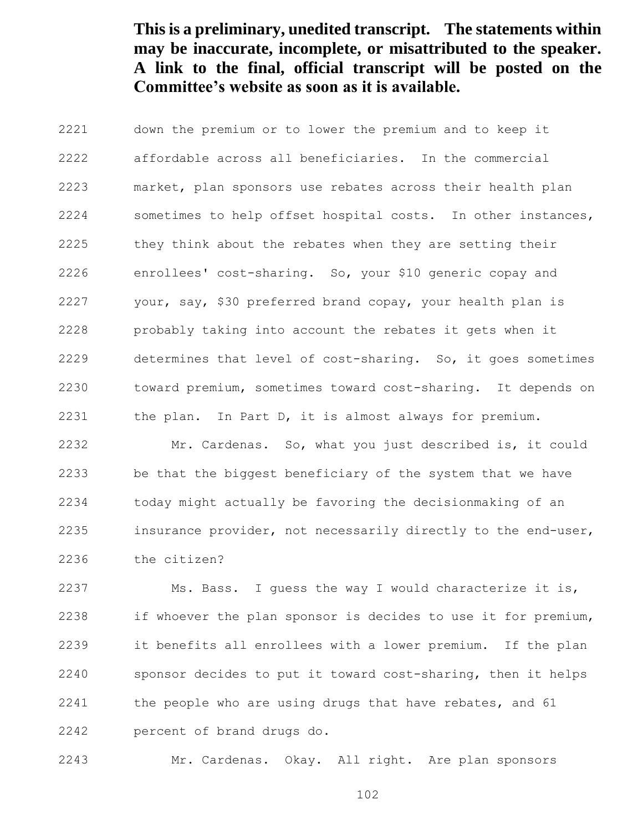down the premium or to lower the premium and to keep it affordable across all beneficiaries. In the commercial market, plan sponsors use rebates across their health plan sometimes to help offset hospital costs. In other instances, 2225 they think about the rebates when they are setting their enrollees' cost-sharing. So, your \$10 generic copay and your, say, \$30 preferred brand copay, your health plan is probably taking into account the rebates it gets when it determines that level of cost-sharing. So, it goes sometimes toward premium, sometimes toward cost-sharing. It depends on the plan. In Part D, it is almost always for premium.

 Mr. Cardenas. So, what you just described is, it could be that the biggest beneficiary of the system that we have today might actually be favoring the decisionmaking of an insurance provider, not necessarily directly to the end-user, the citizen?

 Ms. Bass. I guess the way I would characterize it is, if whoever the plan sponsor is decides to use it for premium, it benefits all enrollees with a lower premium. If the plan sponsor decides to put it toward cost-sharing, then it helps 2241 the people who are using drugs that have rebates, and 61 percent of brand drugs do.

Mr. Cardenas. Okay. All right. Are plan sponsors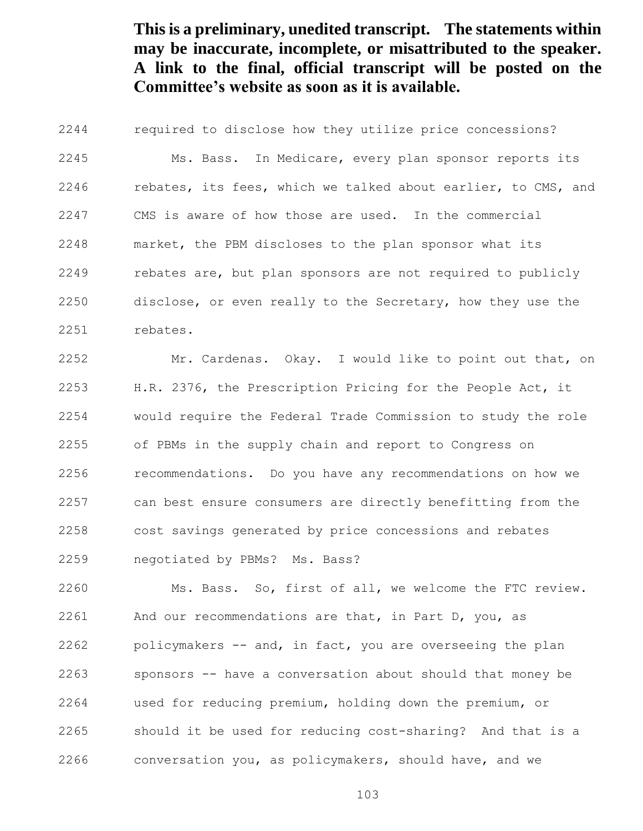required to disclose how they utilize price concessions? Ms. Bass. In Medicare, every plan sponsor reports its rebates, its fees, which we talked about earlier, to CMS, and CMS is aware of how those are used. In the commercial market, the PBM discloses to the plan sponsor what its 2249 rebates are, but plan sponsors are not required to publicly disclose, or even really to the Secretary, how they use the rebates.

 Mr. Cardenas. Okay. I would like to point out that, on H.R. 2376, the Prescription Pricing for the People Act, it would require the Federal Trade Commission to study the role of PBMs in the supply chain and report to Congress on recommendations. Do you have any recommendations on how we can best ensure consumers are directly benefitting from the cost savings generated by price concessions and rebates negotiated by PBMs? Ms. Bass?

 Ms. Bass. So, first of all, we welcome the FTC review. And our recommendations are that, in Part D, you, as policymakers -- and, in fact, you are overseeing the plan sponsors -- have a conversation about should that money be used for reducing premium, holding down the premium, or should it be used for reducing cost-sharing? And that is a conversation you, as policymakers, should have, and we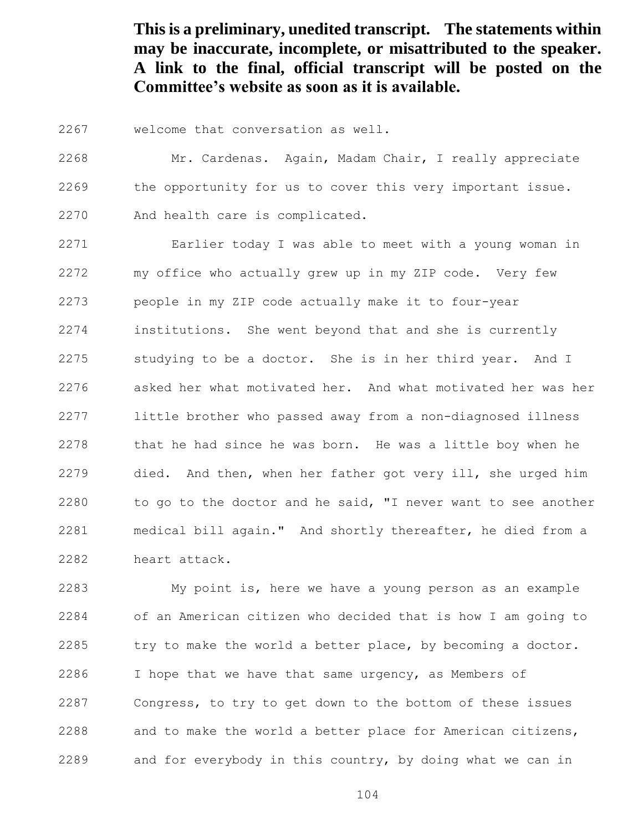welcome that conversation as well.

 Mr. Cardenas. Again, Madam Chair, I really appreciate 2269 the opportunity for us to cover this very important issue. And health care is complicated.

 Earlier today I was able to meet with a young woman in my office who actually grew up in my ZIP code. Very few people in my ZIP code actually make it to four-year institutions. She went beyond that and she is currently studying to be a doctor. She is in her third year. And I asked her what motivated her. And what motivated her was her little brother who passed away from a non-diagnosed illness that he had since he was born. He was a little boy when he died. And then, when her father got very ill, she urged him 2280 to go to the doctor and he said, "I never want to see another medical bill again." And shortly thereafter, he died from a heart attack.

 My point is, here we have a young person as an example of an American citizen who decided that is how I am going to try to make the world a better place, by becoming a doctor. I hope that we have that same urgency, as Members of Congress, to try to get down to the bottom of these issues and to make the world a better place for American citizens, and for everybody in this country, by doing what we can in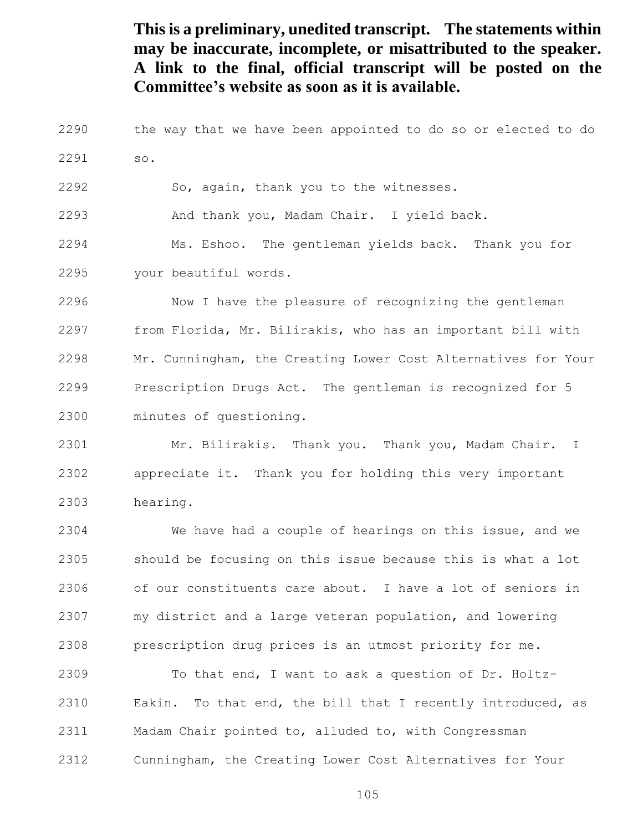the way that we have been appointed to do so or elected to do so.

So, again, thank you to the witnesses.

And thank you, Madam Chair. I yield back.

Ms. Eshoo. The gentleman yields back. Thank you for

your beautiful words.

 Now I have the pleasure of recognizing the gentleman from Florida, Mr. Bilirakis, who has an important bill with Mr. Cunningham, the Creating Lower Cost Alternatives for Your Prescription Drugs Act. The gentleman is recognized for 5 minutes of questioning.

 Mr. Bilirakis. Thank you. Thank you, Madam Chair. I appreciate it. Thank you for holding this very important hearing.

 We have had a couple of hearings on this issue, and we should be focusing on this issue because this is what a lot of our constituents care about. I have a lot of seniors in my district and a large veteran population, and lowering prescription drug prices is an utmost priority for me.

 To that end, I want to ask a question of Dr. Holtz- Eakin. To that end, the bill that I recently introduced, as Madam Chair pointed to, alluded to, with Congressman Cunningham, the Creating Lower Cost Alternatives for Your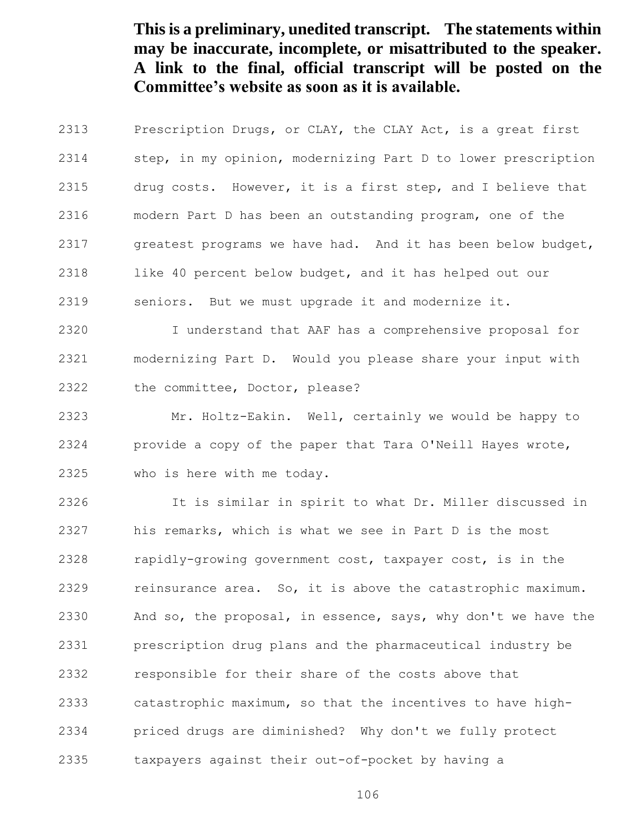Prescription Drugs, or CLAY, the CLAY Act, is a great first step, in my opinion, modernizing Part D to lower prescription drug costs. However, it is a first step, and I believe that modern Part D has been an outstanding program, one of the greatest programs we have had. And it has been below budget, like 40 percent below budget, and it has helped out our seniors. But we must upgrade it and modernize it.

 I understand that AAF has a comprehensive proposal for modernizing Part D. Would you please share your input with the committee, Doctor, please?

 Mr. Holtz-Eakin. Well, certainly we would be happy to provide a copy of the paper that Tara O'Neill Hayes wrote, who is here with me today.

 It is similar in spirit to what Dr. Miller discussed in his remarks, which is what we see in Part D is the most 2328 rapidly-growing government cost, taxpayer cost, is in the 2329 reinsurance area. So, it is above the catastrophic maximum. And so, the proposal, in essence, says, why don't we have the prescription drug plans and the pharmaceutical industry be responsible for their share of the costs above that catastrophic maximum, so that the incentives to have high- priced drugs are diminished? Why don't we fully protect taxpayers against their out-of-pocket by having a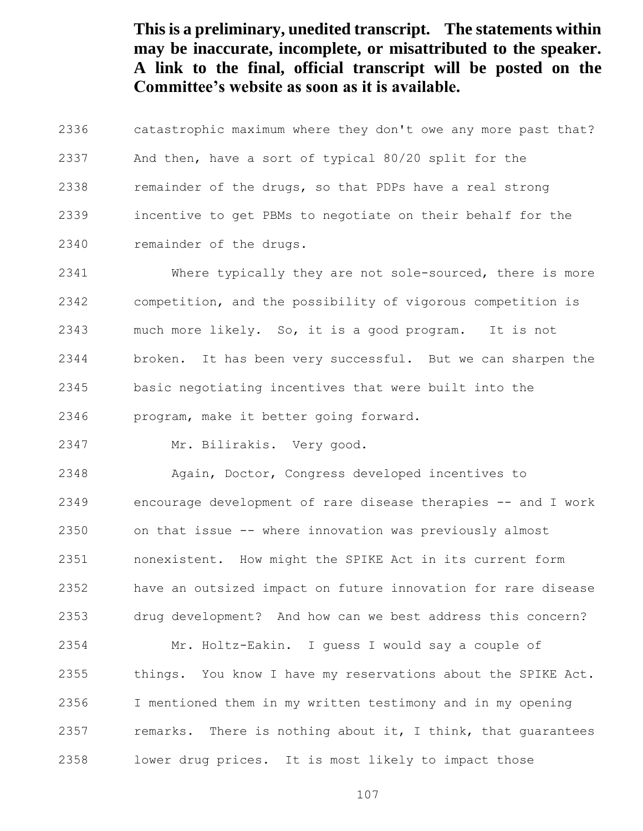catastrophic maximum where they don't owe any more past that? And then, have a sort of typical 80/20 split for the remainder of the drugs, so that PDPs have a real strong incentive to get PBMs to negotiate on their behalf for the remainder of the drugs.

 Where typically they are not sole-sourced, there is more competition, and the possibility of vigorous competition is much more likely. So, it is a good program. It is not broken. It has been very successful. But we can sharpen the basic negotiating incentives that were built into the

program, make it better going forward.

Mr. Bilirakis. Very good.

 Again, Doctor, Congress developed incentives to encourage development of rare disease therapies -- and I work on that issue -- where innovation was previously almost nonexistent. How might the SPIKE Act in its current form have an outsized impact on future innovation for rare disease drug development? And how can we best address this concern?

 Mr. Holtz-Eakin. I guess I would say a couple of things. You know I have my reservations about the SPIKE Act. I mentioned them in my written testimony and in my opening remarks. There is nothing about it, I think, that guarantees lower drug prices. It is most likely to impact those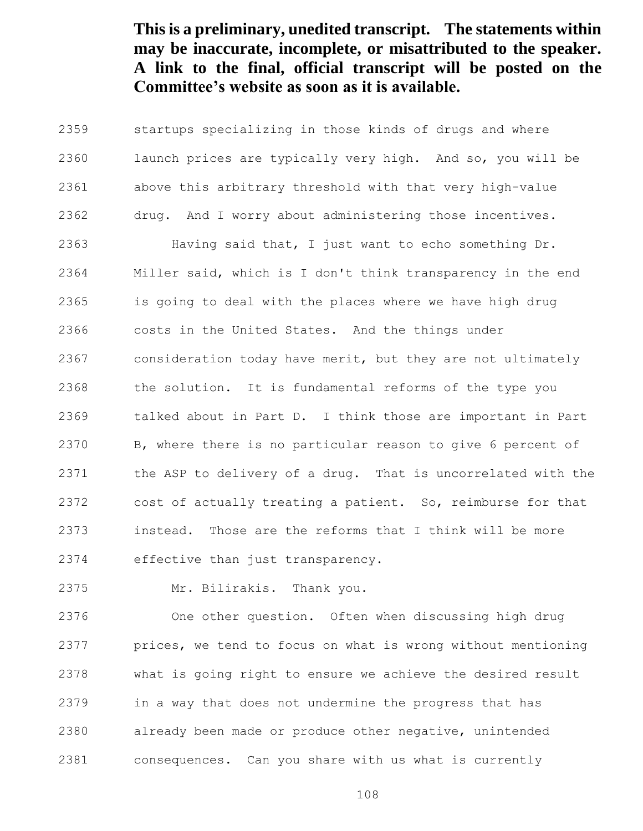startups specializing in those kinds of drugs and where launch prices are typically very high. And so, you will be above this arbitrary threshold with that very high-value drug. And I worry about administering those incentives. Having said that, I just want to echo something Dr. Miller said, which is I don't think transparency in the end is going to deal with the places where we have high drug costs in the United States. And the things under consideration today have merit, but they are not ultimately the solution. It is fundamental reforms of the type you talked about in Part D. I think those are important in Part B, where there is no particular reason to give 6 percent of the ASP to delivery of a drug. That is uncorrelated with the cost of actually treating a patient. So, reimburse for that instead. Those are the reforms that I think will be more effective than just transparency.

Mr. Bilirakis. Thank you.

 One other question. Often when discussing high drug prices, we tend to focus on what is wrong without mentioning what is going right to ensure we achieve the desired result in a way that does not undermine the progress that has already been made or produce other negative, unintended consequences. Can you share with us what is currently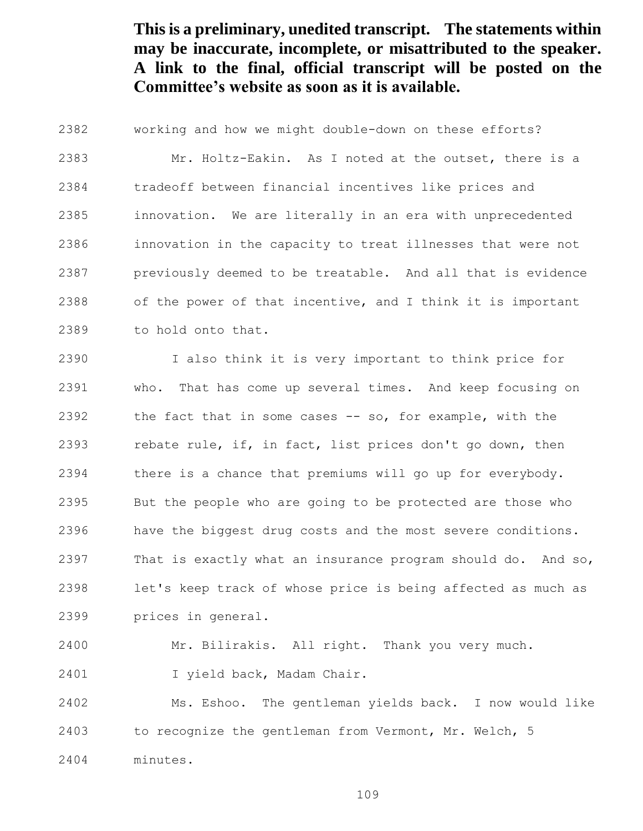working and how we might double-down on these efforts? Mr. Holtz-Eakin. As I noted at the outset, there is a tradeoff between financial incentives like prices and innovation. We are literally in an era with unprecedented innovation in the capacity to treat illnesses that were not previously deemed to be treatable. And all that is evidence of the power of that incentive, and I think it is important to hold onto that.

 I also think it is very important to think price for who. That has come up several times. And keep focusing on the fact that in some cases -- so, for example, with the 2393 rebate rule, if, in fact, list prices don't go down, then there is a chance that premiums will go up for everybody. But the people who are going to be protected are those who have the biggest drug costs and the most severe conditions. That is exactly what an insurance program should do. And so, let's keep track of whose price is being affected as much as prices in general.

Mr. Bilirakis. All right. Thank you very much.

I yield back, Madam Chair.

 Ms. Eshoo. The gentleman yields back. I now would like to recognize the gentleman from Vermont, Mr. Welch, 5

minutes.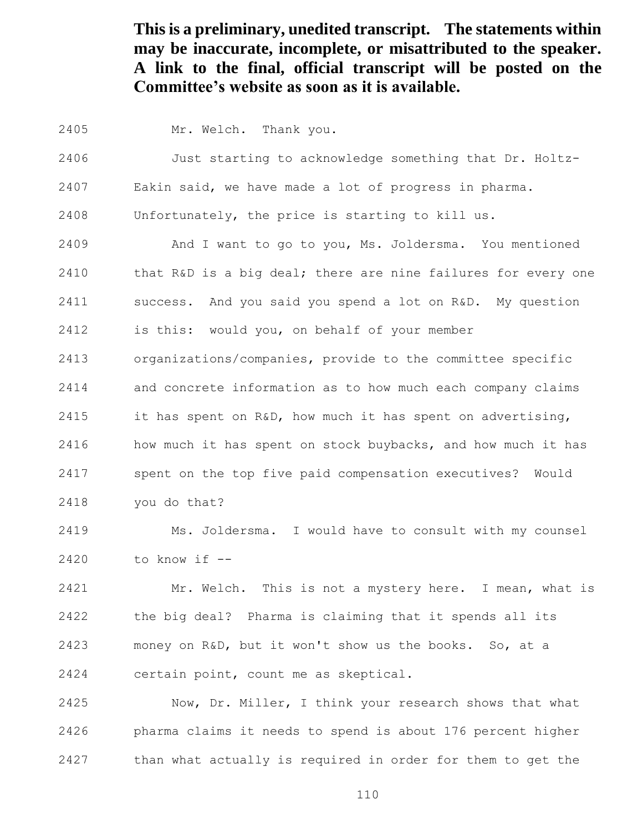- Mr. Welch. Thank you.
- Just starting to acknowledge something that Dr. Holtz-

Eakin said, we have made a lot of progress in pharma.

Unfortunately, the price is starting to kill us.

 And I want to go to you, Ms. Joldersma. You mentioned that R&D is a big deal; there are nine failures for every one success. And you said you spend a lot on R&D. My question is this: would you, on behalf of your member

 organizations/companies, provide to the committee specific and concrete information as to how much each company claims it has spent on R&D, how much it has spent on advertising, how much it has spent on stock buybacks, and how much it has spent on the top five paid compensation executives? Would you do that?

 Ms. Joldersma. I would have to consult with my counsel to know if --

 Mr. Welch. This is not a mystery here. I mean, what is the big deal? Pharma is claiming that it spends all its money on R&D, but it won't show us the books. So, at a certain point, count me as skeptical.

 Now, Dr. Miller, I think your research shows that what pharma claims it needs to spend is about 176 percent higher than what actually is required in order for them to get the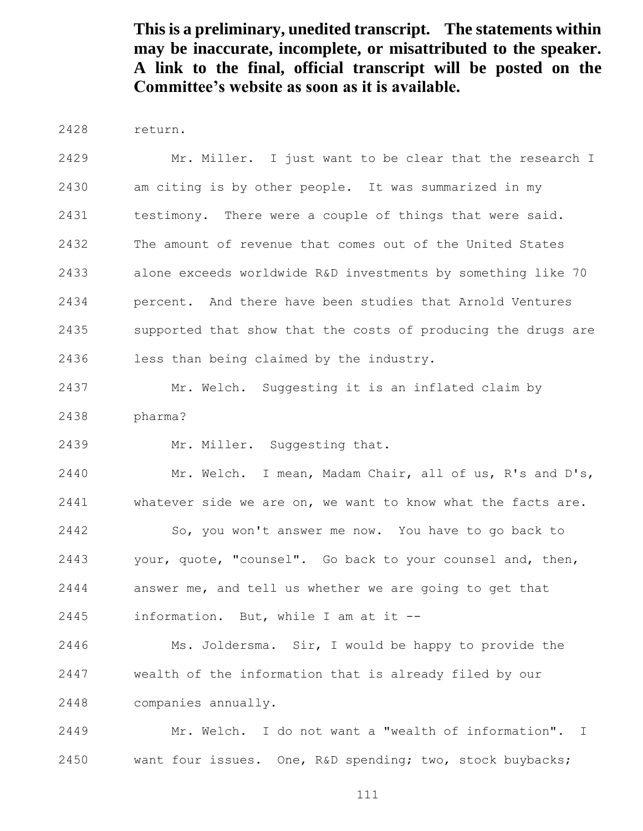return.

 Mr. Miller. I just want to be clear that the research I am citing is by other people. It was summarized in my testimony. There were a couple of things that were said. The amount of revenue that comes out of the United States alone exceeds worldwide R&D investments by something like 70 percent. And there have been studies that Arnold Ventures supported that show that the costs of producing the drugs are less than being claimed by the industry.

 Mr. Welch. Suggesting it is an inflated claim by pharma?

Mr. Miller. Suggesting that.

 Mr. Welch. I mean, Madam Chair, all of us, R's and D's, whatever side we are on, we want to know what the facts are. So, you won't answer me now. You have to go back to your, quote, "counsel". Go back to your counsel and, then, answer me, and tell us whether we are going to get that information. But, while I am at it --

 Ms. Joldersma. Sir, I would be happy to provide the wealth of the information that is already filed by our companies annually.

 Mr. Welch. I do not want a "wealth of information". I want four issues. One, R&D spending; two, stock buybacks;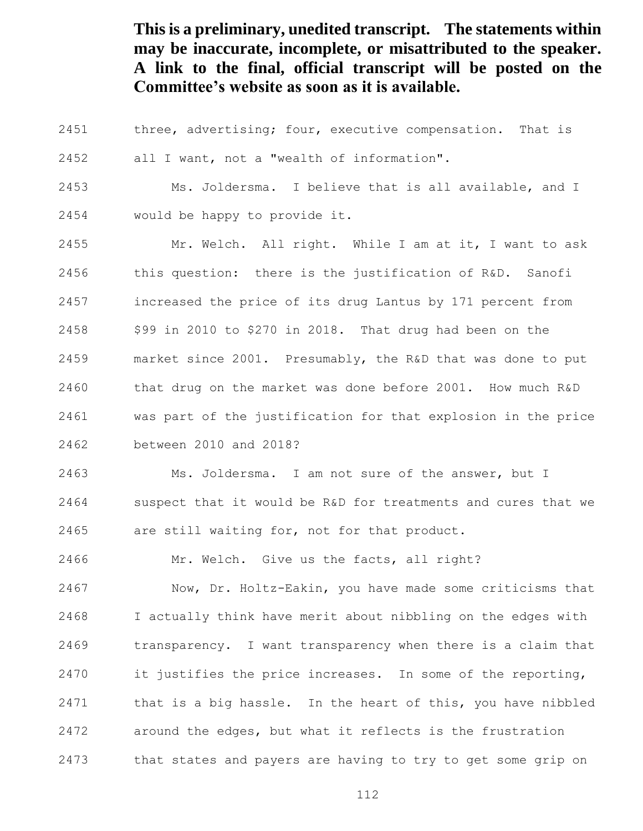three, advertising; four, executive compensation. That is

all I want, not a "wealth of information".

Ms. Joldersma. I believe that is all available, and I

would be happy to provide it.

 Mr. Welch. All right. While I am at it, I want to ask this question: there is the justification of R&D. Sanofi increased the price of its drug Lantus by 171 percent from \$99 in 2010 to \$270 in 2018. That drug had been on the market since 2001. Presumably, the R&D that was done to put that drug on the market was done before 2001. How much R&D was part of the justification for that explosion in the price between 2010 and 2018?

 Ms. Joldersma. I am not sure of the answer, but I suspect that it would be R&D for treatments and cures that we are still waiting for, not for that product.

Mr. Welch. Give us the facts, all right?

 Now, Dr. Holtz-Eakin, you have made some criticisms that I actually think have merit about nibbling on the edges with transparency. I want transparency when there is a claim that it justifies the price increases. In some of the reporting, 2471 that is a big hassle. In the heart of this, you have nibbled around the edges, but what it reflects is the frustration that states and payers are having to try to get some grip on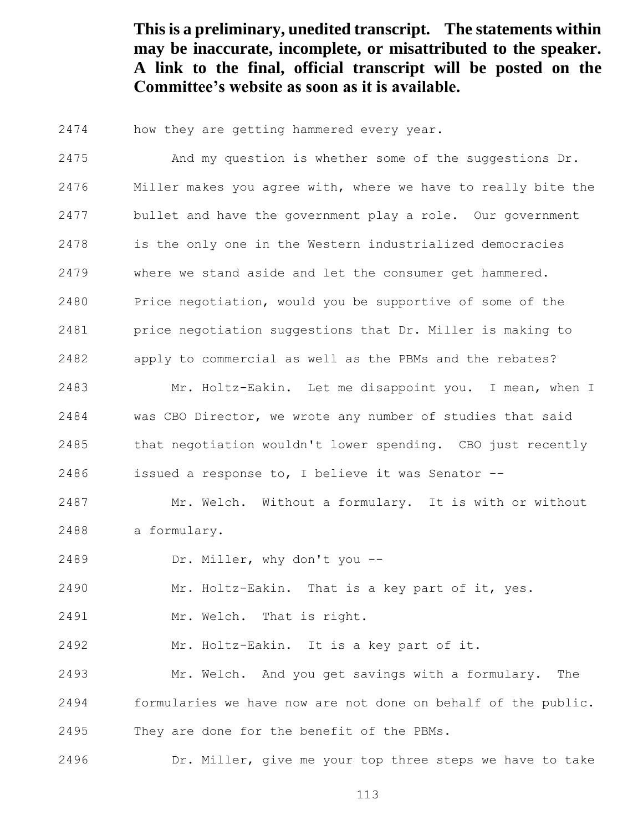how they are getting hammered every year.

 And my question is whether some of the suggestions Dr. Miller makes you agree with, where we have to really bite the bullet and have the government play a role. Our government is the only one in the Western industrialized democracies where we stand aside and let the consumer get hammered. Price negotiation, would you be supportive of some of the price negotiation suggestions that Dr. Miller is making to apply to commercial as well as the PBMs and the rebates?

 Mr. Holtz-Eakin. Let me disappoint you. I mean, when I was CBO Director, we wrote any number of studies that said that negotiation wouldn't lower spending. CBO just recently issued a response to, I believe it was Senator --

 Mr. Welch. Without a formulary. It is with or without a formulary.

Dr. Miller, why don't you --

Mr. Holtz-Eakin. That is a key part of it, yes.

Mr. Welch. That is right.

Mr. Holtz-Eakin. It is a key part of it.

 Mr. Welch. And you get savings with a formulary. The formularies we have now are not done on behalf of the public. They are done for the benefit of the PBMs.

Dr. Miller, give me your top three steps we have to take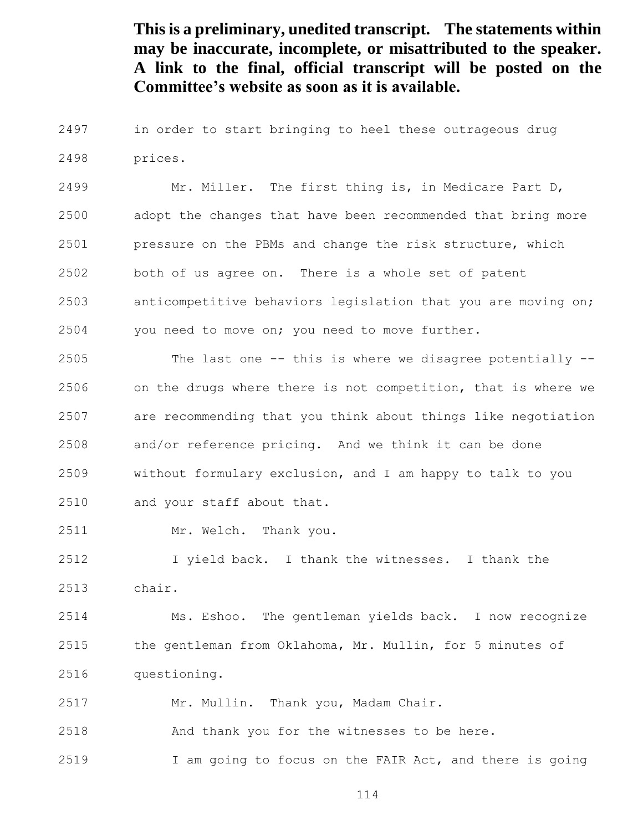in order to start bringing to heel these outrageous drug prices.

 Mr. Miller. The first thing is, in Medicare Part D, adopt the changes that have been recommended that bring more pressure on the PBMs and change the risk structure, which both of us agree on. There is a whole set of patent anticompetitive behaviors legislation that you are moving on;

you need to move on; you need to move further.

 The last one -- this is where we disagree potentially -- on the drugs where there is not competition, that is where we are recommending that you think about things like negotiation and/or reference pricing. And we think it can be done without formulary exclusion, and I am happy to talk to you and your staff about that.

Mr. Welch. Thank you.

 I yield back. I thank the witnesses. I thank the chair.

 Ms. Eshoo. The gentleman yields back. I now recognize the gentleman from Oklahoma, Mr. Mullin, for 5 minutes of questioning.

Mr. Mullin. Thank you, Madam Chair.

And thank you for the witnesses to be here.

**I** am going to focus on the FAIR Act, and there is going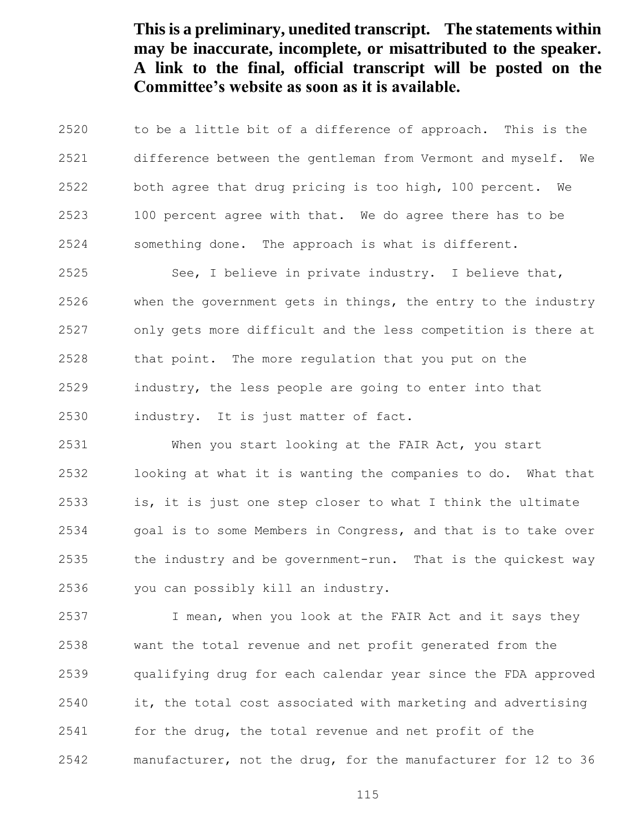to be a little bit of a difference of approach. This is the difference between the gentleman from Vermont and myself. We both agree that drug pricing is too high, 100 percent. We 100 percent agree with that. We do agree there has to be something done. The approach is what is different.

 See, I believe in private industry. I believe that, when the government gets in things, the entry to the industry only gets more difficult and the less competition is there at that point. The more regulation that you put on the industry, the less people are going to enter into that industry. It is just matter of fact.

 When you start looking at the FAIR Act, you start looking at what it is wanting the companies to do. What that is, it is just one step closer to what I think the ultimate goal is to some Members in Congress, and that is to take over the industry and be government-run. That is the quickest way you can possibly kill an industry.

 I mean, when you look at the FAIR Act and it says they want the total revenue and net profit generated from the qualifying drug for each calendar year since the FDA approved it, the total cost associated with marketing and advertising for the drug, the total revenue and net profit of the manufacturer, not the drug, for the manufacturer for 12 to 36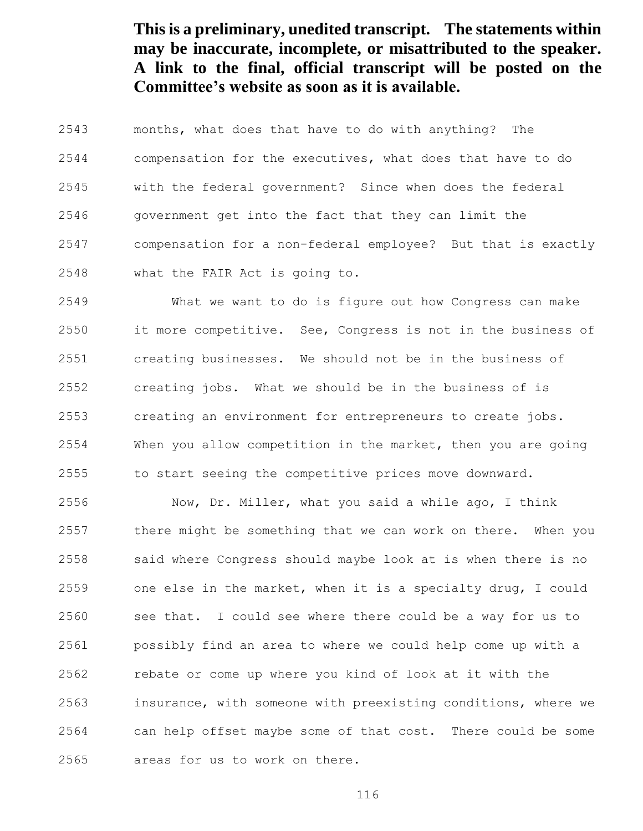months, what does that have to do with anything? The compensation for the executives, what does that have to do with the federal government? Since when does the federal government get into the fact that they can limit the compensation for a non-federal employee? But that is exactly what the FAIR Act is going to.

 What we want to do is figure out how Congress can make it more competitive. See, Congress is not in the business of creating businesses. We should not be in the business of creating jobs. What we should be in the business of is creating an environment for entrepreneurs to create jobs. When you allow competition in the market, then you are going to start seeing the competitive prices move downward.

 Now, Dr. Miller, what you said a while ago, I think there might be something that we can work on there. When you said where Congress should maybe look at is when there is no one else in the market, when it is a specialty drug, I could see that. I could see where there could be a way for us to possibly find an area to where we could help come up with a rebate or come up where you kind of look at it with the insurance, with someone with preexisting conditions, where we can help offset maybe some of that cost. There could be some areas for us to work on there.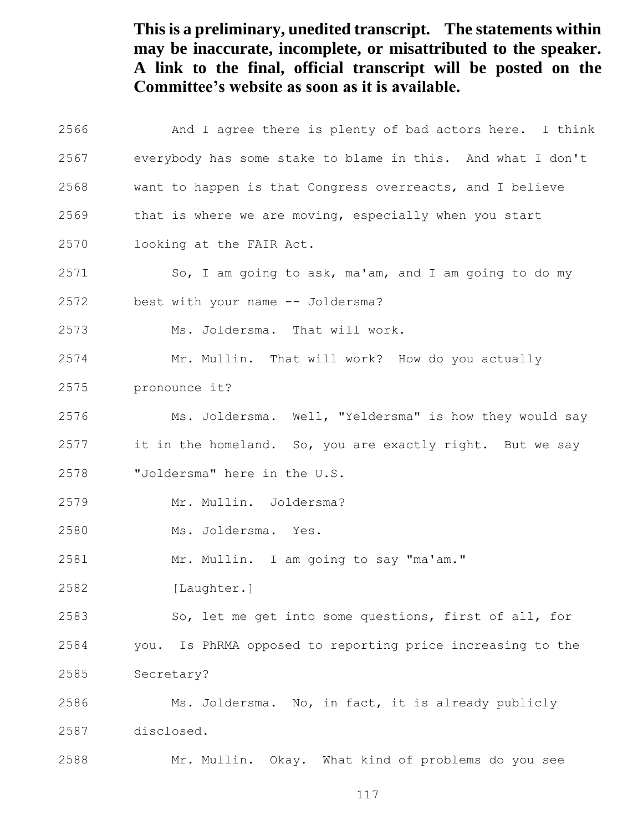And I agree there is plenty of bad actors here. I think everybody has some stake to blame in this. And what I don't want to happen is that Congress overreacts, and I believe that is where we are moving, especially when you start looking at the FAIR Act. So, I am going to ask, ma'am, and I am going to do my best with your name -- Joldersma? Ms. Joldersma. That will work. Mr. Mullin. That will work? How do you actually pronounce it? Ms. Joldersma. Well, "Yeldersma" is how they would say it in the homeland. So, you are exactly right. But we say "Joldersma" here in the U.S. Mr. Mullin. Joldersma? Ms. Joldersma. Yes. Mr. Mullin. I am going to say "ma'am." [Laughter.] So, let me get into some questions, first of all, for you. Is PhRMA opposed to reporting price increasing to the Secretary? Ms. Joldersma. No, in fact, it is already publicly disclosed.

Mr. Mullin. Okay. What kind of problems do you see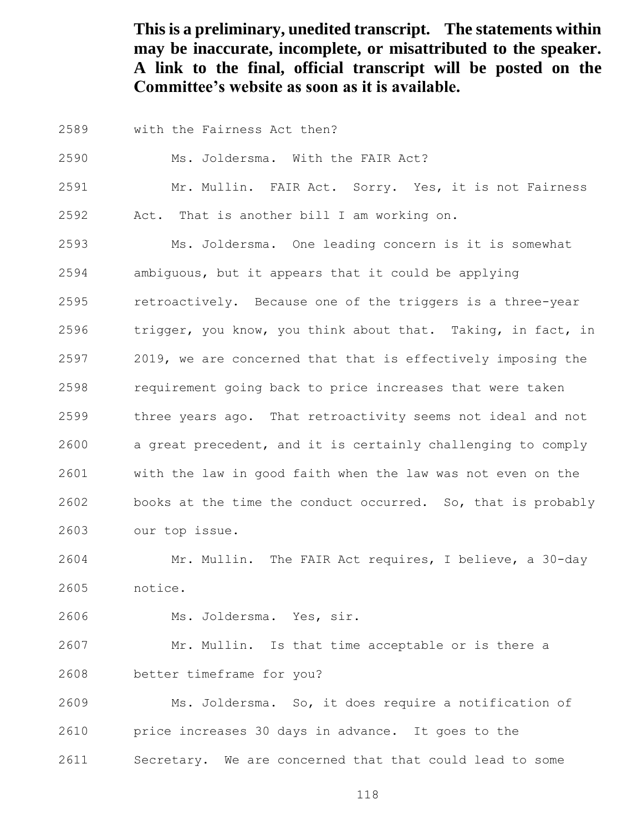- with the Fairness Act then?
- Ms. Joldersma. With the FAIR Act?
- Mr. Mullin. FAIR Act. Sorry. Yes, it is not Fairness
- Act. That is another bill I am working on.
- Ms. Joldersma. One leading concern is it is somewhat ambiguous, but it appears that it could be applying
- retroactively. Because one of the triggers is a three-year
- trigger, you know, you think about that. Taking, in fact, in
- 2019, we are concerned that that is effectively imposing the
- requirement going back to price increases that were taken
- three years ago. That retroactivity seems not ideal and not a great precedent, and it is certainly challenging to comply
- with the law in good faith when the law was not even on the books at the time the conduct occurred. So, that is probably
- our top issue.

 Mr. Mullin. The FAIR Act requires, I believe, a 30-day notice.

Ms. Joldersma. Yes, sir.

 Mr. Mullin. Is that time acceptable or is there a better timeframe for you?

 Ms. Joldersma. So, it does require a notification of price increases 30 days in advance. It goes to the Secretary. We are concerned that that could lead to some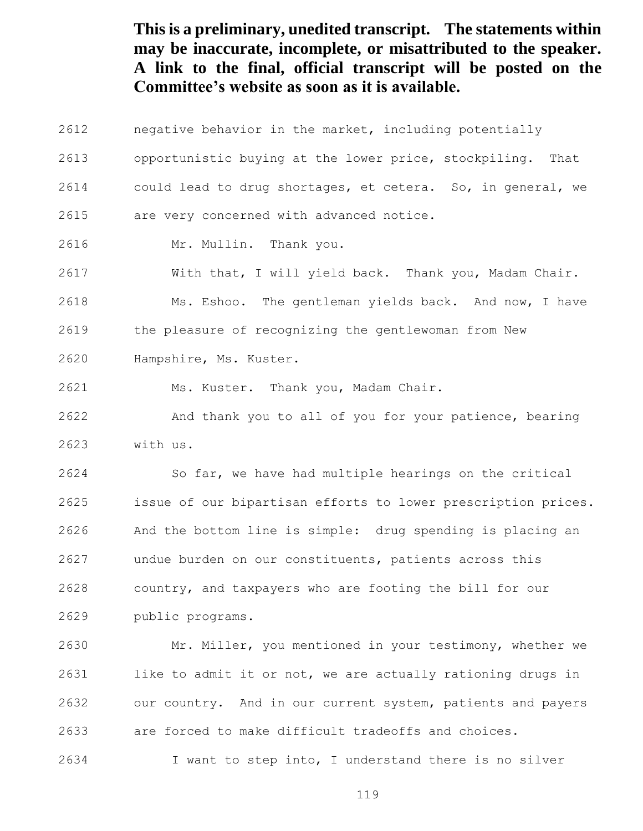- negative behavior in the market, including potentially
- opportunistic buying at the lower price, stockpiling. That
- could lead to drug shortages, et cetera. So, in general, we
- are very concerned with advanced notice.
- Mr. Mullin. Thank you.
- With that, I will yield back. Thank you, Madam Chair.
- Ms. Eshoo. The gentleman yields back. And now, I have
- the pleasure of recognizing the gentlewoman from New
- Hampshire, Ms. Kuster.
- Ms. Kuster. Thank you, Madam Chair.

 And thank you to all of you for your patience, bearing with us.

 So far, we have had multiple hearings on the critical issue of our bipartisan efforts to lower prescription prices. And the bottom line is simple: drug spending is placing an undue burden on our constituents, patients across this country, and taxpayers who are footing the bill for our public programs.

 Mr. Miller, you mentioned in your testimony, whether we like to admit it or not, we are actually rationing drugs in our country. And in our current system, patients and payers are forced to make difficult tradeoffs and choices.

I want to step into, I understand there is no silver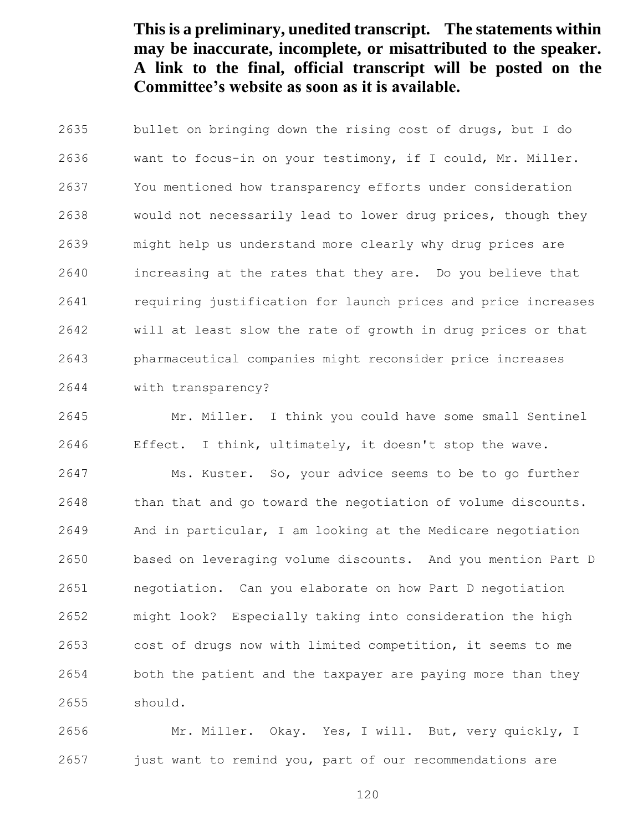bullet on bringing down the rising cost of drugs, but I do want to focus-in on your testimony, if I could, Mr. Miller. You mentioned how transparency efforts under consideration would not necessarily lead to lower drug prices, though they might help us understand more clearly why drug prices are increasing at the rates that they are. Do you believe that requiring justification for launch prices and price increases will at least slow the rate of growth in drug prices or that pharmaceutical companies might reconsider price increases with transparency?

 Mr. Miller. I think you could have some small Sentinel Effect. I think, ultimately, it doesn't stop the wave.

 Ms. Kuster. So, your advice seems to be to go further 2648 than that and go toward the negotiation of volume discounts. And in particular, I am looking at the Medicare negotiation based on leveraging volume discounts. And you mention Part D negotiation. Can you elaborate on how Part D negotiation might look? Especially taking into consideration the high cost of drugs now with limited competition, it seems to me both the patient and the taxpayer are paying more than they should.

 Mr. Miller. Okay. Yes, I will. But, very quickly, I just want to remind you, part of our recommendations are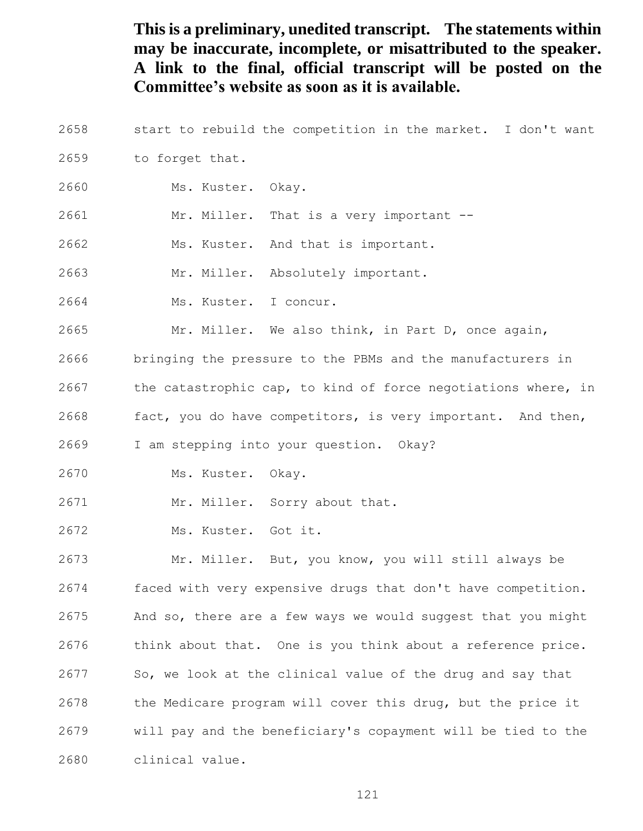start to rebuild the competition in the market. I don't want to forget that. Ms. Kuster. Okay. Mr. Miller. That is a very important -- Ms. Kuster. And that is important. Mr. Miller. Absolutely important. Ms. Kuster. I concur. Mr. Miller. We also think, in Part D, once again, bringing the pressure to the PBMs and the manufacturers in 2667 the catastrophic cap, to kind of force negotiations where, in 2668 fact, you do have competitors, is very important. And then, I am stepping into your question. Okay? Ms. Kuster. Okay. Mr. Miller. Sorry about that. Ms. Kuster. Got it. Mr. Miller. But, you know, you will still always be faced with very expensive drugs that don't have competition. And so, there are a few ways we would suggest that you might think about that. One is you think about a reference price. So, we look at the clinical value of the drug and say that the Medicare program will cover this drug, but the price it will pay and the beneficiary's copayment will be tied to the clinical value.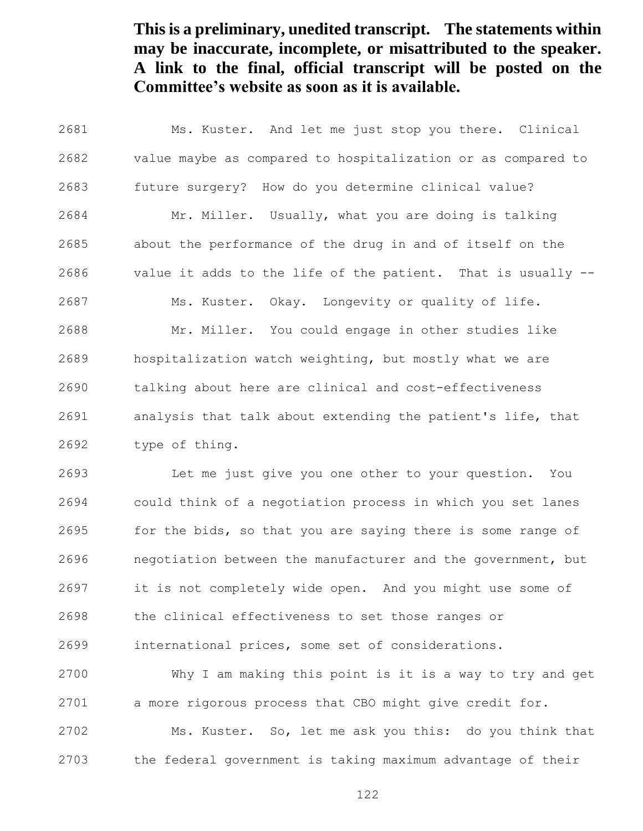Ms. Kuster. And let me just stop you there. Clinical value maybe as compared to hospitalization or as compared to future surgery? How do you determine clinical value? Mr. Miller. Usually, what you are doing is talking about the performance of the drug in and of itself on the value it adds to the life of the patient. That is usually -- Ms. Kuster. Okay. Longevity or quality of life. Mr. Miller. You could engage in other studies like hospitalization watch weighting, but mostly what we are talking about here are clinical and cost-effectiveness analysis that talk about extending the patient's life, that type of thing.

 Let me just give you one other to your question. You could think of a negotiation process in which you set lanes 2695 for the bids, so that you are saying there is some range of negotiation between the manufacturer and the government, but it is not completely wide open. And you might use some of the clinical effectiveness to set those ranges or

international prices, some set of considerations.

 Why I am making this point is it is a way to try and get a more rigorous process that CBO might give credit for. Ms. Kuster. So, let me ask you this: do you think that

the federal government is taking maximum advantage of their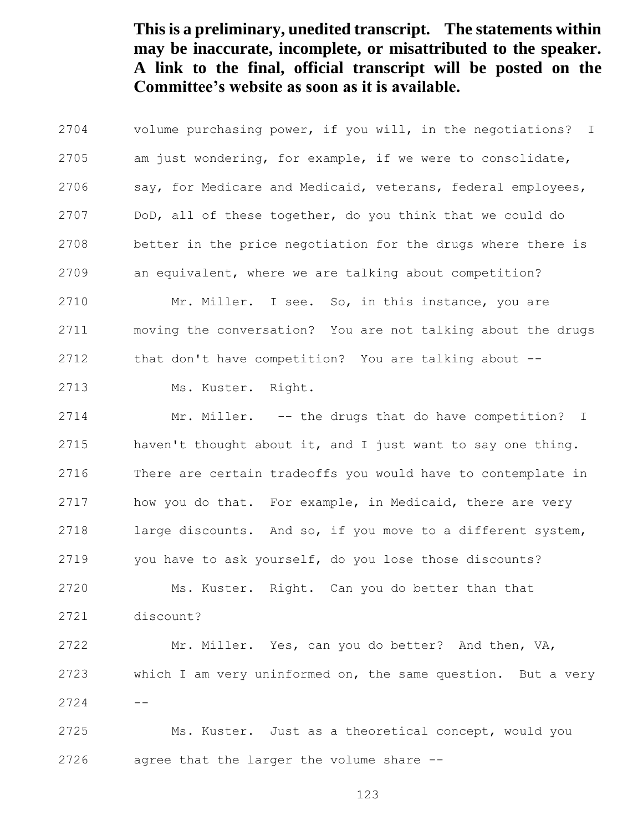volume purchasing power, if you will, in the negotiations? I am just wondering, for example, if we were to consolidate, say, for Medicare and Medicaid, veterans, federal employees, DoD, all of these together, do you think that we could do better in the price negotiation for the drugs where there is an equivalent, where we are talking about competition? Mr. Miller. I see. So, in this instance, you are moving the conversation? You are not talking about the drugs

that don't have competition? You are talking about --

Ms. Kuster. Right.

 Mr. Miller. -- the drugs that do have competition? I haven't thought about it, and I just want to say one thing. There are certain tradeoffs you would have to contemplate in 2717 how you do that. For example, in Medicaid, there are very large discounts. And so, if you move to a different system, you have to ask yourself, do you lose those discounts? Ms. Kuster. Right. Can you do better than that

discount?

 Mr. Miller. Yes, can you do better? And then, VA, which I am very uninformed on, the same question. But a very  $2724 - -$ 

 Ms. Kuster. Just as a theoretical concept, would you agree that the larger the volume share --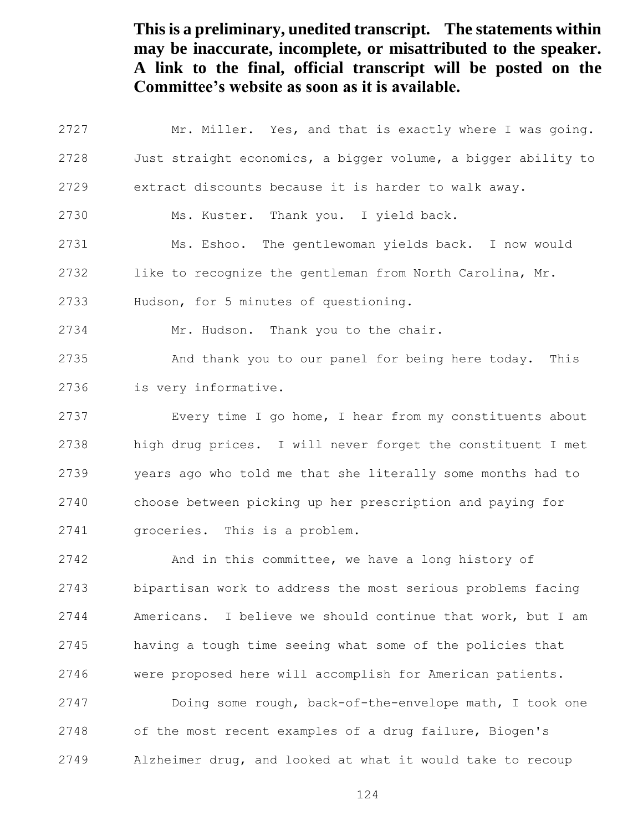Mr. Miller. Yes, and that is exactly where I was going. Just straight economics, a bigger volume, a bigger ability to extract discounts because it is harder to walk away. Ms. Kuster. Thank you. I yield back. Ms. Eshoo. The gentlewoman yields back. I now would like to recognize the gentleman from North Carolina, Mr. Hudson, for 5 minutes of questioning. Mr. Hudson. Thank you to the chair. And thank you to our panel for being here today. This is very informative. Every time I go home, I hear from my constituents about high drug prices. I will never forget the constituent I met years ago who told me that she literally some months had to choose between picking up her prescription and paying for groceries. This is a problem. And in this committee, we have a long history of

 bipartisan work to address the most serious problems facing Americans. I believe we should continue that work, but I am having a tough time seeing what some of the policies that were proposed here will accomplish for American patients. Doing some rough, back-of-the-envelope math, I took one of the most recent examples of a drug failure, Biogen's Alzheimer drug, and looked at what it would take to recoup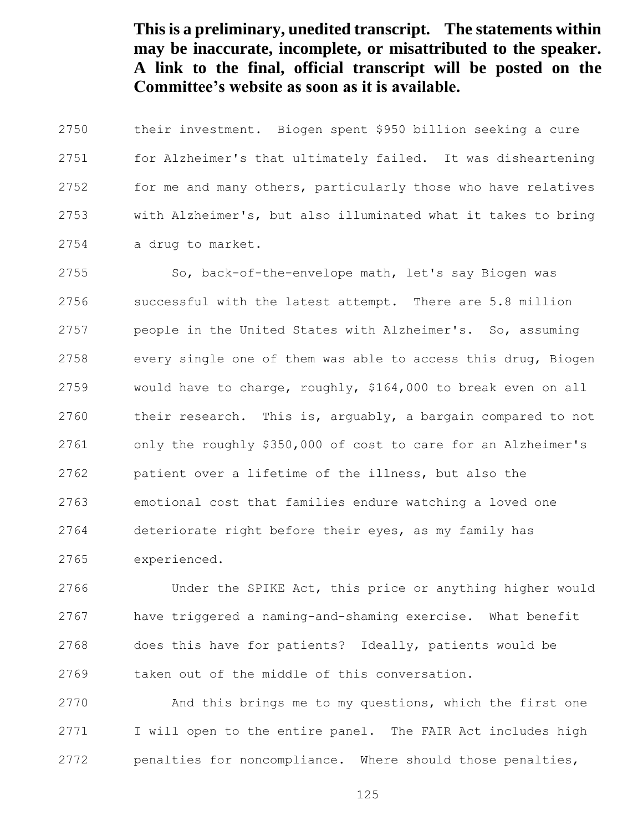their investment. Biogen spent \$950 billion seeking a cure for Alzheimer's that ultimately failed. It was disheartening for me and many others, particularly those who have relatives with Alzheimer's, but also illuminated what it takes to bring a drug to market.

2755 So, back-of-the-envelope math, let's say Biogen was successful with the latest attempt. There are 5.8 million people in the United States with Alzheimer's. So, assuming every single one of them was able to access this drug, Biogen would have to charge, roughly, \$164,000 to break even on all their research. This is, arguably, a bargain compared to not only the roughly \$350,000 of cost to care for an Alzheimer's patient over a lifetime of the illness, but also the emotional cost that families endure watching a loved one deteriorate right before their eyes, as my family has experienced.

 Under the SPIKE Act, this price or anything higher would have triggered a naming-and-shaming exercise. What benefit does this have for patients? Ideally, patients would be taken out of the middle of this conversation.

 And this brings me to my questions, which the first one 2771 I will open to the entire panel. The FAIR Act includes high penalties for noncompliance. Where should those penalties,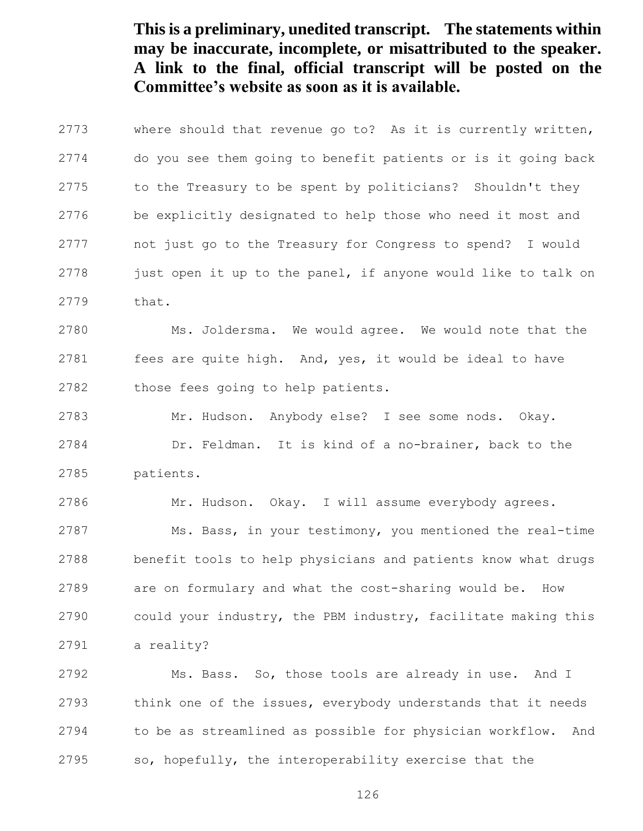where should that revenue go to? As it is currently written, do you see them going to benefit patients or is it going back to the Treasury to be spent by politicians? Shouldn't they be explicitly designated to help those who need it most and not just go to the Treasury for Congress to spend? I would 2778 just open it up to the panel, if anyone would like to talk on that.

 Ms. Joldersma. We would agree. We would note that the fees are quite high. And, yes, it would be ideal to have those fees going to help patients.

 Mr. Hudson. Anybody else? I see some nods. Okay. Dr. Feldman. It is kind of a no-brainer, back to the patients.

 Mr. Hudson. Okay. I will assume everybody agrees. Ms. Bass, in your testimony, you mentioned the real-time benefit tools to help physicians and patients know what drugs are on formulary and what the cost-sharing would be. How could your industry, the PBM industry, facilitate making this a reality?

 Ms. Bass. So, those tools are already in use. And I think one of the issues, everybody understands that it needs to be as streamlined as possible for physician workflow. And so, hopefully, the interoperability exercise that the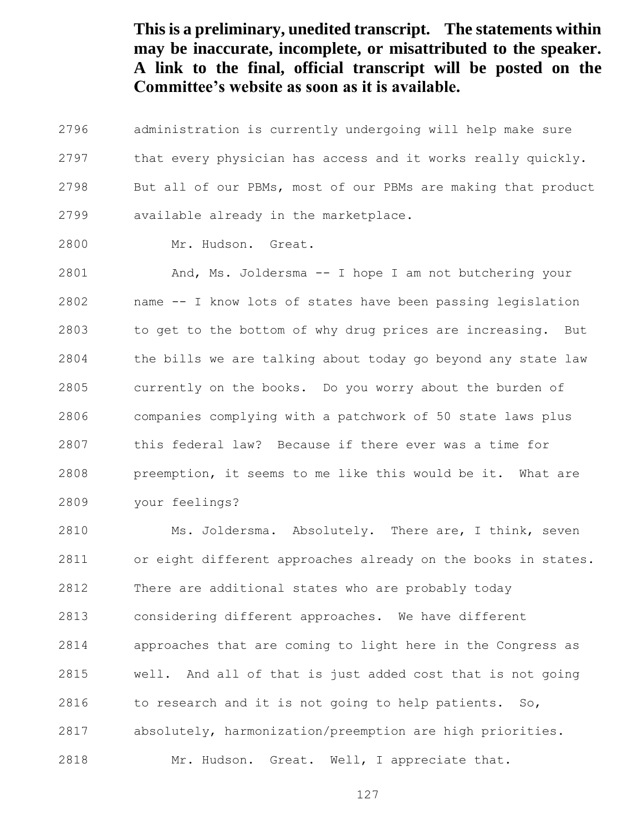administration is currently undergoing will help make sure that every physician has access and it works really quickly. But all of our PBMs, most of our PBMs are making that product available already in the marketplace.

Mr. Hudson. Great.

 And, Ms. Joldersma -- I hope I am not butchering your name -- I know lots of states have been passing legislation to get to the bottom of why drug prices are increasing. But the bills we are talking about today go beyond any state law currently on the books. Do you worry about the burden of companies complying with a patchwork of 50 state laws plus this federal law? Because if there ever was a time for preemption, it seems to me like this would be it. What are your feelings?

 Ms. Joldersma. Absolutely. There are, I think, seven or eight different approaches already on the books in states. There are additional states who are probably today considering different approaches. We have different approaches that are coming to light here in the Congress as well. And all of that is just added cost that is not going to research and it is not going to help patients. So, absolutely, harmonization/preemption are high priorities. Mr. Hudson. Great. Well, I appreciate that.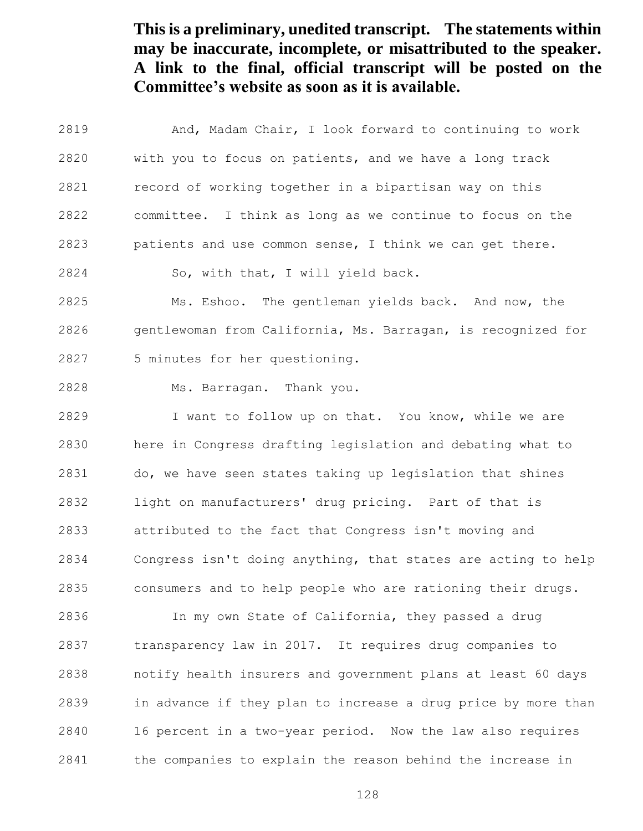And, Madam Chair, I look forward to continuing to work with you to focus on patients, and we have a long track record of working together in a bipartisan way on this committee. I think as long as we continue to focus on the patients and use common sense, I think we can get there. So, with that, I will yield back. Ms. Eshoo. The gentleman yields back. And now, the

 gentlewoman from California, Ms. Barragan, is recognized for 5 minutes for her questioning.

Ms. Barragan. Thank you.

 I want to follow up on that. You know, while we are here in Congress drafting legislation and debating what to do, we have seen states taking up legislation that shines light on manufacturers' drug pricing. Part of that is attributed to the fact that Congress isn't moving and Congress isn't doing anything, that states are acting to help consumers and to help people who are rationing their drugs.

 In my own State of California, they passed a drug transparency law in 2017. It requires drug companies to notify health insurers and government plans at least 60 days in advance if they plan to increase a drug price by more than 16 percent in a two-year period. Now the law also requires the companies to explain the reason behind the increase in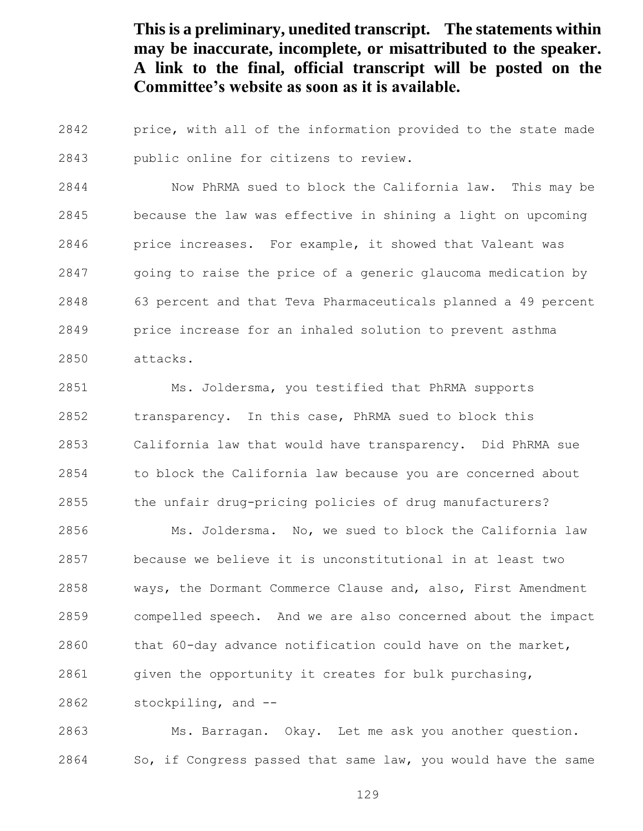price, with all of the information provided to the state made public online for citizens to review.

 Now PhRMA sued to block the California law. This may be because the law was effective in shining a light on upcoming price increases. For example, it showed that Valeant was going to raise the price of a generic glaucoma medication by 63 percent and that Teva Pharmaceuticals planned a 49 percent price increase for an inhaled solution to prevent asthma attacks.

 Ms. Joldersma, you testified that PhRMA supports transparency. In this case, PhRMA sued to block this California law that would have transparency. Did PhRMA sue to block the California law because you are concerned about the unfair drug-pricing policies of drug manufacturers?

 Ms. Joldersma. No, we sued to block the California law because we believe it is unconstitutional in at least two ways, the Dormant Commerce Clause and, also, First Amendment compelled speech. And we are also concerned about the impact that 60-day advance notification could have on the market, given the opportunity it creates for bulk purchasing,

stockpiling, and --

 Ms. Barragan. Okay. Let me ask you another question. 2864 So, if Congress passed that same law, you would have the same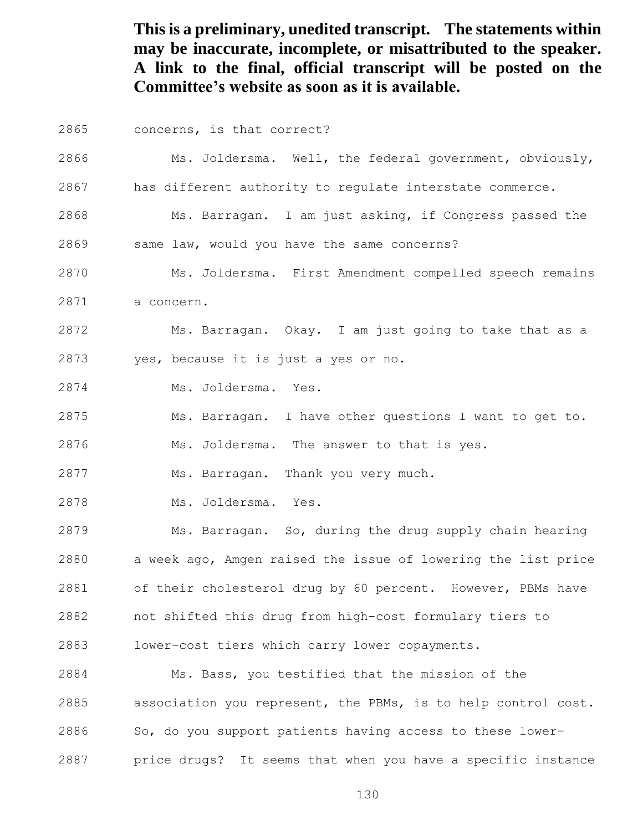- concerns, is that correct?
- Ms. Joldersma. Well, the federal government, obviously,
- has different authority to regulate interstate commerce.
- Ms. Barragan. I am just asking, if Congress passed the
- same law, would you have the same concerns?
- Ms. Joldersma. First Amendment compelled speech remains
- a concern.
- Ms. Barragan. Okay. I am just going to take that as a yes, because it is just a yes or no.
- Ms. Joldersma. Yes.
- Ms. Barragan. I have other questions I want to get to.

Ms. Joldersma. The answer to that is yes.

Ms. Barragan. Thank you very much.

Ms. Joldersma. Yes.

 Ms. Barragan. So, during the drug supply chain hearing a week ago, Amgen raised the issue of lowering the list price of their cholesterol drug by 60 percent. However, PBMs have not shifted this drug from high-cost formulary tiers to

lower-cost tiers which carry lower copayments.

 Ms. Bass, you testified that the mission of the association you represent, the PBMs, is to help control cost. So, do you support patients having access to these lower-price drugs? It seems that when you have a specific instance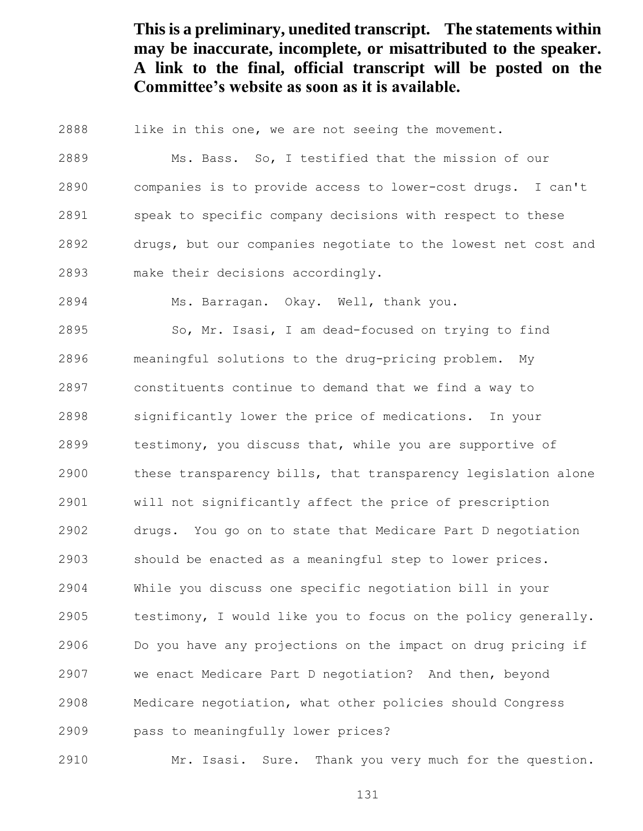like in this one, we are not seeing the movement.

 Ms. Bass. So, I testified that the mission of our companies is to provide access to lower-cost drugs. I can't speak to specific company decisions with respect to these drugs, but our companies negotiate to the lowest net cost and make their decisions accordingly.

Ms. Barragan. Okay. Well, thank you.

 So, Mr. Isasi, I am dead-focused on trying to find meaningful solutions to the drug-pricing problem. My constituents continue to demand that we find a way to significantly lower the price of medications. In your testimony, you discuss that, while you are supportive of these transparency bills, that transparency legislation alone will not significantly affect the price of prescription drugs. You go on to state that Medicare Part D negotiation should be enacted as a meaningful step to lower prices. While you discuss one specific negotiation bill in your testimony, I would like you to focus on the policy generally. Do you have any projections on the impact on drug pricing if we enact Medicare Part D negotiation? And then, beyond Medicare negotiation, what other policies should Congress pass to meaningfully lower prices?

Mr. Isasi. Sure. Thank you very much for the question.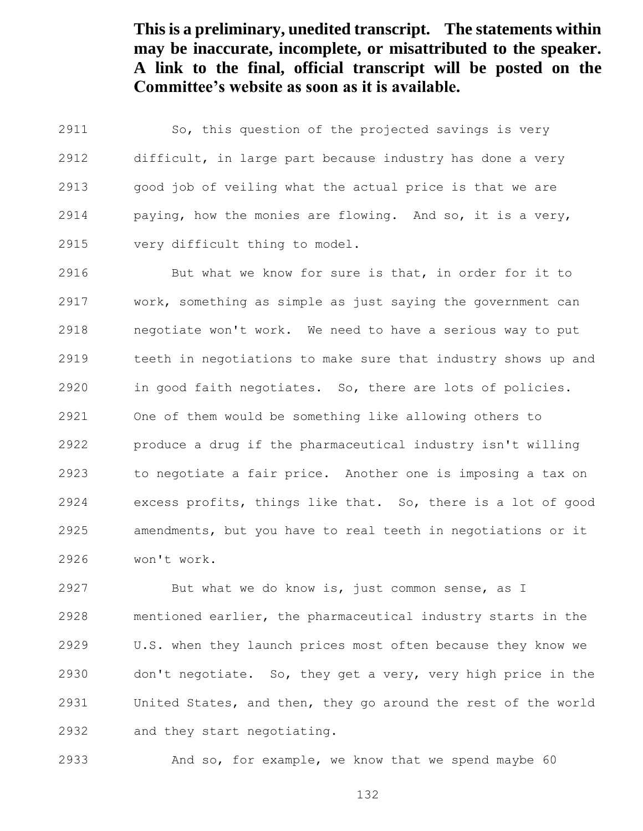So, this question of the projected savings is very difficult, in large part because industry has done a very good job of veiling what the actual price is that we are paying, how the monies are flowing. And so, it is a very, very difficult thing to model.

 But what we know for sure is that, in order for it to work, something as simple as just saying the government can negotiate won't work. We need to have a serious way to put teeth in negotiations to make sure that industry shows up and in good faith negotiates. So, there are lots of policies. One of them would be something like allowing others to produce a drug if the pharmaceutical industry isn't willing to negotiate a fair price. Another one is imposing a tax on excess profits, things like that. So, there is a lot of good amendments, but you have to real teeth in negotiations or it won't work.

 But what we do know is, just common sense, as I mentioned earlier, the pharmaceutical industry starts in the U.S. when they launch prices most often because they know we don't negotiate. So, they get a very, very high price in the United States, and then, they go around the rest of the world and they start negotiating.

And so, for example, we know that we spend maybe 60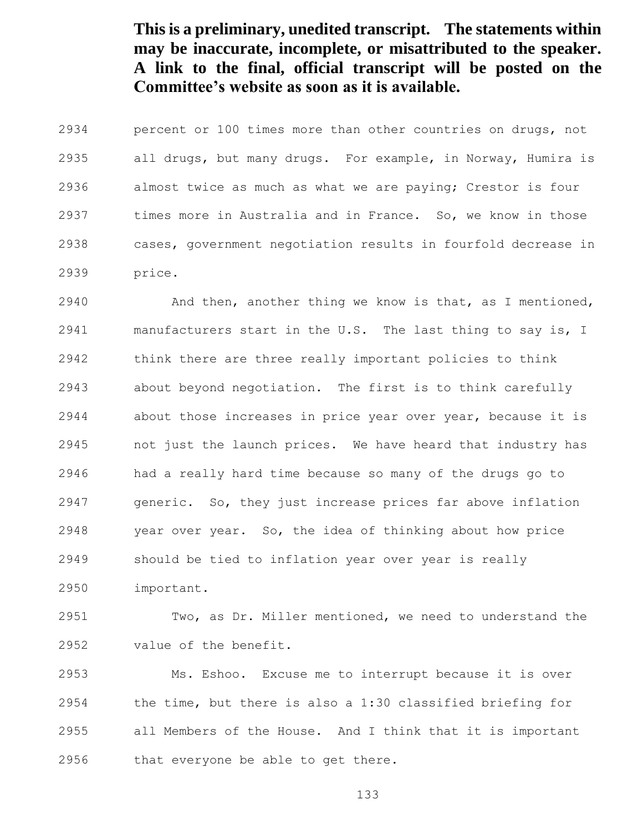percent or 100 times more than other countries on drugs, not all drugs, but many drugs. For example, in Norway, Humira is almost twice as much as what we are paying; Crestor is four times more in Australia and in France. So, we know in those cases, government negotiation results in fourfold decrease in price.

 And then, another thing we know is that, as I mentioned, 2941 manufacturers start in the U.S. The last thing to say is, I think there are three really important policies to think about beyond negotiation. The first is to think carefully about those increases in price year over year, because it is not just the launch prices. We have heard that industry has had a really hard time because so many of the drugs go to generic. So, they just increase prices far above inflation year over year. So, the idea of thinking about how price should be tied to inflation year over year is really important.

 Two, as Dr. Miller mentioned, we need to understand the value of the benefit.

 Ms. Eshoo. Excuse me to interrupt because it is over the time, but there is also a 1:30 classified briefing for all Members of the House. And I think that it is important that everyone be able to get there.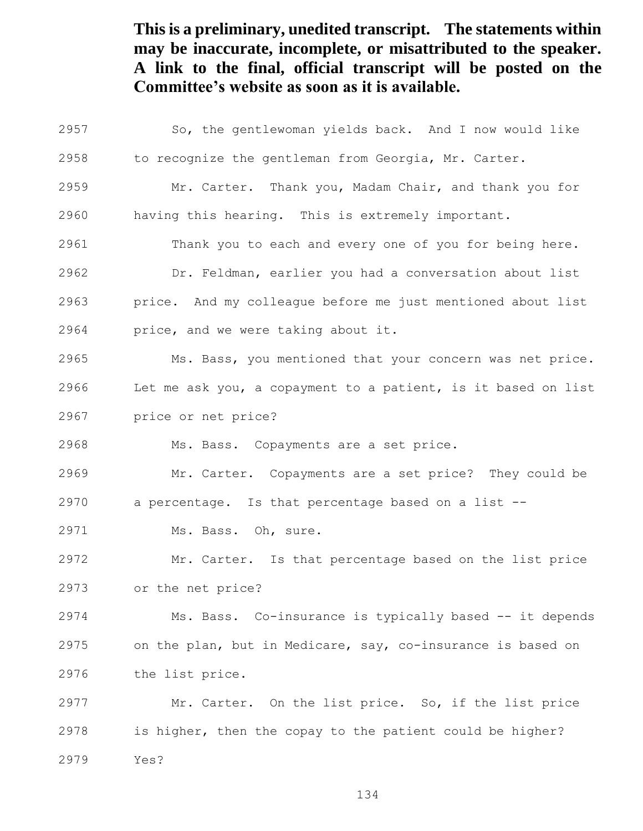So, the gentlewoman yields back. And I now would like to recognize the gentleman from Georgia, Mr. Carter. Mr. Carter. Thank you, Madam Chair, and thank you for having this hearing. This is extremely important. Thank you to each and every one of you for being here. Dr. Feldman, earlier you had a conversation about list price. And my colleague before me just mentioned about list price, and we were taking about it. Ms. Bass, you mentioned that your concern was net price. Let me ask you, a copayment to a patient, is it based on list price or net price? Ms. Bass. Copayments are a set price. Mr. Carter. Copayments are a set price? They could be a percentage. Is that percentage based on a list -- Ms. Bass. Oh, sure. Mr. Carter. Is that percentage based on the list price or the net price? Ms. Bass. Co-insurance is typically based -- it depends on the plan, but in Medicare, say, co-insurance is based on the list price. Mr. Carter. On the list price. So, if the list price is higher, then the copay to the patient could be higher?

Yes?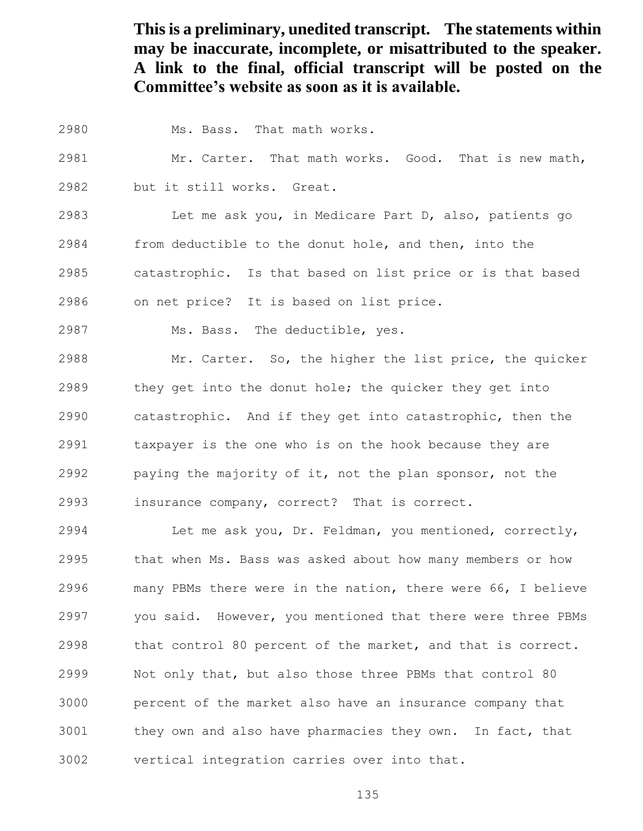Ms. Bass. That math works.

 Mr. Carter. That math works. Good. That is new math, but it still works. Great.

 Let me ask you, in Medicare Part D, also, patients go from deductible to the donut hole, and then, into the catastrophic. Is that based on list price or is that based on net price? It is based on list price.

Ms. Bass. The deductible, yes.

 Mr. Carter. So, the higher the list price, the quicker they get into the donut hole; the quicker they get into catastrophic. And if they get into catastrophic, then the taxpayer is the one who is on the hook because they are paying the majority of it, not the plan sponsor, not the insurance company, correct? That is correct.

 Let me ask you, Dr. Feldman, you mentioned, correctly, that when Ms. Bass was asked about how many members or how many PBMs there were in the nation, there were 66, I believe you said. However, you mentioned that there were three PBMs that control 80 percent of the market, and that is correct. Not only that, but also those three PBMs that control 80 percent of the market also have an insurance company that they own and also have pharmacies they own. In fact, that vertical integration carries over into that.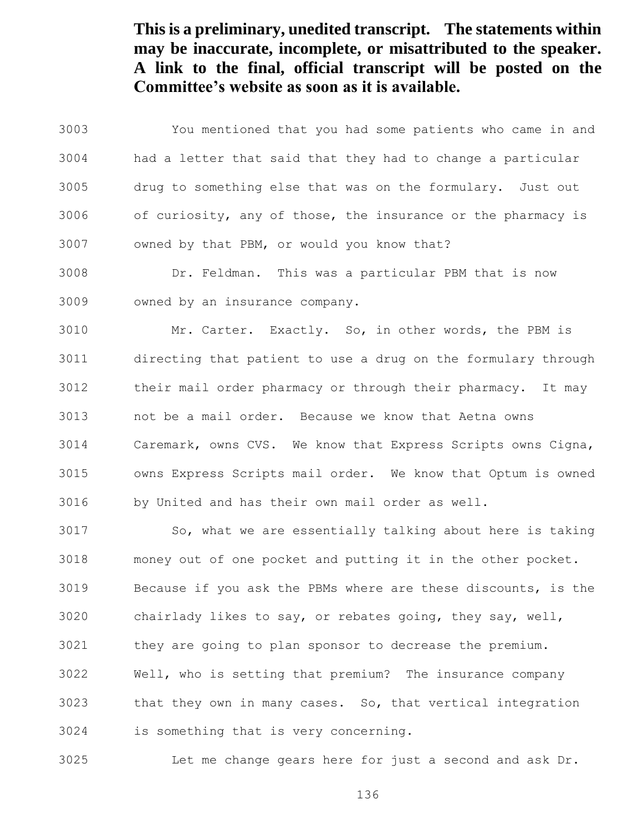You mentioned that you had some patients who came in and had a letter that said that they had to change a particular drug to something else that was on the formulary. Just out of curiosity, any of those, the insurance or the pharmacy is owned by that PBM, or would you know that?

 Dr. Feldman. This was a particular PBM that is now owned by an insurance company.

 Mr. Carter. Exactly. So, in other words, the PBM is directing that patient to use a drug on the formulary through their mail order pharmacy or through their pharmacy. It may not be a mail order. Because we know that Aetna owns Caremark, owns CVS. We know that Express Scripts owns Cigna, owns Express Scripts mail order. We know that Optum is owned by United and has their own mail order as well.

 So, what we are essentially talking about here is taking money out of one pocket and putting it in the other pocket. Because if you ask the PBMs where are these discounts, is the chairlady likes to say, or rebates going, they say, well, they are going to plan sponsor to decrease the premium. Well, who is setting that premium? The insurance company that they own in many cases. So, that vertical integration is something that is very concerning.

Let me change gears here for just a second and ask Dr.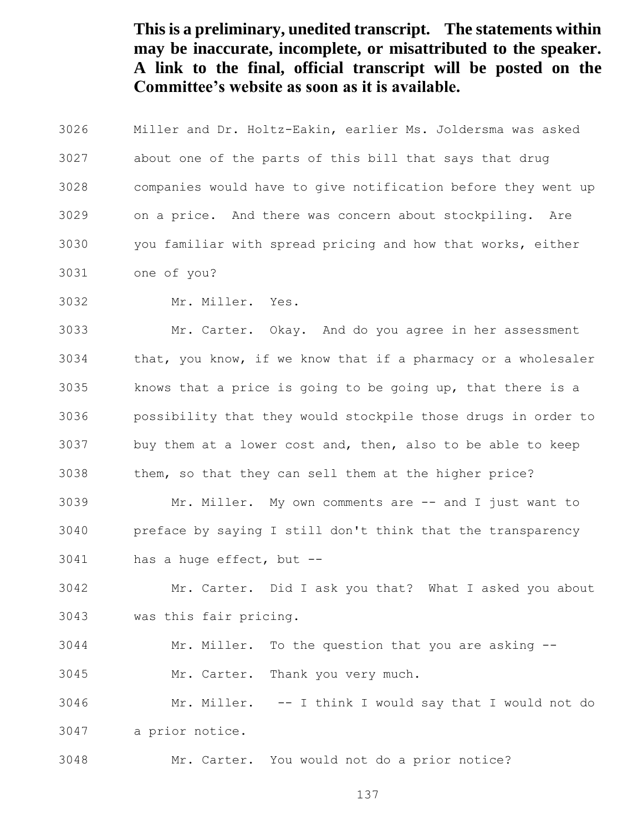- Miller and Dr. Holtz-Eakin, earlier Ms. Joldersma was asked about one of the parts of this bill that says that drug companies would have to give notification before they went up on a price. And there was concern about stockpiling. Are you familiar with spread pricing and how that works, either
- one of you?
- Mr. Miller. Yes.

 Mr. Carter. Okay. And do you agree in her assessment that, you know, if we know that if a pharmacy or a wholesaler knows that a price is going to be going up, that there is a possibility that they would stockpile those drugs in order to buy them at a lower cost and, then, also to be able to keep them, so that they can sell them at the higher price? Mr. Miller. My own comments are -- and I just want to

 preface by saying I still don't think that the transparency has a huge effect, but --

 Mr. Carter. Did I ask you that? What I asked you about was this fair pricing.

Mr. Miller. To the question that you are asking --

Mr. Carter. Thank you very much.

 Mr. Miller. -- I think I would say that I would not do a prior notice.

Mr. Carter. You would not do a prior notice?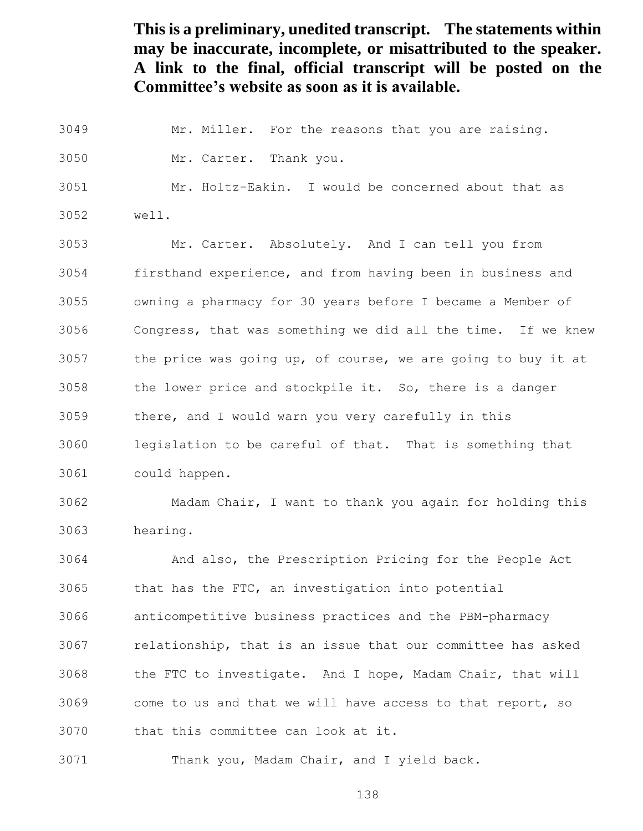Mr. Miller. For the reasons that you are raising. Mr. Carter. Thank you. Mr. Holtz-Eakin. I would be concerned about that as well. Mr. Carter. Absolutely. And I can tell you from firsthand experience, and from having been in business and owning a pharmacy for 30 years before I became a Member of Congress, that was something we did all the time. If we knew the price was going up, of course, we are going to buy it at the lower price and stockpile it. So, there is a danger there, and I would warn you very carefully in this legislation to be careful of that. That is something that could happen. Madam Chair, I want to thank you again for holding this hearing. And also, the Prescription Pricing for the People Act that has the FTC, an investigation into potential anticompetitive business practices and the PBM-pharmacy relationship, that is an issue that our committee has asked the FTC to investigate. And I hope, Madam Chair, that will come to us and that we will have access to that report, so that this committee can look at it. Thank you, Madam Chair, and I yield back.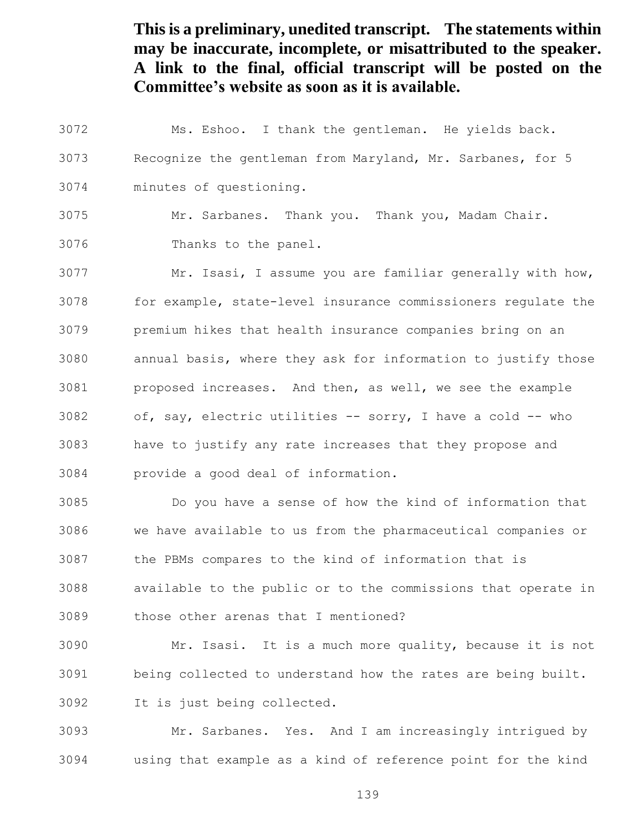Ms. Eshoo. I thank the gentleman. He yields back. Recognize the gentleman from Maryland, Mr. Sarbanes, for 5 minutes of questioning. Mr. Sarbanes. Thank you. Thank you, Madam Chair. Thanks to the panel. Mr. Isasi, I assume you are familiar generally with how, for example, state-level insurance commissioners regulate the premium hikes that health insurance companies bring on an annual basis, where they ask for information to justify those proposed increases. And then, as well, we see the example of, say, electric utilities -- sorry, I have a cold -- who have to justify any rate increases that they propose and provide a good deal of information. Do you have a sense of how the kind of information that we have available to us from the pharmaceutical companies or the PBMs compares to the kind of information that is

 available to the public or to the commissions that operate in those other arenas that I mentioned?

 Mr. Isasi. It is a much more quality, because it is not being collected to understand how the rates are being built. It is just being collected.

 Mr. Sarbanes. Yes. And I am increasingly intrigued by using that example as a kind of reference point for the kind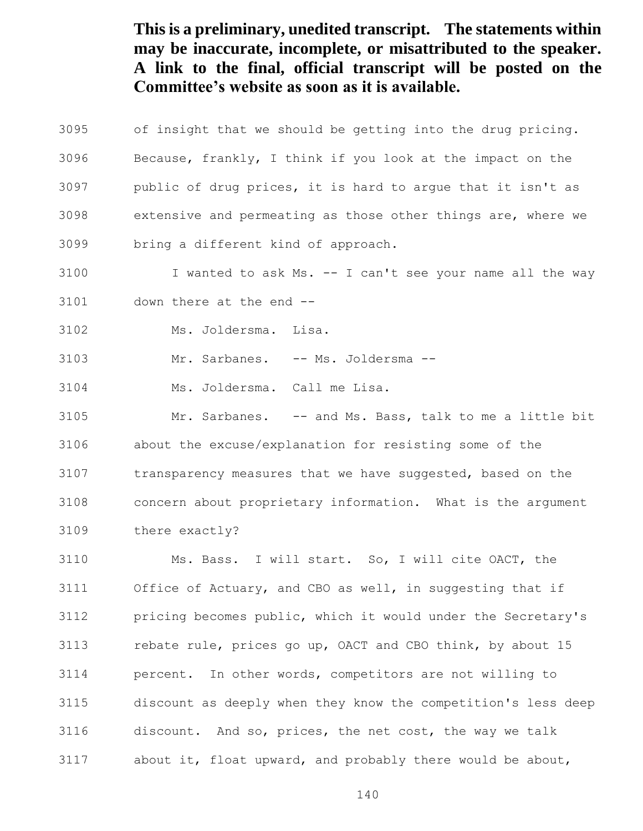- of insight that we should be getting into the drug pricing. Because, frankly, I think if you look at the impact on the public of drug prices, it is hard to argue that it isn't as extensive and permeating as those other things are, where we bring a different kind of approach.
- I wanted to ask Ms. -- I can't see your name all the way down there at the end --

Ms. Joldersma. Lisa.

Mr. Sarbanes. -- Ms. Joldersma --

Ms. Joldersma. Call me Lisa.

 Mr. Sarbanes. -- and Ms. Bass, talk to me a little bit about the excuse/explanation for resisting some of the transparency measures that we have suggested, based on the concern about proprietary information. What is the argument there exactly?

 Ms. Bass. I will start. So, I will cite OACT, the Office of Actuary, and CBO as well, in suggesting that if pricing becomes public, which it would under the Secretary's rebate rule, prices go up, OACT and CBO think, by about 15 percent. In other words, competitors are not willing to discount as deeply when they know the competition's less deep discount. And so, prices, the net cost, the way we talk about it, float upward, and probably there would be about,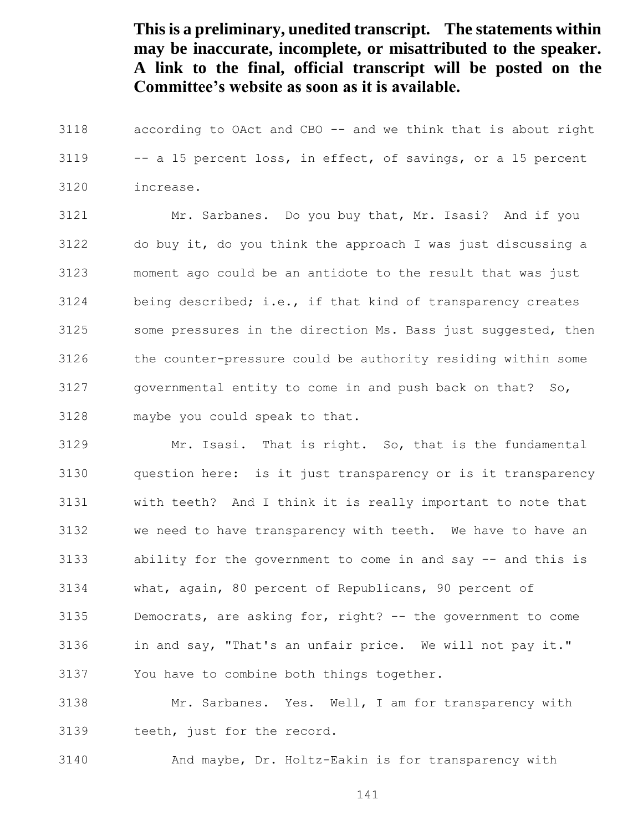according to OAct and CBO -- and we think that is about right -- a 15 percent loss, in effect, of savings, or a 15 percent increase.

 Mr. Sarbanes. Do you buy that, Mr. Isasi? And if you do buy it, do you think the approach I was just discussing a moment ago could be an antidote to the result that was just being described; i.e., if that kind of transparency creates some pressures in the direction Ms. Bass just suggested, then the counter-pressure could be authority residing within some governmental entity to come in and push back on that? So, maybe you could speak to that.

 Mr. Isasi. That is right. So, that is the fundamental question here: is it just transparency or is it transparency with teeth? And I think it is really important to note that we need to have transparency with teeth. We have to have an ability for the government to come in and say -- and this is what, again, 80 percent of Republicans, 90 percent of Democrats, are asking for, right? -- the government to come in and say, "That's an unfair price. We will not pay it." You have to combine both things together.

 Mr. Sarbanes. Yes. Well, I am for transparency with teeth, just for the record.

And maybe, Dr. Holtz-Eakin is for transparency with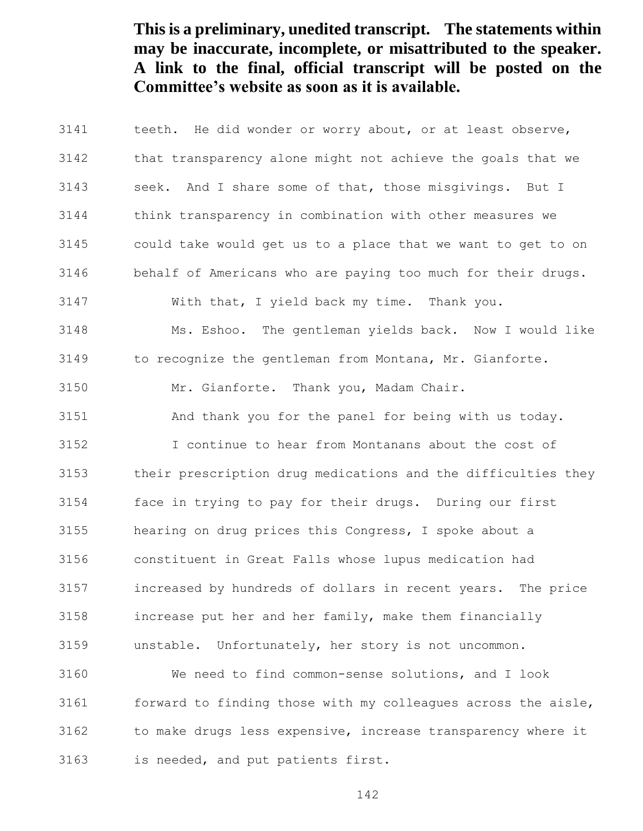teeth. He did wonder or worry about, or at least observe, that transparency alone might not achieve the goals that we seek. And I share some of that, those misgivings. But I think transparency in combination with other measures we could take would get us to a place that we want to get to on behalf of Americans who are paying too much for their drugs. With that, I yield back my time. Thank you. Ms. Eshoo. The gentleman yields back. Now I would like to recognize the gentleman from Montana, Mr. Gianforte. Mr. Gianforte. Thank you, Madam Chair. And thank you for the panel for being with us today. I continue to hear from Montanans about the cost of their prescription drug medications and the difficulties they face in trying to pay for their drugs. During our first hearing on drug prices this Congress, I spoke about a constituent in Great Falls whose lupus medication had increased by hundreds of dollars in recent years. The price increase put her and her family, make them financially unstable. Unfortunately, her story is not uncommon. We need to find common-sense solutions, and I look forward to finding those with my colleagues across the aisle,

 to make drugs less expensive, increase transparency where it is needed, and put patients first.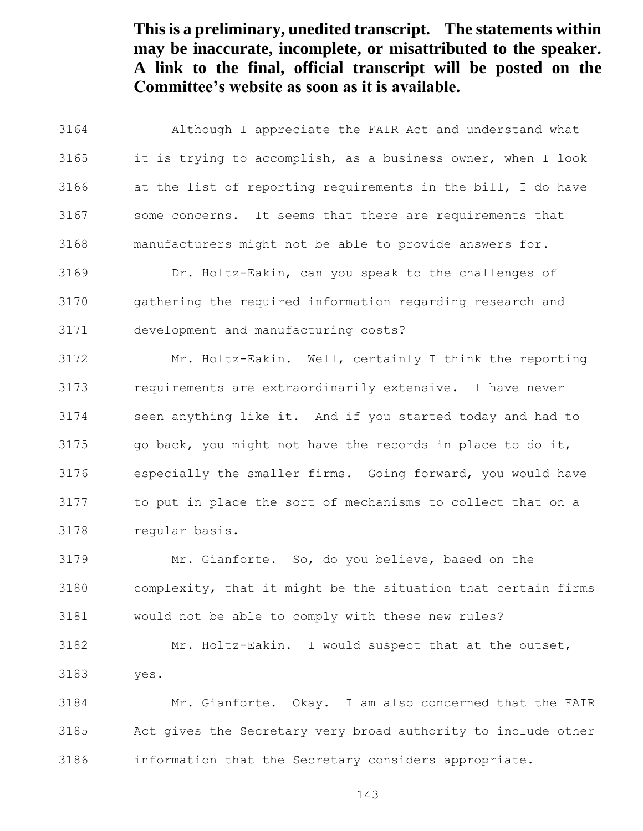Although I appreciate the FAIR Act and understand what it is trying to accomplish, as a business owner, when I look at the list of reporting requirements in the bill, I do have some concerns. It seems that there are requirements that manufacturers might not be able to provide answers for.

 Dr. Holtz-Eakin, can you speak to the challenges of gathering the required information regarding research and development and manufacturing costs?

 Mr. Holtz-Eakin. Well, certainly I think the reporting requirements are extraordinarily extensive. I have never seen anything like it. And if you started today and had to go back, you might not have the records in place to do it, especially the smaller firms. Going forward, you would have to put in place the sort of mechanisms to collect that on a regular basis.

 Mr. Gianforte. So, do you believe, based on the complexity, that it might be the situation that certain firms would not be able to comply with these new rules?

 Mr. Holtz-Eakin. I would suspect that at the outset, yes.

 Mr. Gianforte. Okay. I am also concerned that the FAIR Act gives the Secretary very broad authority to include other information that the Secretary considers appropriate.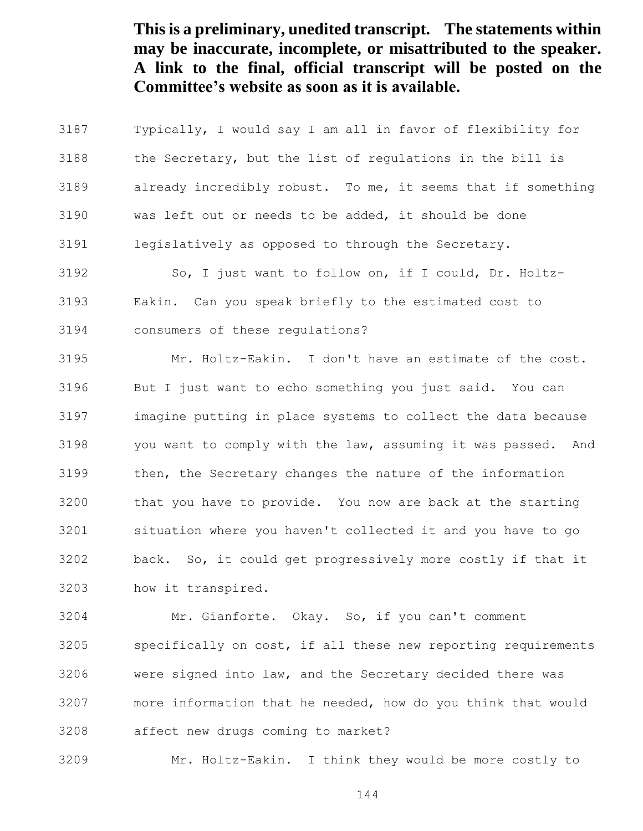Typically, I would say I am all in favor of flexibility for the Secretary, but the list of regulations in the bill is already incredibly robust. To me, it seems that if something was left out or needs to be added, it should be done legislatively as opposed to through the Secretary.

 So, I just want to follow on, if I could, Dr. Holtz- Eakin. Can you speak briefly to the estimated cost to consumers of these regulations?

 Mr. Holtz-Eakin. I don't have an estimate of the cost. But I just want to echo something you just said. You can imagine putting in place systems to collect the data because you want to comply with the law, assuming it was passed. And then, the Secretary changes the nature of the information that you have to provide. You now are back at the starting situation where you haven't collected it and you have to go back. So, it could get progressively more costly if that it how it transpired.

 Mr. Gianforte. Okay. So, if you can't comment specifically on cost, if all these new reporting requirements were signed into law, and the Secretary decided there was more information that he needed, how do you think that would affect new drugs coming to market?

Mr. Holtz-Eakin. I think they would be more costly to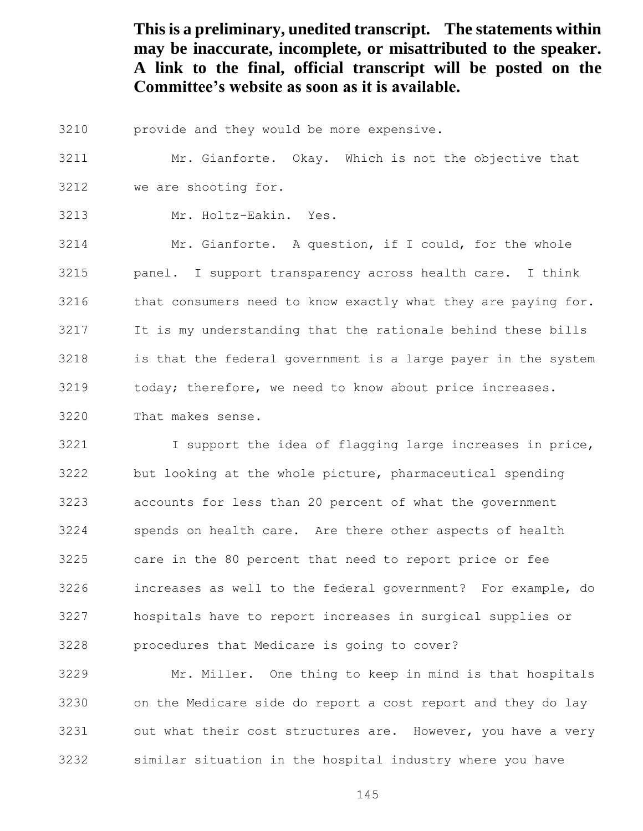provide and they would be more expensive.

 Mr. Gianforte. Okay. Which is not the objective that we are shooting for.

Mr. Holtz-Eakin. Yes.

 Mr. Gianforte. A question, if I could, for the whole panel. I support transparency across health care. I think that consumers need to know exactly what they are paying for. It is my understanding that the rationale behind these bills is that the federal government is a large payer in the system today; therefore, we need to know about price increases. That makes sense.

3221 I support the idea of flagging large increases in price, but looking at the whole picture, pharmaceutical spending accounts for less than 20 percent of what the government spends on health care. Are there other aspects of health care in the 80 percent that need to report price or fee increases as well to the federal government? For example, do hospitals have to report increases in surgical supplies or procedures that Medicare is going to cover?

 Mr. Miller. One thing to keep in mind is that hospitals on the Medicare side do report a cost report and they do lay out what their cost structures are. However, you have a very similar situation in the hospital industry where you have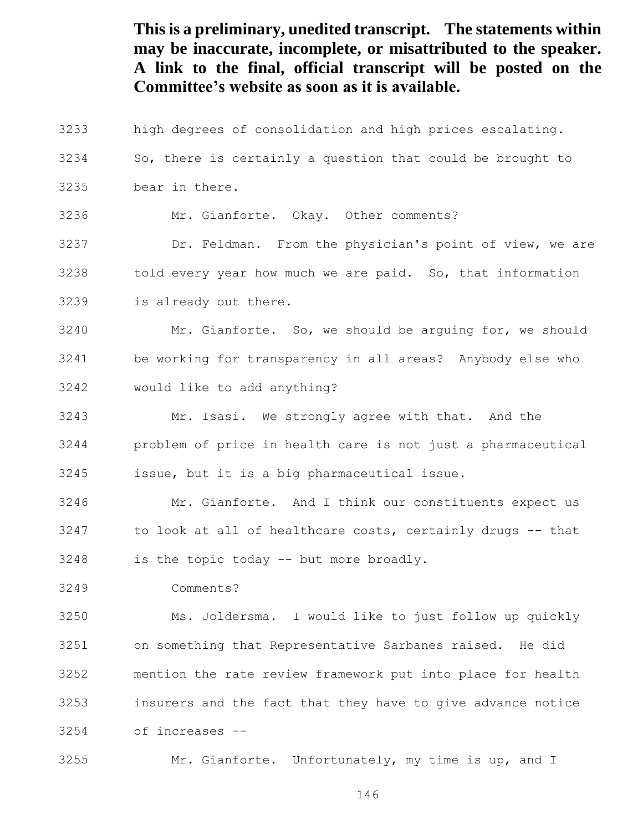high degrees of consolidation and high prices escalating.

- So, there is certainly a question that could be brought to
- bear in there.

Mr. Gianforte. Okay. Other comments?

Dr. Feldman. From the physician's point of view, we are

told every year how much we are paid. So, that information

is already out there.

 Mr. Gianforte. So, we should be arguing for, we should be working for transparency in all areas? Anybody else who would like to add anything?

Mr. Isasi. We strongly agree with that. And the

 problem of price in health care is not just a pharmaceutical issue, but it is a big pharmaceutical issue.

 Mr. Gianforte. And I think our constituents expect us to look at all of healthcare costs, certainly drugs -- that is the topic today -- but more broadly.

Comments?

 Ms. Joldersma. I would like to just follow up quickly on something that Representative Sarbanes raised. He did mention the rate review framework put into place for health insurers and the fact that they have to give advance notice of increases --

Mr. Gianforte. Unfortunately, my time is up, and I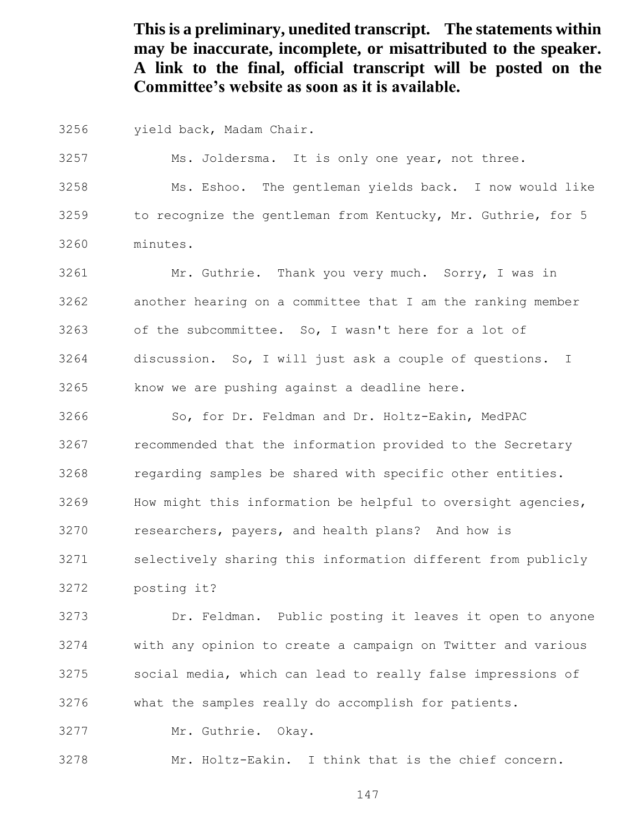yield back, Madam Chair.

Ms. Joldersma. It is only one year, not three.

 Ms. Eshoo. The gentleman yields back. I now would like to recognize the gentleman from Kentucky, Mr. Guthrie, for 5 minutes.

 Mr. Guthrie. Thank you very much. Sorry, I was in another hearing on a committee that I am the ranking member of the subcommittee. So, I wasn't here for a lot of discussion. So, I will just ask a couple of questions. I know we are pushing against a deadline here.

So, for Dr. Feldman and Dr. Holtz-Eakin, MedPAC

recommended that the information provided to the Secretary

regarding samples be shared with specific other entities.

How might this information be helpful to oversight agencies,

researchers, payers, and health plans? And how is

 selectively sharing this information different from publicly posting it?

 Dr. Feldman. Public posting it leaves it open to anyone with any opinion to create a campaign on Twitter and various social media, which can lead to really false impressions of

what the samples really do accomplish for patients.

Mr. Guthrie. Okay.

Mr. Holtz-Eakin. I think that is the chief concern.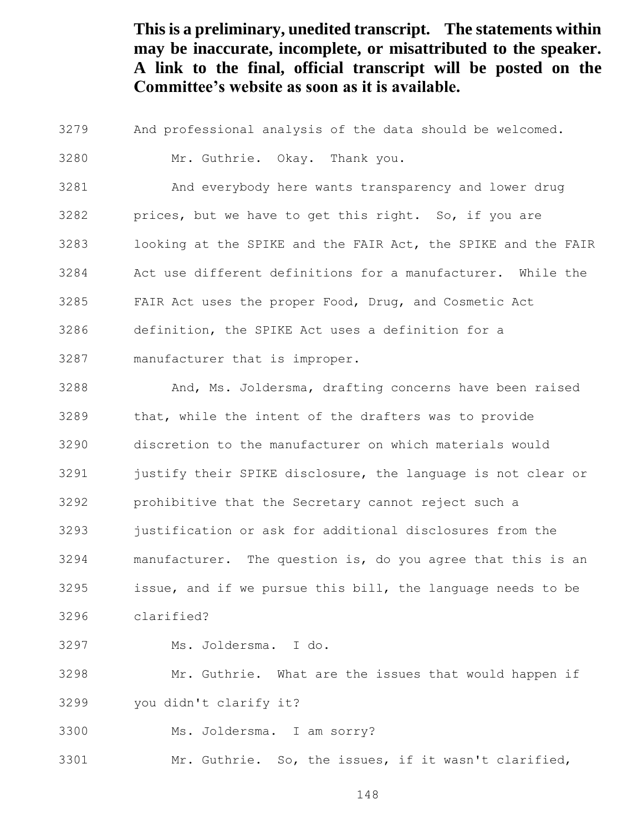And professional analysis of the data should be welcomed.

Mr. Guthrie. Okay. Thank you.

 And everybody here wants transparency and lower drug prices, but we have to get this right. So, if you are looking at the SPIKE and the FAIR Act, the SPIKE and the FAIR Act use different definitions for a manufacturer. While the FAIR Act uses the proper Food, Drug, and Cosmetic Act definition, the SPIKE Act uses a definition for a

manufacturer that is improper.

 And, Ms. Joldersma, drafting concerns have been raised that, while the intent of the drafters was to provide discretion to the manufacturer on which materials would justify their SPIKE disclosure, the language is not clear or prohibitive that the Secretary cannot reject such a justification or ask for additional disclosures from the manufacturer. The question is, do you agree that this is an issue, and if we pursue this bill, the language needs to be clarified?

Ms. Joldersma. I do.

 Mr. Guthrie. What are the issues that would happen if you didn't clarify it?

Ms. Joldersma. I am sorry?

Mr. Guthrie. So, the issues, if it wasn't clarified,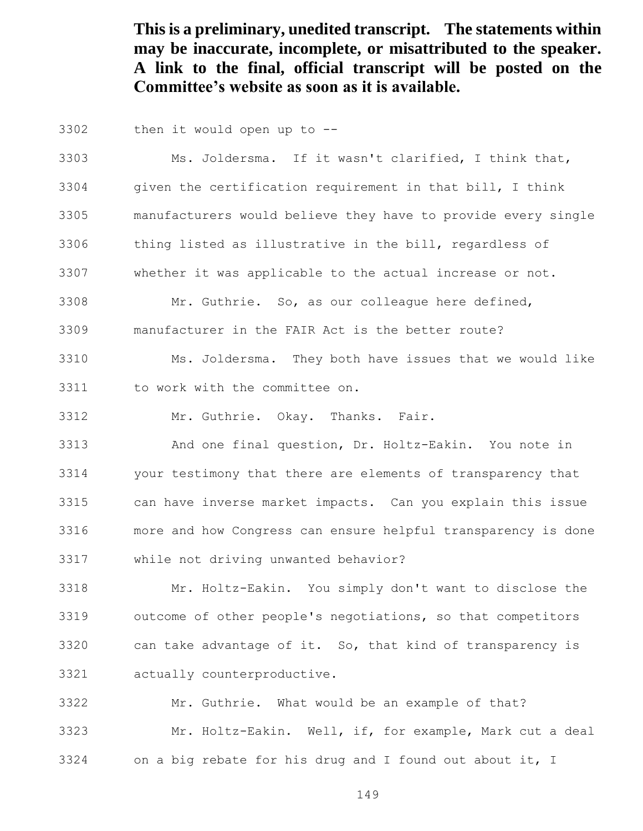then it would open up to --

 Ms. Joldersma. If it wasn't clarified, I think that, given the certification requirement in that bill, I think manufacturers would believe they have to provide every single thing listed as illustrative in the bill, regardless of

whether it was applicable to the actual increase or not.

Mr. Guthrie. So, as our colleague here defined,

manufacturer in the FAIR Act is the better route?

 Ms. Joldersma. They both have issues that we would like to work with the committee on.

Mr. Guthrie. Okay. Thanks. Fair.

 And one final question, Dr. Holtz-Eakin. You note in your testimony that there are elements of transparency that can have inverse market impacts. Can you explain this issue more and how Congress can ensure helpful transparency is done while not driving unwanted behavior?

 Mr. Holtz-Eakin. You simply don't want to disclose the outcome of other people's negotiations, so that competitors can take advantage of it. So, that kind of transparency is actually counterproductive.

 Mr. Guthrie. What would be an example of that? Mr. Holtz-Eakin. Well, if, for example, Mark cut a deal on a big rebate for his drug and I found out about it, I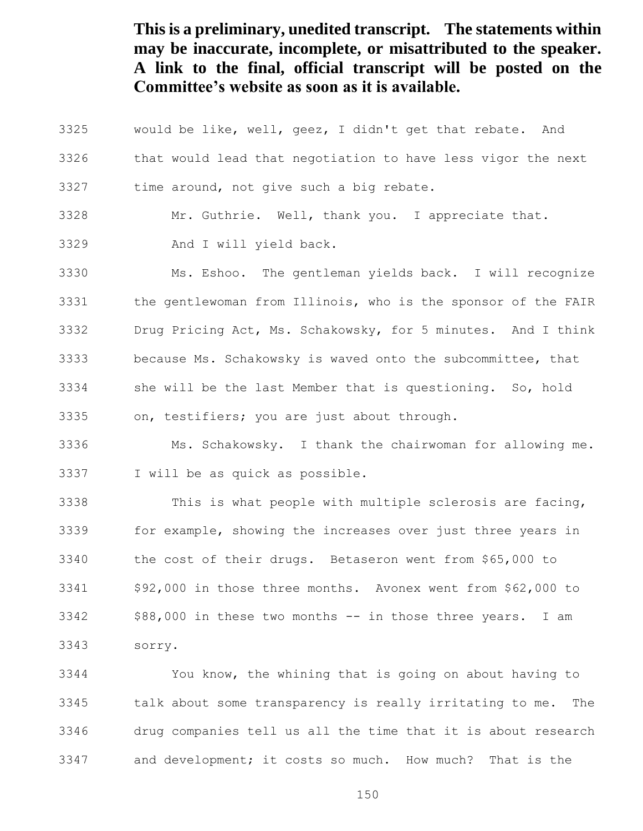- would be like, well, geez, I didn't get that rebate. And
- that would lead that negotiation to have less vigor the next time around, not give such a big rebate.
- Mr. Guthrie. Well, thank you. I appreciate that.
- And I will yield back.
- Ms. Eshoo. The gentleman yields back. I will recognize the gentlewoman from Illinois, who is the sponsor of the FAIR Drug Pricing Act, Ms. Schakowsky, for 5 minutes. And I think because Ms. Schakowsky is waved onto the subcommittee, that she will be the last Member that is questioning. So, hold on, testifiers; you are just about through.
- Ms. Schakowsky. I thank the chairwoman for allowing me. I will be as quick as possible.
- This is what people with multiple sclerosis are facing, for example, showing the increases over just three years in the cost of their drugs. Betaseron went from \$65,000 to \$92,000 in those three months. Avonex went from \$62,000 to \$88,000 in these two months -- in those three years. I am sorry.

 You know, the whining that is going on about having to talk about some transparency is really irritating to me. The drug companies tell us all the time that it is about research and development; it costs so much. How much? That is the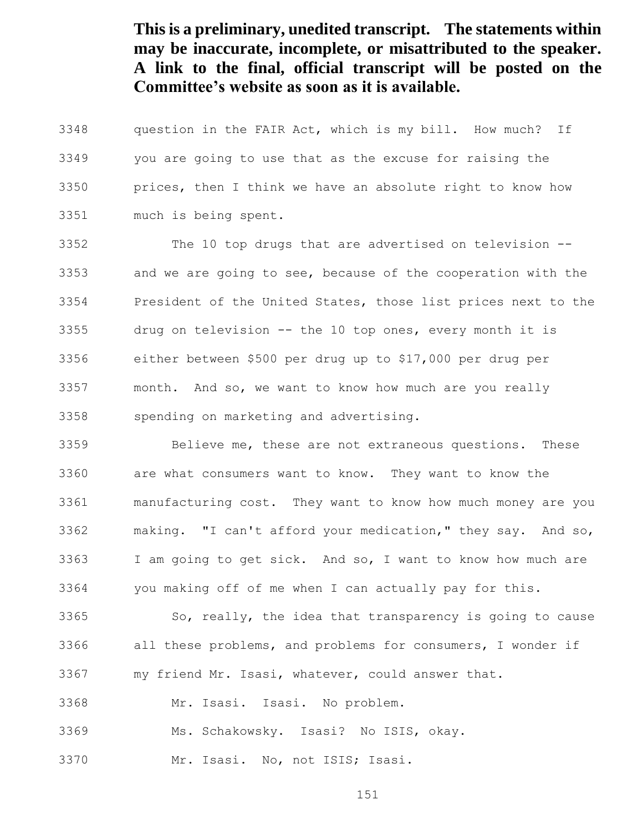question in the FAIR Act, which is my bill. How much? If you are going to use that as the excuse for raising the prices, then I think we have an absolute right to know how much is being spent.

 The 10 top drugs that are advertised on television -- and we are going to see, because of the cooperation with the President of the United States, those list prices next to the drug on television -- the 10 top ones, every month it is either between \$500 per drug up to \$17,000 per drug per month. And so, we want to know how much are you really spending on marketing and advertising.

 Believe me, these are not extraneous questions. These are what consumers want to know. They want to know the manufacturing cost. They want to know how much money are you making. "I can't afford your medication," they say. And so, I am going to get sick. And so, I want to know how much are you making off of me when I can actually pay for this.

3365 So, really, the idea that transparency is going to cause all these problems, and problems for consumers, I wonder if my friend Mr. Isasi, whatever, could answer that.

Mr. Isasi. Isasi. No problem.

Ms. Schakowsky. Isasi? No ISIS, okay.

Mr. Isasi. No, not ISIS; Isasi.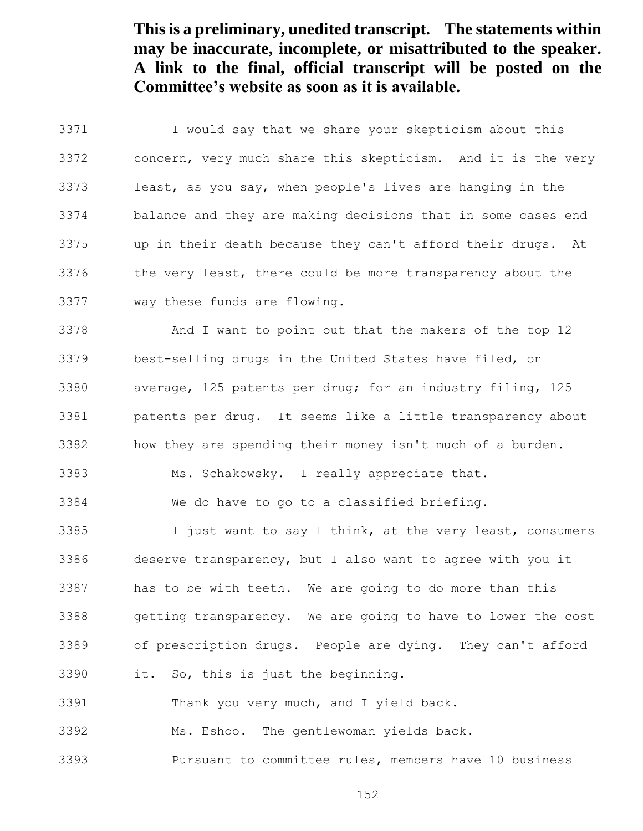I would say that we share your skepticism about this concern, very much share this skepticism. And it is the very least, as you say, when people's lives are hanging in the balance and they are making decisions that in some cases end up in their death because they can't afford their drugs. At the very least, there could be more transparency about the way these funds are flowing.

 And I want to point out that the makers of the top 12 best-selling drugs in the United States have filed, on average, 125 patents per drug; for an industry filing, 125 patents per drug. It seems like a little transparency about how they are spending their money isn't much of a burden.

Ms. Schakowsky. I really appreciate that.

We do have to go to a classified briefing.

 I just want to say I think, at the very least, consumers deserve transparency, but I also want to agree with you it has to be with teeth. We are going to do more than this getting transparency. We are going to have to lower the cost of prescription drugs. People are dying. They can't afford it. So, this is just the beginning.

Thank you very much, and I yield back.

Ms. Eshoo. The gentlewoman yields back.

Pursuant to committee rules, members have 10 business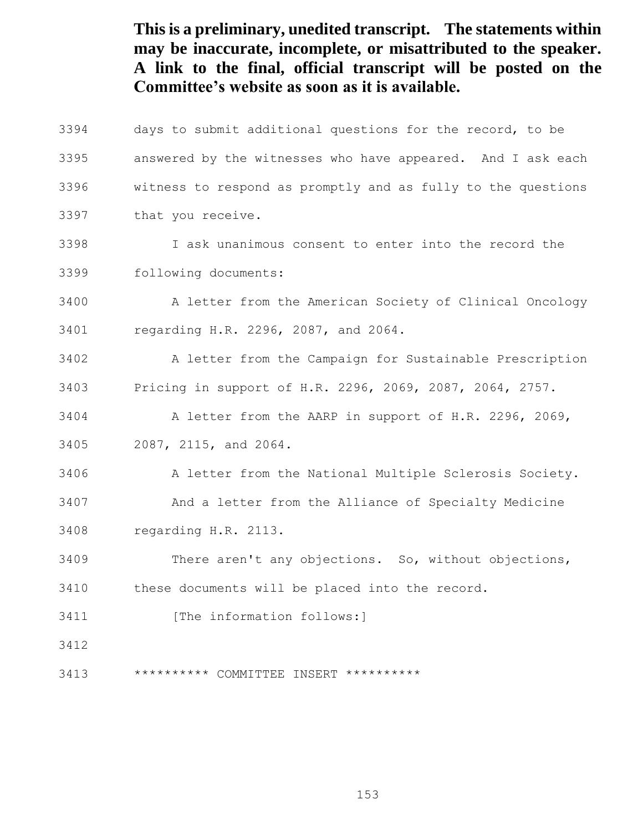days to submit additional questions for the record, to be answered by the witnesses who have appeared. And I ask each witness to respond as promptly and as fully to the questions that you receive. I ask unanimous consent to enter into the record the following documents: A letter from the American Society of Clinical Oncology regarding H.R. 2296, 2087, and 2064. A letter from the Campaign for Sustainable Prescription Pricing in support of H.R. 2296, 2069, 2087, 2064, 2757. A letter from the AARP in support of H.R. 2296, 2069, 2087, 2115, and 2064. A letter from the National Multiple Sclerosis Society. And a letter from the Alliance of Specialty Medicine regarding H.R. 2113. There aren't any objections. So, without objections, these documents will be placed into the record. 3411 [The information follows: \*\*\*\*\*\*\*\*\*\* COMMITTEE INSERT \*\*\*\*\*\*\*\*\*\*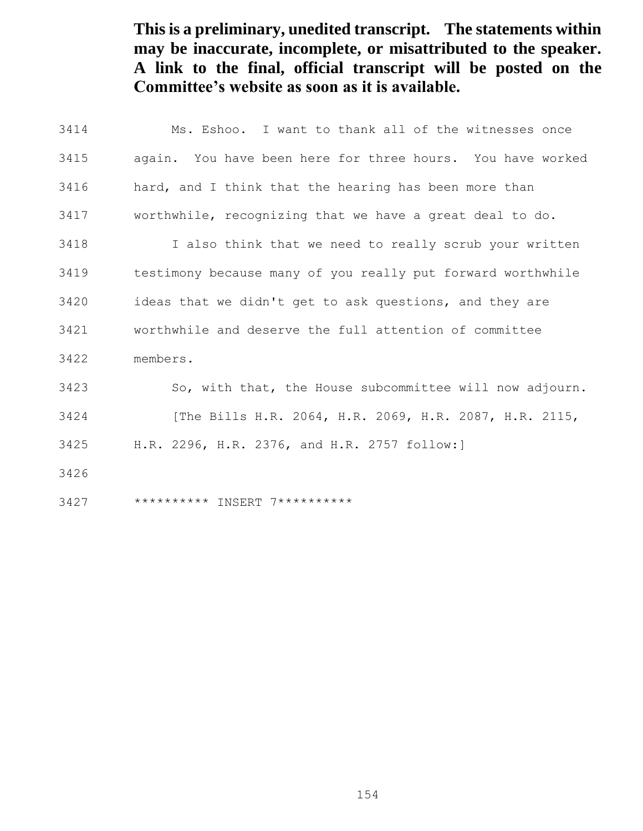| 3414 | Ms. Eshoo. I want to thank all of the witnesses once        |
|------|-------------------------------------------------------------|
| 3415 | again. You have been here for three hours. You have worked  |
| 3416 | hard, and I think that the hearing has been more than       |
| 3417 | worthwhile, recognizing that we have a great deal to do.    |
| 3418 | I also think that we need to really scrub your written      |
| 3419 | testimony because many of you really put forward worthwhile |
| 3420 | ideas that we didn't get to ask questions, and they are     |
| 3421 | worthwhile and deserve the full attention of committee      |
| 3422 | members.                                                    |
| 3423 | So, with that, the House subcommittee will now adjourn.     |
| 3424 | [The Bills H.R. 2064, H.R. 2069, H.R. 2087, H.R. 2115,      |
| 3425 | H.R. 2296, H.R. 2376, and H.R. 2757 follow:]                |
| 3426 |                                                             |
| 3427 | ********** INSERT 7**********                               |